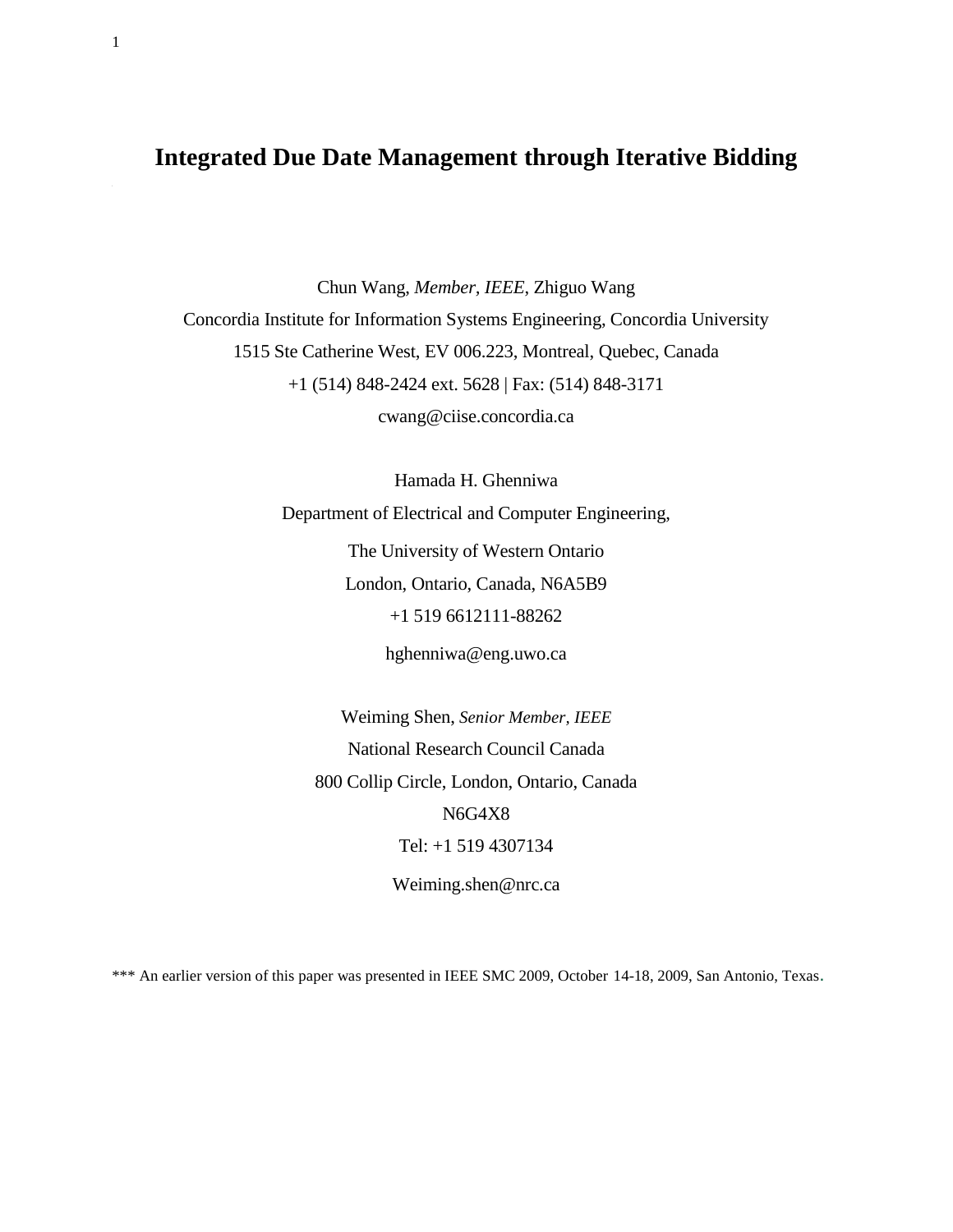# **Integrated Due Date Management through Iterative Bidding**

1

Chun Wang, *Member, IEEE*, Zhiguo Wang Concordia Institute for Information Systems Engineering, Concordia University 1515 Ste Catherine West, EV 006.223, Montreal, Quebec, Canada +1 (514) 848-2424 ext. 5628 | Fax: (514) 848-3171 [cwang@ciise.concordia.ca](mailto:cwang@ciise.concordia.ca)

> Hamada H. Ghenniwa Department of Electrical and Computer Engineering, The University of Western Ontario

> > London, Ontario, Canada, N6A5B9 +1 519 6612111-88262

> > > hghenniwa@eng.uwo.ca

Weiming Shen, *Senior Member, IEEE* National Research Council Canada 800 Collip Circle, London, Ontario, Canada N6G4X8 Tel: +1 519 4307134 Weiming.shen@nrc.ca

\*\*\* An earlier version of this paper was presented in IEEE SMC 2009, October 14-18, 2009, San Antonio, Texas.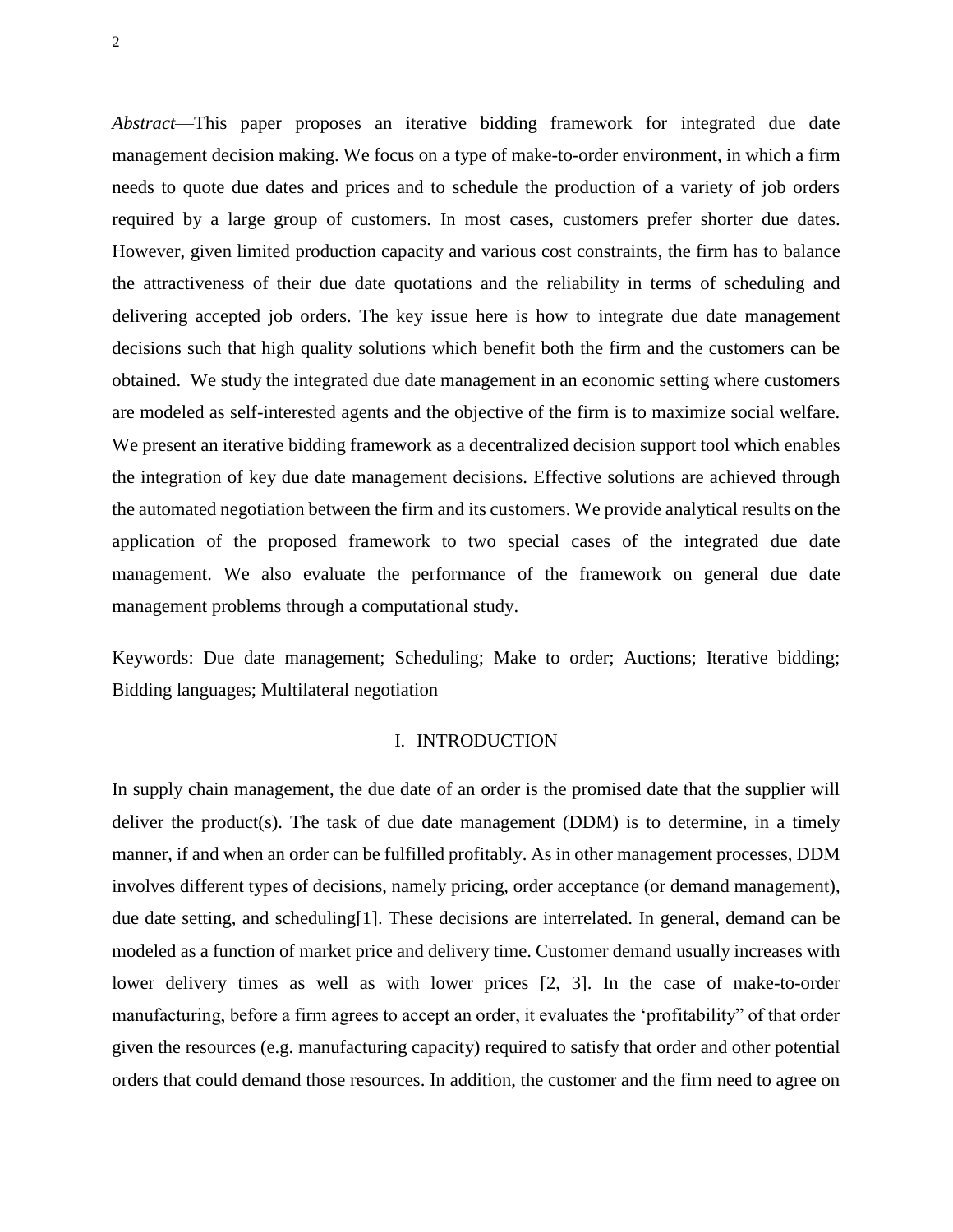*Abstract*—This paper proposes an iterative bidding framework for integrated due date management decision making. We focus on a type of make-to-order environment, in which a firm needs to quote due dates and prices and to schedule the production of a variety of job orders required by a large group of customers. In most cases, customers prefer shorter due dates. However, given limited production capacity and various cost constraints, the firm has to balance the attractiveness of their due date quotations and the reliability in terms of scheduling and delivering accepted job orders. The key issue here is how to integrate due date management decisions such that high quality solutions which benefit both the firm and the customers can be obtained. We study the integrated due date management in an economic setting where customers are modeled as self-interested agents and the objective of the firm is to maximize social welfare. We present an iterative bidding framework as a decentralized decision support tool which enables the integration of key due date management decisions. Effective solutions are achieved through the automated negotiation between the firm and its customers. We provide analytical results on the application of the proposed framework to two special cases of the integrated due date management. We also evaluate the performance of the framework on general due date management problems through a computational study.

Keywords: Due date management; Scheduling; Make to order; Auctions; Iterative bidding; Bidding languages; Multilateral negotiation

#### I. INTRODUCTION

In supply chain management, the due date of an order is the promised date that the supplier will deliver the product(s). The task of due date management (DDM) is to determine, in a timely manner, if and when an order can be fulfilled profitably. As in other management processes, DDM involves different types of decisions, namely pricing, order acceptance (or demand management), due date setting, and scheduling[1]. These decisions are interrelated. In general, demand can be modeled as a function of market price and delivery time. Customer demand usually increases with lower delivery times as well as with lower prices [2, 3]. In the case of make-to-order manufacturing, before a firm agrees to accept an order, it evaluates the 'profitability" of that order given the resources (e.g. manufacturing capacity) required to satisfy that order and other potential orders that could demand those resources. In addition, the customer and the firm need to agree on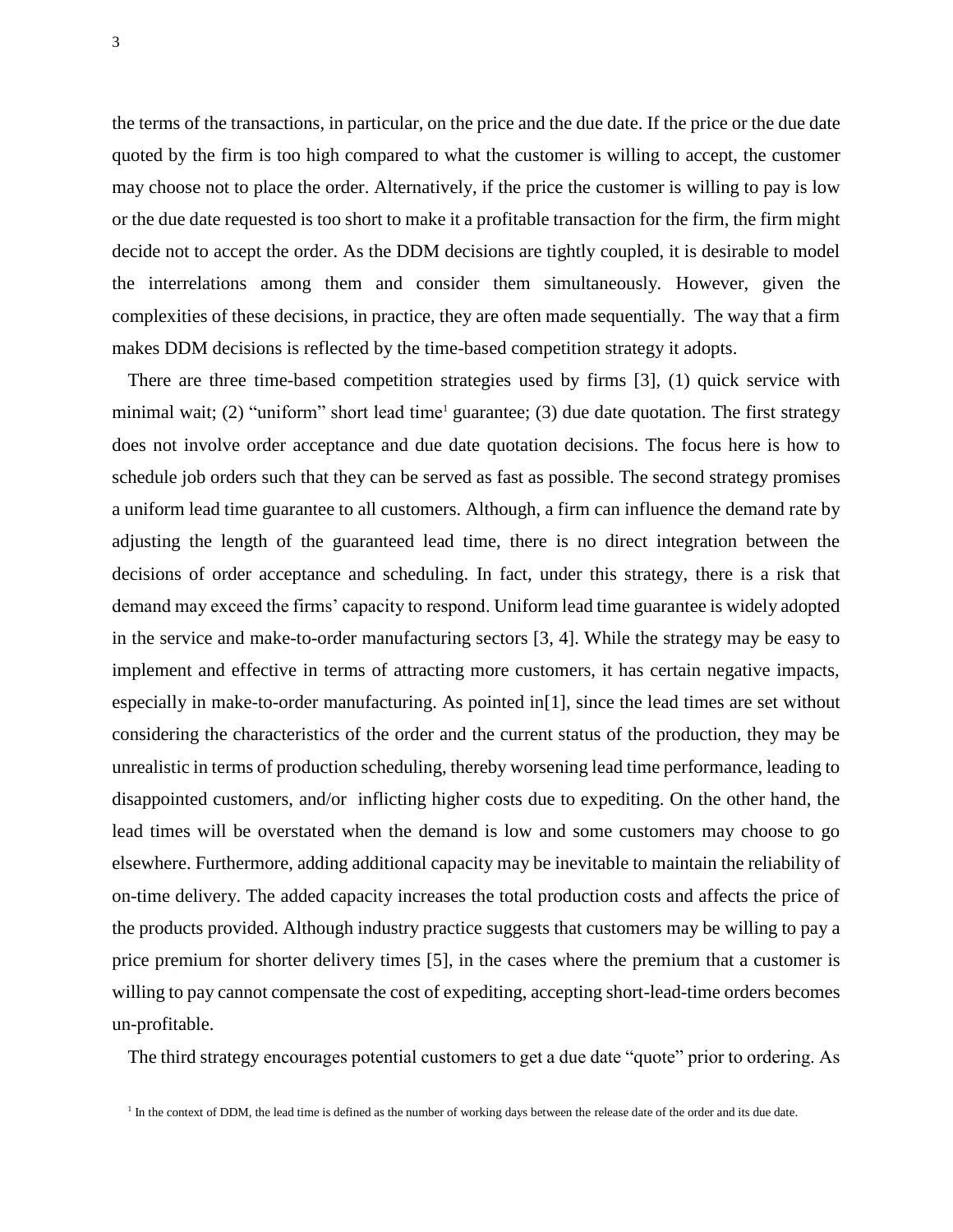the terms of the transactions, in particular, on the price and the due date. If the price or the due date quoted by the firm is too high compared to what the customer is willing to accept, the customer may choose not to place the order. Alternatively, if the price the customer is willing to pay is low or the due date requested is too short to make it a profitable transaction for the firm, the firm might decide not to accept the order. As the DDM decisions are tightly coupled, it is desirable to model the interrelations among them and consider them simultaneously. However, given the complexities of these decisions, in practice, they are often made sequentially. The way that a firm makes DDM decisions is reflected by the time-based competition strategy it adopts.

There are three time-based competition strategies used by firms [3], (1) quick service with minimal wait; (2) "uniform" short lead time<sup>1</sup> guarantee; (3) due date quotation. The first strategy does not involve order acceptance and due date quotation decisions. The focus here is how to schedule job orders such that they can be served as fast as possible. The second strategy promises a uniform lead time guarantee to all customers. Although, a firm can influence the demand rate by adjusting the length of the guaranteed lead time, there is no direct integration between the decisions of order acceptance and scheduling. In fact, under this strategy, there is a risk that demand may exceed the firms' capacity to respond. Uniform lead time guarantee is widely adopted in the service and make-to-order manufacturing sectors [3, 4]. While the strategy may be easy to implement and effective in terms of attracting more customers, it has certain negative impacts, especially in make-to-order manufacturing. As pointed in[1], since the lead times are set without considering the characteristics of the order and the current status of the production, they may be unrealistic in terms of production scheduling, thereby worsening lead time performance, leading to disappointed customers, and/or inflicting higher costs due to expediting. On the other hand, the lead times will be overstated when the demand is low and some customers may choose to go elsewhere. Furthermore, adding additional capacity may be inevitable to maintain the reliability of on-time delivery. The added capacity increases the total production costs and affects the price of the products provided. Although industry practice suggests that customers may be willing to pay a price premium for shorter delivery times [5], in the cases where the premium that a customer is willing to pay cannot compensate the cost of expediting, accepting short-lead-time orders becomes un-profitable.

The third strategy encourages potential customers to get a due date "quote" prior to ordering. As

<sup>&</sup>lt;sup>1</sup> In the context of DDM, the lead time is defined as the number of working days between the release date of the order and its due date.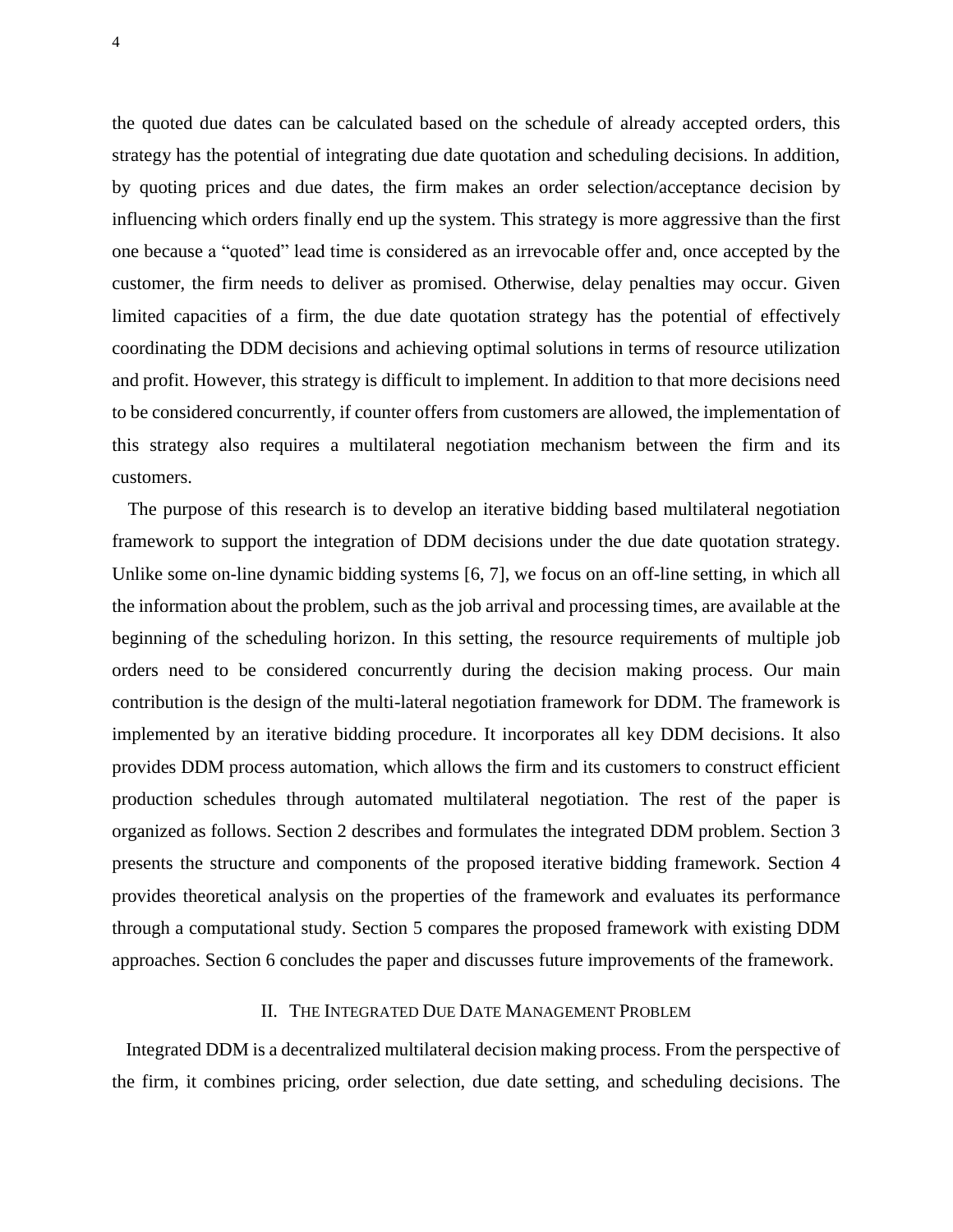the quoted due dates can be calculated based on the schedule of already accepted orders, this strategy has the potential of integrating due date quotation and scheduling decisions. In addition, by quoting prices and due dates, the firm makes an order selection/acceptance decision by influencing which orders finally end up the system. This strategy is more aggressive than the first one because a "quoted" lead time is considered as an irrevocable offer and, once accepted by the customer, the firm needs to deliver as promised. Otherwise, delay penalties may occur. Given limited capacities of a firm, the due date quotation strategy has the potential of effectively coordinating the DDM decisions and achieving optimal solutions in terms of resource utilization and profit. However, this strategy is difficult to implement. In addition to that more decisions need to be considered concurrently, if counter offers from customers are allowed, the implementation of this strategy also requires a multilateral negotiation mechanism between the firm and its customers.

The purpose of this research is to develop an iterative bidding based multilateral negotiation framework to support the integration of DDM decisions under the due date quotation strategy. Unlike some on-line dynamic bidding systems [6, 7], we focus on an off-line setting, in which all the information about the problem, such as the job arrival and processing times, are available at the beginning of the scheduling horizon. In this setting, the resource requirements of multiple job orders need to be considered concurrently during the decision making process. Our main contribution is the design of the multi-lateral negotiation framework for DDM. The framework is implemented by an iterative bidding procedure. It incorporates all key DDM decisions. It also provides DDM process automation, which allows the firm and its customers to construct efficient production schedules through automated multilateral negotiation. The rest of the paper is organized as follows. Section 2 describes and formulates the integrated DDM problem. Section 3 presents the structure and components of the proposed iterative bidding framework. Section 4 provides theoretical analysis on the properties of the framework and evaluates its performance through a computational study. Section 5 compares the proposed framework with existing DDM approaches. Section 6 concludes the paper and discusses future improvements of the framework.

#### II. THE INTEGRATED DUE DATE MANAGEMENT PROBLEM

Integrated DDM is a decentralized multilateral decision making process. From the perspective of the firm, it combines pricing, order selection, due date setting, and scheduling decisions. The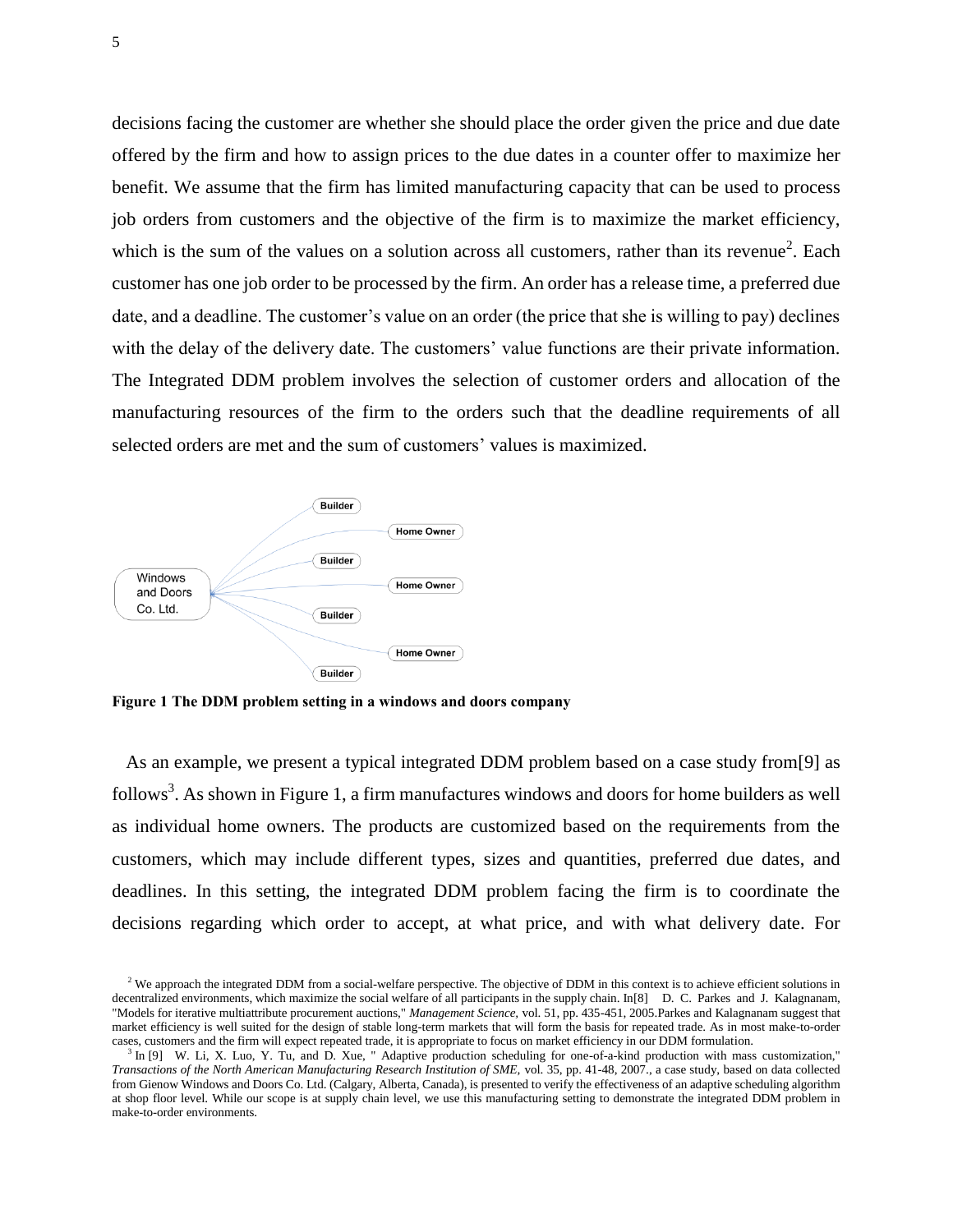decisions facing the customer are whether she should place the order given the price and due date offered by the firm and how to assign prices to the due dates in a counter offer to maximize her benefit. We assume that the firm has limited manufacturing capacity that can be used to process job orders from customers and the objective of the firm is to maximize the market efficiency, which is the sum of the values on a solution across all customers, rather than its revenue<sup>2</sup>. Each customer has one job order to be processed by the firm. An order has a release time, a preferred due date, and a deadline. The customer's value on an order (the price that she is willing to pay) declines with the delay of the delivery date. The customers' value functions are their private information. The Integrated DDM problem involves the selection of customer orders and allocation of the manufacturing resources of the firm to the orders such that the deadline requirements of all selected orders are met and the sum of customers' values is maximized.



**Figure 1 The DDM problem setting in a windows and doors company**

As an example, we present a typical integrated DDM problem based on a case study from[9] as follows<sup>3</sup>. As shown in Figure 1, a firm manufactures windows and doors for home builders as well as individual home owners. The products are customized based on the requirements from the customers, which may include different types, sizes and quantities, preferred due dates, and deadlines. In this setting, the integrated DDM problem facing the firm is to coordinate the decisions regarding which order to accept, at what price, and with what delivery date. For

 $2$  We approach the integrated DDM from a social-welfare perspective. The objective of DDM in this context is to achieve efficient solutions in decentralized environments, which maximize the social welfare of all participants in the supply chain. In[8] D. C. Parkes and J. Kalagnanam, "Models for iterative multiattribute procurement auctions," *Management Science,* vol. 51, pp. 435-451, 2005.Parkes and Kalagnanam suggest that market efficiency is well suited for the design of stable long-term markets that will form the basis for repeated trade. As in most make-to-order cases, customers and the firm will expect repeated trade, it is appropriate to focus on market efficiency in our DDM formulation.

<sup>&</sup>lt;sup>3</sup> In [9] W. Li, X. Luo, Y. Tu, and D. Xue, " Adaptive production scheduling for one-of-a-kind production with mass customization," *Transactions of the North American Manufacturing Research Institution of SME,* vol. 35, pp. 41-48, 2007., a case study, based on data collected from Gienow Windows and Doors Co. Ltd. (Calgary, Alberta, Canada), is presented to verify the effectiveness of an adaptive scheduling algorithm at shop floor level. While our scope is at supply chain level, we use this manufacturing setting to demonstrate the integrated DDM problem in make-to-order environments.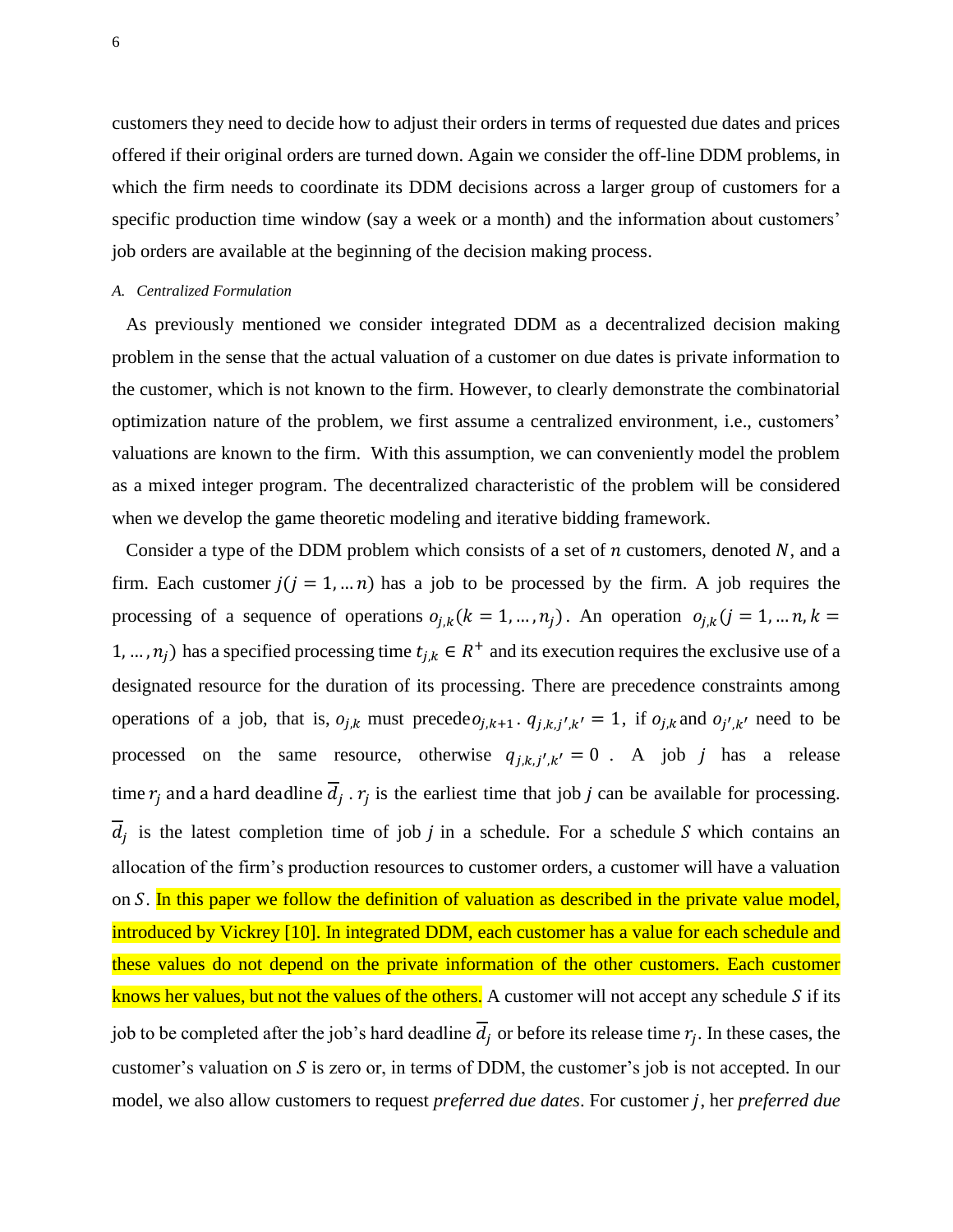customers they need to decide how to adjust their orders in terms of requested due dates and prices offered if their original orders are turned down. Again we consider the off-line DDM problems, in which the firm needs to coordinate its DDM decisions across a larger group of customers for a specific production time window (say a week or a month) and the information about customers' job orders are available at the beginning of the decision making process.

#### *A. Centralized Formulation*

As previously mentioned we consider integrated DDM as a decentralized decision making problem in the sense that the actual valuation of a customer on due dates is private information to the customer, which is not known to the firm. However, to clearly demonstrate the combinatorial optimization nature of the problem, we first assume a centralized environment, i.e., customers' valuations are known to the firm. With this assumption, we can conveniently model the problem as a mixed integer program. The decentralized characteristic of the problem will be considered when we develop the game theoretic modeling and iterative bidding framework.

Consider a type of the DDM problem which consists of a set of *n* customers, denoted *N*, and a firm. Each customer  $j(i = 1, ..., n)$  has a job to be processed by the firm. A job requires the processing of a sequence of operations  $o_{i,k}$  ( $k = 1, ..., n_j$ ). An operation  $o_{i,k}$  ( $j = 1, ..., n, k =$ 1, ...,  $n_i$ ) has a specified processing time  $t_{i,k} \in R^+$  and its execution requires the exclusive use of a designated resource for the duration of its processing. There are precedence constraints among operations of a job, that is,  $o_{j,k}$  must precede $o_{j,k+1}$ .  $q_{j,k,j',k'} = 1$ , if  $o_{j,k}$  and  $o_{j',k'}$  need to be processed on the same resource, otherwise  $q_{j,k,j',k'} = 0$ . A job j has a release time  $r_i$  and a hard deadline  $d_i$ .  $r_i$  is the earliest time that job j can be available for processing.  $d_i$  is the latest completion time of job j in a schedule. For a schedule S which contains an allocation of the firm's production resources to customer orders, a customer will have a valuation on  $S$ . In this paper we follow the definition of valuation as described in the private value model, introduced by Vickrey [10]. In integrated DDM, each customer has a value for each schedule and these values do not depend on the private information of the other customers. Each customer knows her values, but not the values of the others. A customer will not accept any schedule  $S$  if its job to be completed after the job's hard deadline  $d_i$  or before its release time  $r_i$ . In these cases, the customer's valuation on  $S$  is zero or, in terms of DDM, the customer's job is not accepted. In our model, we also allow customers to request *preferred due dates*. For customer *j*, her *preferred due*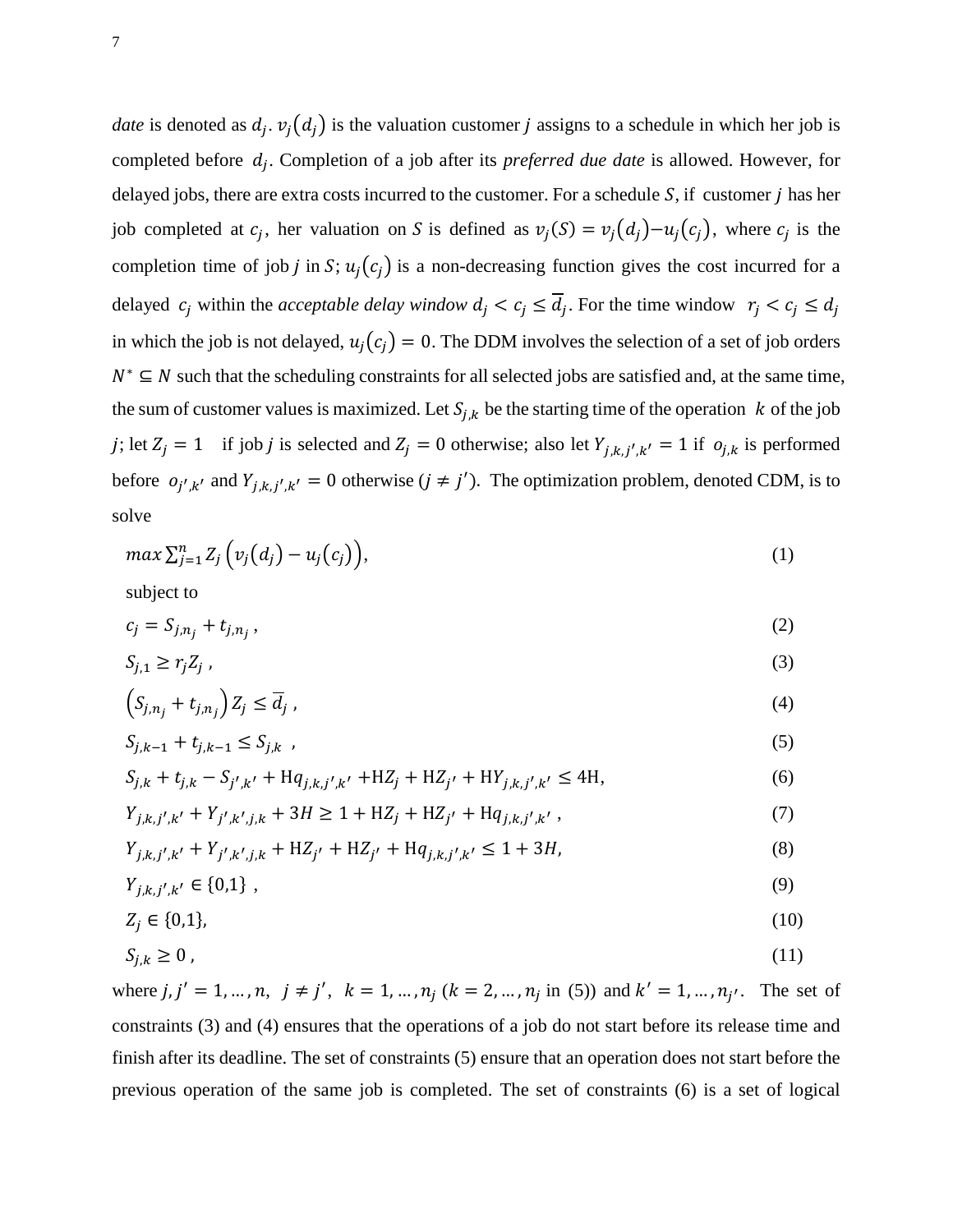*date* is denoted as  $d_i$ .  $v_i(d_i)$  is the valuation customer *j* assigns to a schedule in which her job is completed before  $d_i$ . Completion of a job after its *preferred due date* is allowed. However, for delayed jobs, there are extra costs incurred to the customer. For a schedule  $S$ , if customer j has her job completed at  $c_i$ , her valuation on S is defined as  $v_i(S) = v_i(d_i) - u_i(c_i)$ , where  $c_i$  is the completion time of job j in S;  $u_j(c_j)$  is a non-decreasing function gives the cost incurred for a delayed  $c_i$  within the *acceptable delay window*  $d_i < c_i \leq d_i$ . For the time window in which the job is not delayed,  $u_i(c_i) = 0$ . The DDM involves the selection of a set of job orders  $N^* \subseteq N$  such that the scheduling constraints for all selected jobs are satisfied and, at the same time, the sum of customer values is maximized. Let  $S_{j,k}$  be the starting time of the operation k of the job j; let  $Z_j = 1$  if job j is selected and  $Z_j = 0$  otherwise; also let  $Y_{j,k,j',k'} = 1$  if  $o_{j,k}$  is performed before  $o_{j',k'}$  and  $Y_{j,k,j',k'} = 0$  otherwise  $(j \neq j')$ . The optimization problem, denoted CDM, is to solve

$$
\max \sum_{j=1}^{n} Z_j \Big( v_j \big( d_j \big) - u_j \big( c_j \big) \Big), \tag{1}
$$

subject to

$$
c_j = S_{j,n_j} + t_{j,n_j},\tag{2}
$$

$$
S_{j,1} \ge r_j Z_j \tag{3}
$$

$$
\left(S_{j,n_j} + t_{j,n_j}\right) Z_j \le \overline{d}_j \tag{4}
$$

$$
S_{j,k-1} + t_{j,k-1} \le S_{j,k} \t\t(5)
$$

$$
S_{j,k} + t_{j,k} - S_{j',k'} + Hq_{j,k,j',k'} + HZ_j + HZ_{j'} + HY_{j,k,j',k'} \le 4H,
$$
\n<sup>(6)</sup>

$$
Y_{j,k,j',k'} + Y_{j',k',j,k} + 3H \ge 1 + HZ_j + HZ_{j'} + Hq_{j,k,j',k'} ,
$$
 (7)

$$
Y_{j,k,j',k'} + Y_{j',k',j,k} + HZ_{j'} + HZ_{j'} + Hq_{j,k,j',k'} \le 1 + 3H,
$$
\n(8)

$$
Y_{j,k,j',k'} \in \{0,1\} \tag{9}
$$

$$
Z_j \in \{0,1\},\tag{10}
$$

$$
S_{j,k} \ge 0 \tag{11}
$$

where  $j, j' = 1, ..., n, j \neq j'$ ,  $k = 1, ..., n_j$  ( $k = 2, ..., n_j$  in (5)) and  $k' = 1, ..., n_{j'}$ . The set of constraints (3) and (4) ensures that the operations of a job do not start before its release time and finish after its deadline. The set of constraints (5) ensure that an operation does not start before the previous operation of the same job is completed. The set of constraints (6) is a set of logical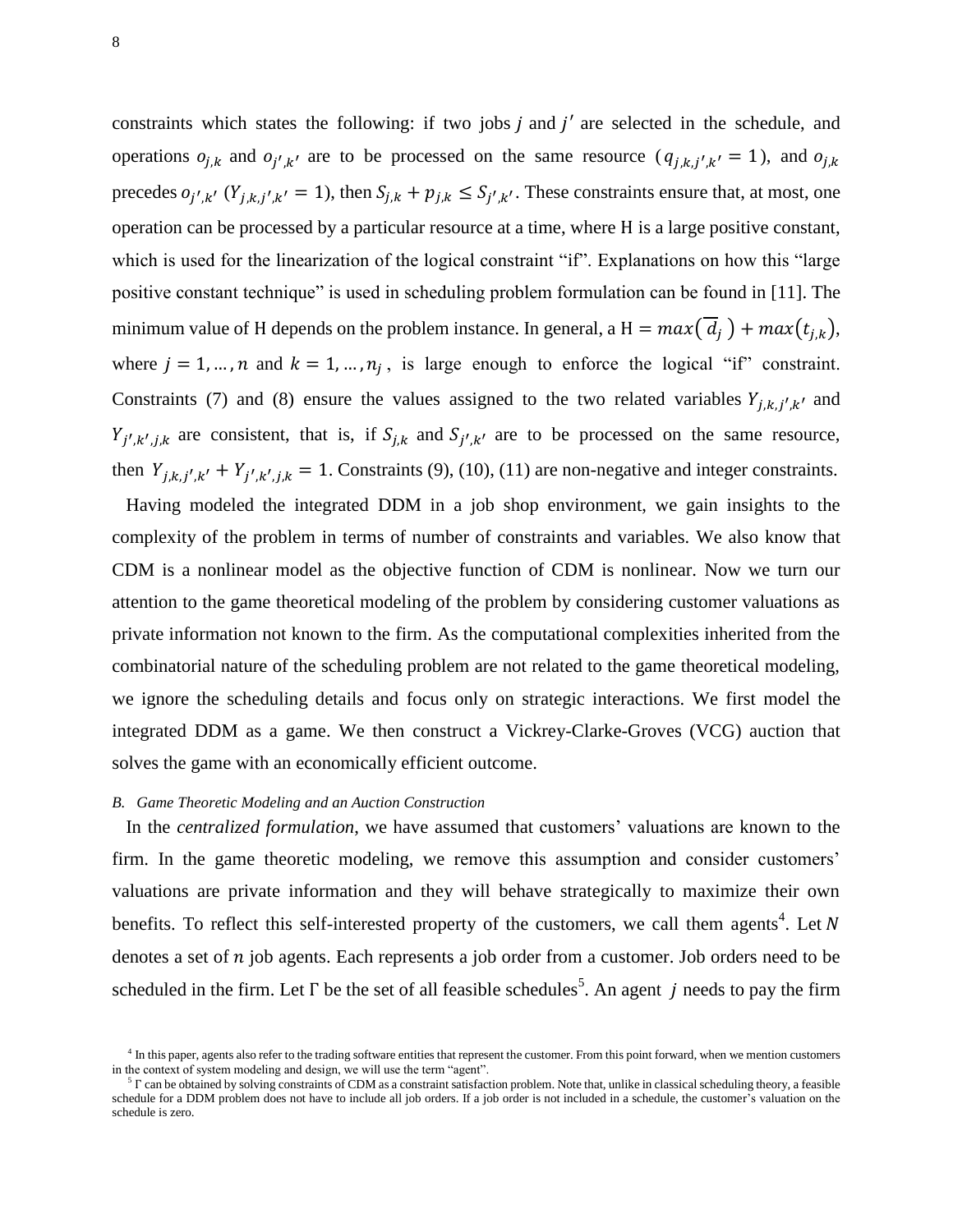constraints which states the following: if two jobs  $j$  and  $j'$  are selected in the schedule, and operations  $o_{j,k}$  and  $o_{j',k'}$  are to be processed on the same resource  $(q_{j,k,j',k'} = 1)$ , and o precedes  $o_{j',k'}$   $(Y_{j,k,j',k'} = 1)$ , then  $S_{j,k} + p_{j,k} \leq S_{j',k'}$ . These constraints ensure that, at most, one operation can be processed by a particular resource at a time, where H is a large positive constant, which is used for the linearization of the logical constraint "if". Explanations on how this "large positive constant technique" is used in scheduling problem formulation can be found in [11]. The minimum value of H depends on the problem instance. In general, a H =  $max(\overline{d_i}) + max(t_{i,k}),$ where  $j = 1, ..., n$  and  $k = 1, ..., n<sub>i</sub>$ , is large enough to enforce the logical "if" constraint. Constraints (7) and (8) ensure the values assigned to the two related variables  $Y_{j,k,j',k'}$  and  $Y_{j',k',j,k}$  are consistent, that is, if  $S_{j,k}$  and  $S_{j',k'}$  are to be processed on the same resource, then  $Y_{j,k,j',k'} + Y_{j',k',j,k} = 1$ . Constraints (9), (10), (11) are non-negative and integer constraints.

Having modeled the integrated DDM in a job shop environment, we gain insights to the complexity of the problem in terms of number of constraints and variables. We also know that CDM is a nonlinear model as the objective function of CDM is nonlinear. Now we turn our attention to the game theoretical modeling of the problem by considering customer valuations as private information not known to the firm. As the computational complexities inherited from the combinatorial nature of the scheduling problem are not related to the game theoretical modeling, we ignore the scheduling details and focus only on strategic interactions. We first model the integrated DDM as a game. We then construct a Vickrey-Clarke-Groves (VCG) auction that solves the game with an economically efficient outcome.

#### *B. Game Theoretic Modeling and an Auction Construction*

In the *centralized formulation*, we have assumed that customers' valuations are known to the firm. In the game theoretic modeling, we remove this assumption and consider customers' valuations are private information and they will behave strategically to maximize their own benefits. To reflect this self-interested property of the customers, we call them agents<sup>4</sup>. Let denotes a set of  $n$  job agents. Each represents a job order from a customer. Job orders need to be scheduled in the firm. Let  $\Gamma$  be the set of all feasible schedules<sup>5</sup>. An agent j needs to pay the firm

<sup>&</sup>lt;sup>4</sup> In this paper, agents also refer to the trading software entities that represent the customer. From this point forward, when we mention customers in the context of system modeling and design, we will use the term "agent".

 $5 \text{ C}$  can be obtained by solving constraints of CDM as a constraint satisfaction problem. Note that, unlike in classical scheduling theory, a feasible schedule for a DDM problem does not have to include all job orders. If a job order is not included in a schedule, the customer's valuation on the schedule is zero.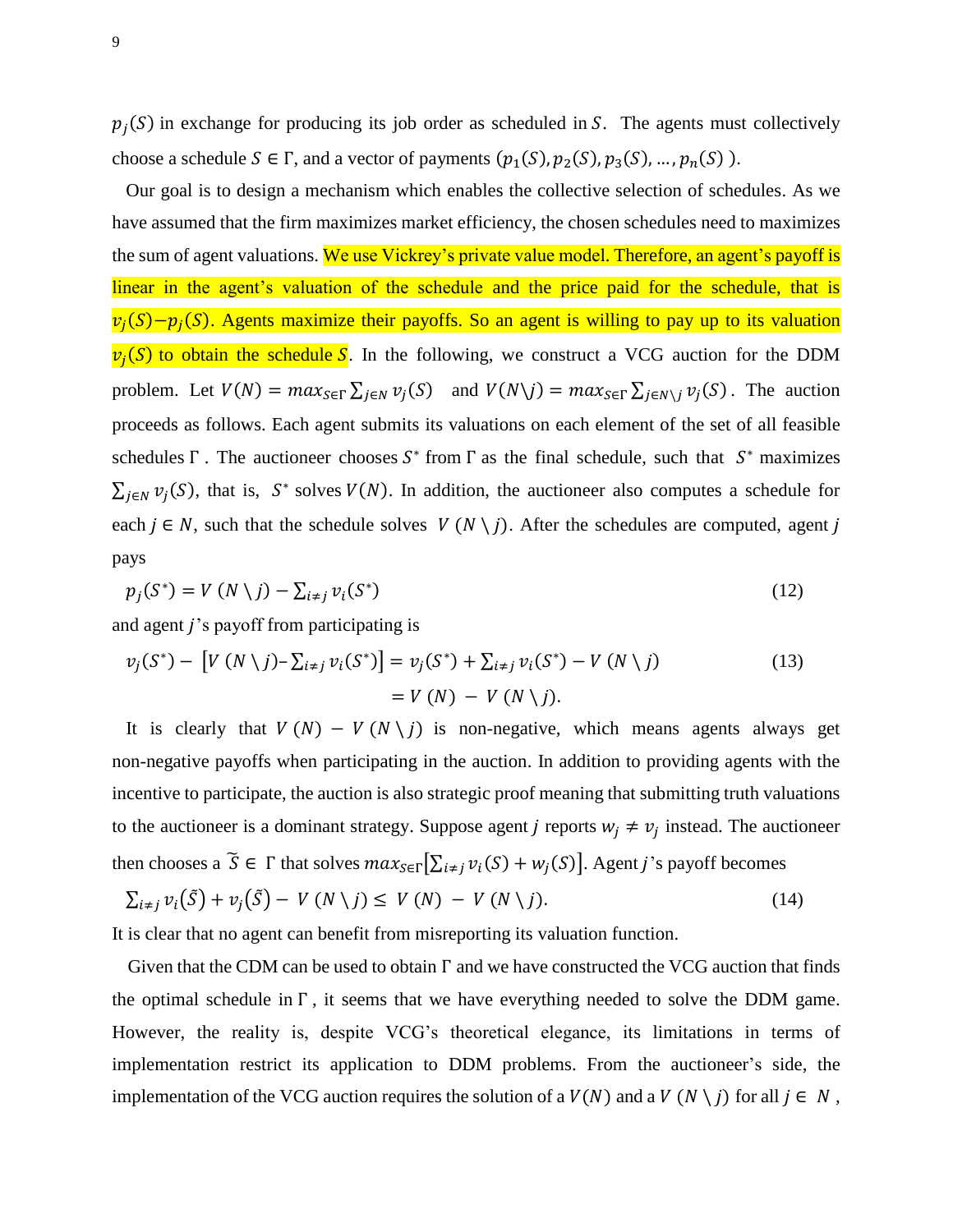$p_i(S)$  in exchange for producing its job order as scheduled in S. The agents must collectively choose a schedule  $S \in \Gamma$ , and a vector of payments  $(p_1(S), p_2(S), p_3(S), ..., p_n(S))$ .

Our goal is to design a mechanism which enables the collective selection of schedules. As we have assumed that the firm maximizes market efficiency, the chosen schedules need to maximizes the sum of agent valuations. We use Vickrey's private value model. Therefore, an agent's payoff is linear in the agent's valuation of the schedule and the price paid for the schedule, that is  $v_i(S) - p_i(S)$ . Agents maximize their payoffs. So an agent is willing to pay up to its valuation  $v_i(S)$  to obtain the schedule S. In the following, we construct a VCG auction for the DDM problem. Let  $V(N) = \max_{S \in \Gamma} \sum_{i \in N} v_i(S)$  and  $V(N \setminus j) = \max_{S \in \Gamma} \sum_{i \in N \setminus j} v_i(S)$ . The auction proceeds as follows. Each agent submits its valuations on each element of the set of all feasible schedules  $\Gamma$ . The auctioneer chooses  $S^*$  from  $\Gamma$  as the final schedule, such that  $S^*$  maximizes  $\sum_{i \in N} v_i(S)$ , that is, S<sup>\*</sup> solves  $V(N)$ . In addition, the auctioneer also computes a schedule for each  $j \in N$ , such that the schedule solves  $V(N \setminus j)$ . After the schedules are computed, agent j pays

$$
p_j(S^*) = V(N \setminus j) - \sum_{i \neq j} v_i(S^*)
$$
\n(12)

and agent  $j$ 's payoff from participating is

$$
v_j(S^*) - [V (N \setminus j) - \sum_{i \neq j} v_i(S^*)] = v_j(S^*) + \sum_{i \neq j} v_i(S^*) - V (N \setminus j)
$$
  
= V (N) - V (N \setminus j). (13)

It is clearly that  $V(N) - V(N \setminus j)$  is non-negative, which means agents always get non-negative payoffs when participating in the auction. In addition to providing agents with the incentive to participate, the auction is also strategic proof meaning that submitting truth valuations to the auctioneer is a dominant strategy. Suppose agent *j* reports  $w_i \neq v_j$  instead. The auctioneer then chooses a  $\tilde{S} \in \Gamma$  that solves  $max_{S \in \Gamma} [\sum_{i \neq j} v_i(S) + w_j(S)]$ . Agent j's payoff becomes

$$
\sum_{i \neq j} v_i(\tilde{S}) + v_j(\tilde{S}) - V(N \setminus j) \leq V(N) - V(N \setminus j). \tag{14}
$$

It is clear that no agent can benefit from misreporting its valuation function.

Given that the CDM can be used to obtain  $\Gamma$  and we have constructed the VCG auction that finds the optimal schedule in  $\Gamma$ , it seems that we have everything needed to solve the DDM game. However, the reality is, despite VCG's theoretical elegance, its limitations in terms of implementation restrict its application to DDM problems. From the auctioneer's side, the implementation of the VCG auction requires the solution of a  $V(N)$  and a  $V(N \setminus j)$  for all  $j \in N$ ,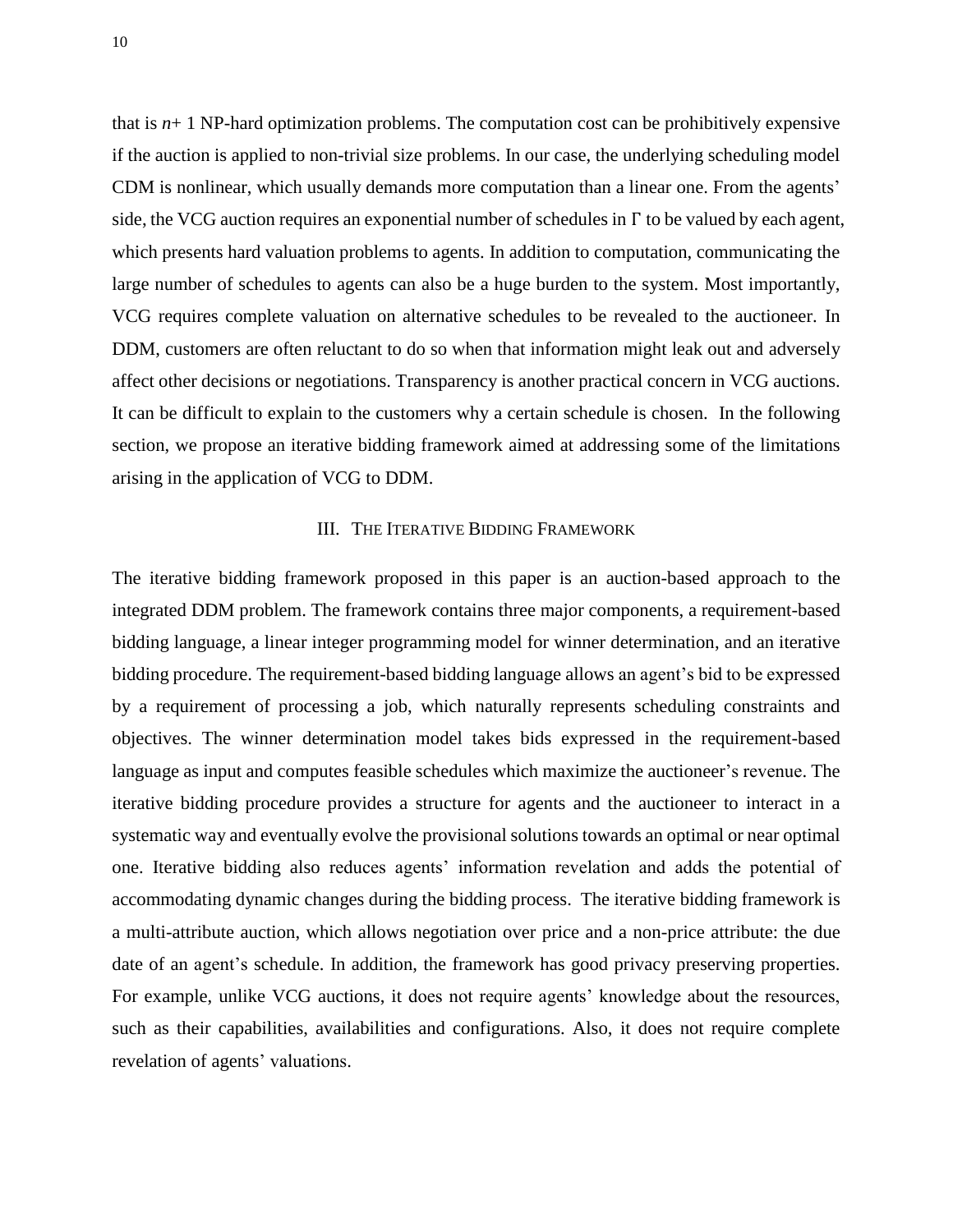that is  $n+1$  NP-hard optimization problems. The computation cost can be prohibitively expensive if the auction is applied to non-trivial size problems. In our case, the underlying scheduling model CDM is nonlinear, which usually demands more computation than a linear one. From the agents' side, the VCG auction requires an exponential number of schedules in  $\Gamma$  to be valued by each agent, which presents hard valuation problems to agents. In addition to computation, communicating the large number of schedules to agents can also be a huge burden to the system. Most importantly, VCG requires complete valuation on alternative schedules to be revealed to the auctioneer. In DDM, customers are often reluctant to do so when that information might leak out and adversely affect other decisions or negotiations. Transparency is another practical concern in VCG auctions. It can be difficult to explain to the customers why a certain schedule is chosen. In the following section, we propose an iterative bidding framework aimed at addressing some of the limitations arising in the application of VCG to DDM.

#### III. THE ITERATIVE BIDDING FRAMEWORK

The iterative bidding framework proposed in this paper is an auction-based approach to the integrated DDM problem. The framework contains three major components, a requirement-based bidding language, a linear integer programming model for winner determination, and an iterative bidding procedure. The requirement-based bidding language allows an agent's bid to be expressed by a requirement of processing a job, which naturally represents scheduling constraints and objectives. The winner determination model takes bids expressed in the requirement-based language as input and computes feasible schedules which maximize the auctioneer's revenue. The iterative bidding procedure provides a structure for agents and the auctioneer to interact in a systematic way and eventually evolve the provisional solutions towards an optimal or near optimal one. Iterative bidding also reduces agents' information revelation and adds the potential of accommodating dynamic changes during the bidding process. The iterative bidding framework is a multi-attribute auction, which allows negotiation over price and a non-price attribute: the due date of an agent's schedule. In addition, the framework has good privacy preserving properties. For example, unlike VCG auctions, it does not require agents' knowledge about the resources, such as their capabilities, availabilities and configurations. Also, it does not require complete revelation of agents' valuations.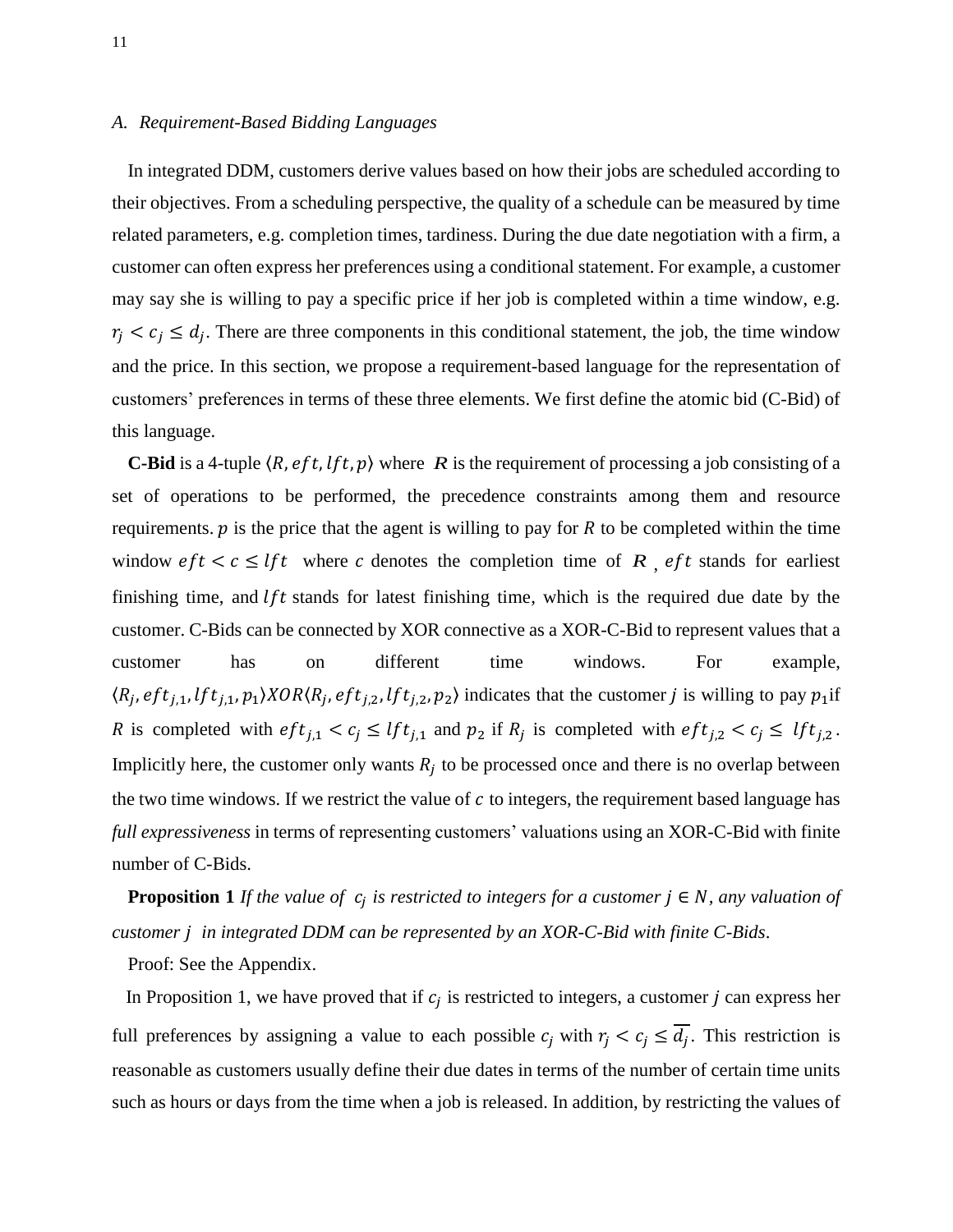## *A. Requirement-Based Bidding Languages*

In integrated DDM, customers derive values based on how their jobs are scheduled according to their objectives. From a scheduling perspective, the quality of a schedule can be measured by time related parameters, e.g. completion times, tardiness. During the due date negotiation with a firm, a customer can often express her preferences using a conditional statement. For example, a customer may say she is willing to pay a specific price if her job is completed within a time window, e.g.  $r_i < c_i \le d_i$ . There are three components in this conditional statement, the job, the time window and the price. In this section, we propose a requirement-based language for the representation of customers' preferences in terms of these three elements. We first define the atomic bid (C-Bid) of this language.

**C-Bid** is a 4-tuple  $\langle R, eft, lft, p \rangle$  where R is the requirement of processing a job consisting of a set of operations to be performed, the precedence constraints among them and resource requirements.  $\dot{p}$  is the price that the agent is willing to pay for R to be completed within the time window  $\text{eft} < \text{c} \leq \text{lft}$  where  $\text{c}$  denotes the completion time of  $\text{R}$ ,  $\text{eft}$  stands for earliest finishing time, and  $lft$  stands for latest finishing time, which is the required due date by the customer. C-Bids can be connected by XOR connective as a XOR-C-Bid to represent values that a customer has on different time windows. For example,  $\langle R_i, eft_{i,1}, lft_{i,1}, p_1 \rangle XOR \langle R_i, eft_{i,2}, lft_{i,2}, p_2 \rangle$  indicates that the customer j is willing to pay  $p_1$  if R is completed with  $eff_{i,1} < c_i \leq lft_{i,1}$  and  $p_2$  if  $R_i$  is completed with  $eff_{i,2} < c_i \leq lft_{i,2}$ . Implicitly here, the customer only wants  $R_i$  to be processed once and there is no overlap between the two time windows. If we restrict the value of  $c$  to integers, the requirement based language has *full expressiveness* in terms of representing customers' valuations using an XOR-C-Bid with finite number of C-Bids.

**Proposition 1** If the value of  $c_i$  is restricted to integers for a customer  $j \in N$ , any valuation of *customer in integrated DDM can be represented by an XOR-C-Bid with finite C-Bids*.

Proof: See the Appendix.

In Proposition 1, we have proved that if  $c_i$  is restricted to integers, a customer j can express her full preferences by assigning a value to each possible  $c_i$  with  $r_i < c_j \leq d_i$ . This restriction is reasonable as customers usually define their due dates in terms of the number of certain time units such as hours or days from the time when a job is released. In addition, by restricting the values of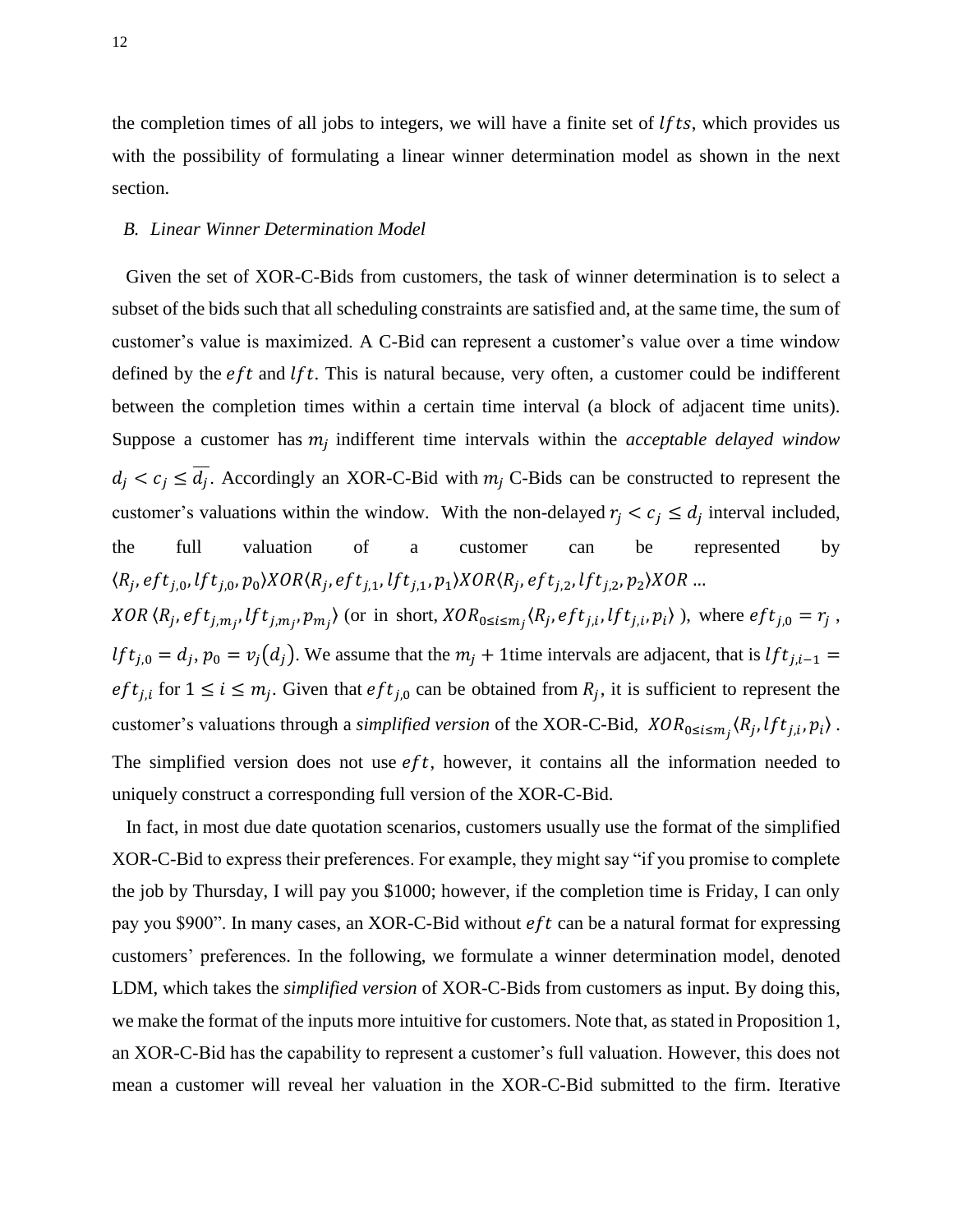the completion times of all jobs to integers, we will have a finite set of  $lfts$ , which provides us with the possibility of formulating a linear winner determination model as shown in the next section.

#### *B. Linear Winner Determination Model*

Given the set of XOR-C-Bids from customers, the task of winner determination is to select a subset of the bids such that all scheduling constraints are satisfied and, at the same time, the sum of customer's value is maximized. A C-Bid can represent a customer's value over a time window defined by the  $eft$  and  $lft$ . This is natural because, very often, a customer could be indifferent between the completion times within a certain time interval (a block of adjacent time units). Suppose a customer has  $m_i$  indifferent time intervals within the *acceptable delayed window*  $d_i < c_i \leq d_i$ . Accordingly an XOR-C-Bid with  $m_i$  C-Bids can be constructed to represent the customer's valuations within the window. With the non-delayed  $r_i < c_i \le d_i$  interval included, the full valuation of a customer can be represented by  $\langle R_i, eft_{i,0}, lft_{i,0}, p_0 \rangle XOR \langle R_i, eft_{i,1}, lft_{i,1}, p_1 \rangle XOR \langle R_i, eft_{i,2}, lft_{i,2}, p_2 \rangle X$ XOR  $(R_i, eft_{i,m_i}, lft_{i,m_i}, p_{m_i})$  (or in short,  $XOR_{0 \le i \le m_i}$ ,  $(R_i, eft_{i,i}, lft_{i,i}, p_i)$ ), where  $eft_{i,0} = r_i$ ,  $l f t_{i,0} = d_i$ ,  $p_0 = v_i(d_i)$ . We assume that the  $m_i + 1$  time intervals are adjacent, that is l eft<sub>ij</sub> for  $1 \le i \le m_i$ . Given that eft<sub>ij</sub> can be obtained from  $R_i$ , it is sufficient to represent the customer's valuations through a *simplified version* of the XOR-C-Bid,  $XOR_{0 \le i \le m}$ ,  $\langle R_i, lft_{i,i}, p_i \rangle$ . The simplified version does not use  $eft$ , however, it contains all the information needed to uniquely construct a corresponding full version of the XOR-C-Bid.

In fact, in most due date quotation scenarios, customers usually use the format of the simplified XOR-C-Bid to express their preferences. For example, they might say "if you promise to complete the job by Thursday, I will pay you \$1000; however, if the completion time is Friday, I can only pay you \$900". In many cases, an XOR-C-Bid without  $eft$  can be a natural format for expressing customers' preferences. In the following, we formulate a winner determination model, denoted LDM, which takes the *simplified version* of XOR-C-Bids from customers as input. By doing this, we make the format of the inputs more intuitive for customers. Note that, as stated in Proposition 1, an XOR-C-Bid has the capability to represent a customer's full valuation. However, this does not mean a customer will reveal her valuation in the XOR-C-Bid submitted to the firm. Iterative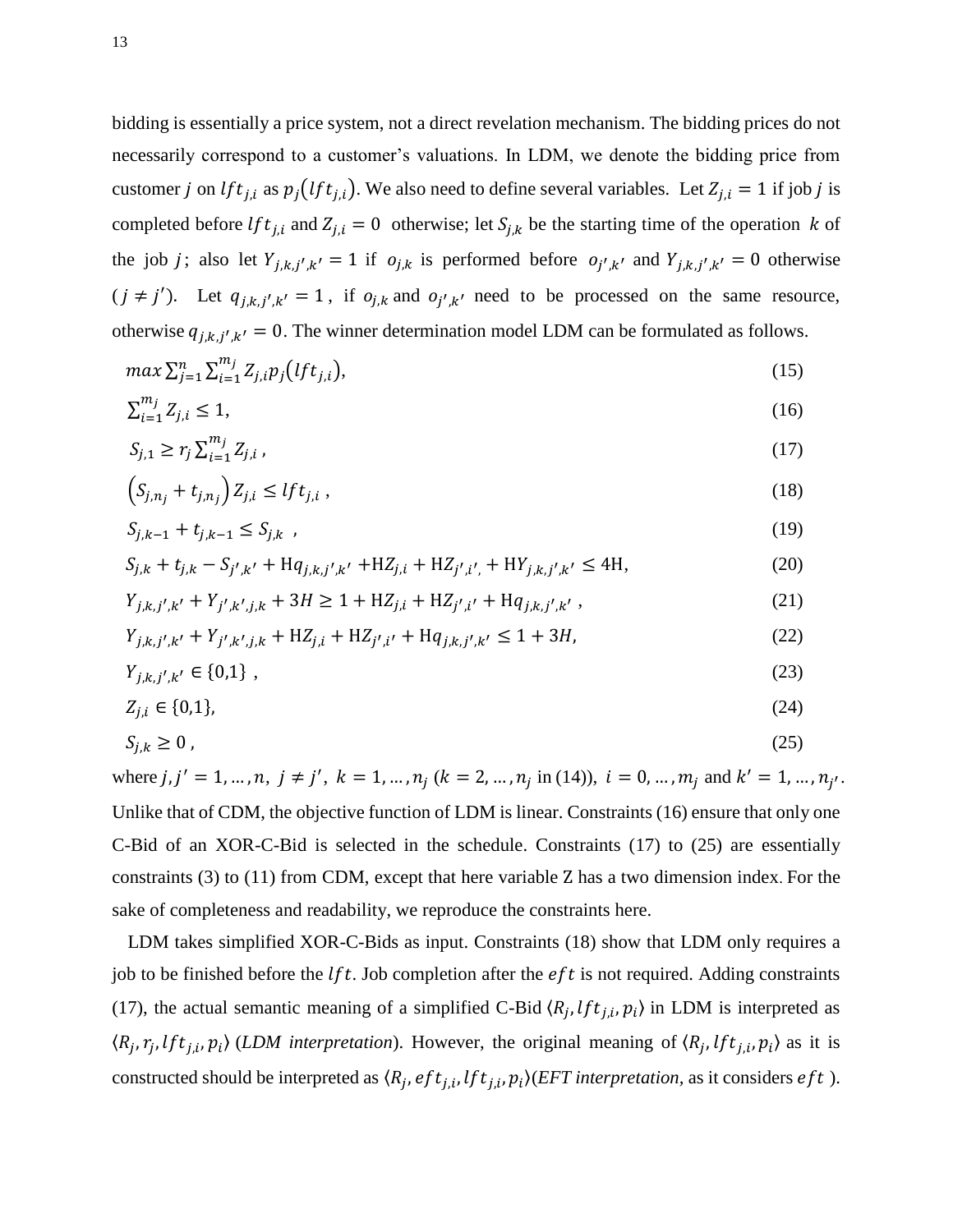bidding is essentially a price system, not a direct revelation mechanism. The bidding prices do not necessarily correspond to a customer's valuations. In LDM, we denote the bidding price from customer j on  $lft_{j,i}$  as  $p_j(lft_{j,i})$ . We also need to define several variables. Let  $Z_{j,i} = 1$  if job j is completed before  $lft_{j,i}$  and  $Z_{j,i} = 0$  otherwise; let  $S_{j,k}$  be the starting time of the operation k of the job *j*; also let  $Y_{j,k,j',k'} = 1$  if  $o_{j,k}$  is performed before  $o_{j',k'}$  and  $Y_{j,k,j',k'} = 0$  otherwise  $(j \neq j')$ . Let  $q_{j,k,j',k'} = 1$ , if  $o_{j,k}$  and  $o_{j',k'}$  need to be processed on the same resource, otherwise  $q_{j,k,j',k'} = 0$ . The winner determination model LDM can be formulated as follows.

$$
\max \sum_{j=1}^{n} \sum_{i=1}^{m_j} Z_{j,i} p_j \big( l f t_{j,i} \big),\tag{15}
$$

$$
\sum_{i=1}^{m_j} Z_{j,i} \le 1,\tag{16}
$$

$$
S_{j,1} \ge r_j \sum_{i=1}^{m_j} Z_{j,i} \tag{17}
$$

$$
\left(S_{j,n_j} + t_{j,n_j}\right) Z_{j,i} \leq l f t_{j,i} \tag{18}
$$

$$
S_{j,k-1} + t_{j,k-1} \le S_{j,k} \tag{19}
$$

$$
S_{j,k} + t_{j,k} - S_{j',k'} + Hq_{j,k,j',k'} + HZ_{j,i} + HZ_{j',i'} + HY_{j,k,j',k'} \le 4H,
$$
\n(20)

$$
Y_{j,k,j',k'} + Y_{j',k',j,k} + 3H \ge 1 + HZ_{j,i} + HZ_{j',i'} + Hq_{j,k,j',k'} ,
$$
\n(21)

$$
Y_{j,k,j',k'} + Y_{j',k',j,k} + HZ_{j,i} + HZ_{j',i'} + Hq_{j,k,j',k'} \le 1 + 3H,
$$
\n(22)

$$
Y_{j,k,j',k'} \in \{0,1\} \tag{23}
$$

$$
Z_{j,i} \in \{0,1\},\tag{24}
$$

$$
S_{j,k} \ge 0 \tag{25}
$$

where  $j, j' = 1, ..., n, j \neq j'$ ,  $k = 1, ..., n_j$  ( $k = 2, ..., n_j$  in (14)),  $i = 0, ..., m_j$  and  $k' = 1, ..., n_{j'}$ . Unlike that of CDM, the objective function of LDM is linear. Constraints (16) ensure that only one C-Bid of an XOR-C-Bid is selected in the schedule. Constraints (17) to (25) are essentially constraints  $(3)$  to  $(11)$  from CDM, except that here variable Z has a two dimension index. For the sake of completeness and readability, we reproduce the constraints here.

LDM takes simplified XOR-C-Bids as input. Constraints (18) show that LDM only requires a job to be finished before the  $lft$ . Job completion after the  $eft$  is not required. Adding constraints (17), the actual semantic meaning of a simplified C-Bid  $\langle R_i, lft_{i,i}, p_i \rangle$  in LDM is interpreted as  $\langle R_i, r_i, lft_{i,i}, p_i \rangle$  (*LDM* interpretation). However, the original meaning of  $\langle R_i, lft_{i,i}, p_i \rangle$  as it is constructed should be interpreted as  $\langle R_i, eft_{i,i}, lft_{i,i}, p_i \rangle$  (*EFT interpretation*, as it considers *eft*).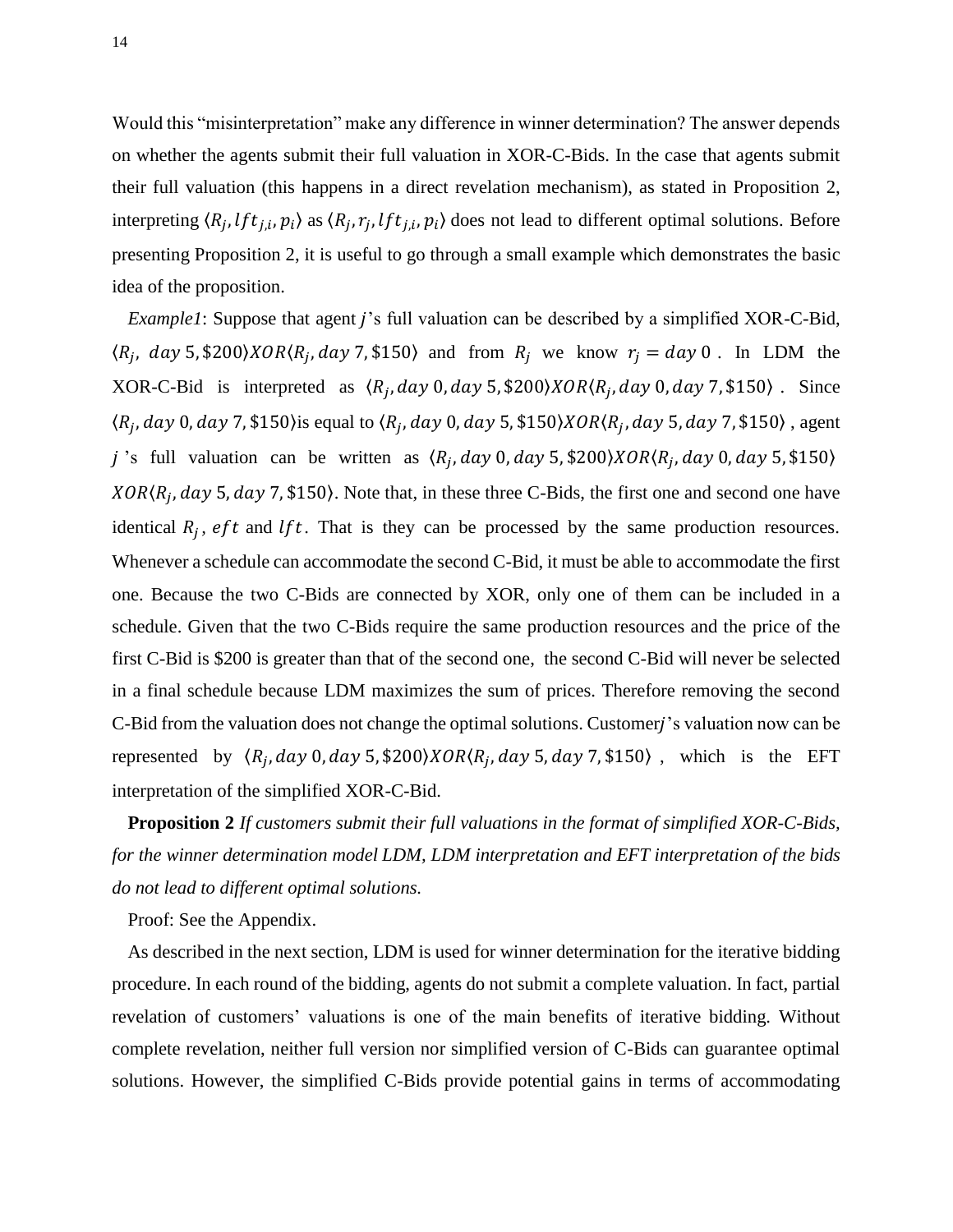Would this "misinterpretation" make any difference in winner determination? The answer depends on whether the agents submit their full valuation in XOR-C-Bids. In the case that agents submit their full valuation (this happens in a direct revelation mechanism), as stated in Proposition 2, interpreting  $\langle R_i, lft_{i,i}, p_i \rangle$  as  $\langle R_i, r_i, lft_{i,i}, p_i \rangle$  does not lead to different optimal solutions. Before presenting Proposition 2, it is useful to go through a small example which demonstrates the basic idea of the proposition.

*Example1*: Suppose that agent *j*'s full valuation can be described by a simplified XOR-C-Bid,  $\langle R_i, day 5, $200 \rangle XOR \langle R_i, day 7, $150 \rangle$  and from  $R_i$  we know  $r_i = day 0$ . In LDM the XOR-C-Bid is interpreted as  $(R_i, day\ 0, day\ 5, $200\rangle XOR \langle R_i, day\ 0, day\ 7, $150\rangle$ . Since  $\langle R_i, day\ 0, day\ 7, $150 \rangle$  is equal to  $\langle R_i, day\ 0, day\ 5, $150 \rangle XOR \langle R_i, day\ 5, day\ 7, $150 \rangle$ , agent j 's full valuation can be written as  $(R_i, day\ 0, day\ 5, $200\rangle XOR \langle R_i, day\ 0, day\ 5, $150\rangle$  $XOR(R_i, day 5, day 7, $150)$ . Note that, in these three C-Bids, the first one and second one have identical  $R_i$ ,  $eft$  and  $lft$ . That is they can be processed by the same production resources. Whenever a schedule can accommodate the second C-Bid, it must be able to accommodate the first one. Because the two C-Bids are connected by XOR, only one of them can be included in a schedule. Given that the two C-Bids require the same production resources and the price of the first C-Bid is \$200 is greater than that of the second one, the second C-Bid will never be selected in a final schedule because LDM maximizes the sum of prices. Therefore removing the second C-Bid from the valuation does not change the optimal solutions. Customer 's valuation now can be represented by  $\langle R_i, day\ 0, day\ 5, $200\rangle XOR \langle R_i, day\ 5, day\ 7, $150\rangle$ , which is the EFT interpretation of the simplified XOR-C-Bid.

**Proposition 2** *If customers submit their full valuations in the format of simplified XOR-C-Bids, for the winner determination model LDM, LDM interpretation and EFT interpretation of the bids do not lead to different optimal solutions.* 

Proof: See the Appendix.

As described in the next section, LDM is used for winner determination for the iterative bidding procedure. In each round of the bidding, agents do not submit a complete valuation. In fact, partial revelation of customers' valuations is one of the main benefits of iterative bidding. Without complete revelation, neither full version nor simplified version of C-Bids can guarantee optimal solutions. However, the simplified C-Bids provide potential gains in terms of accommodating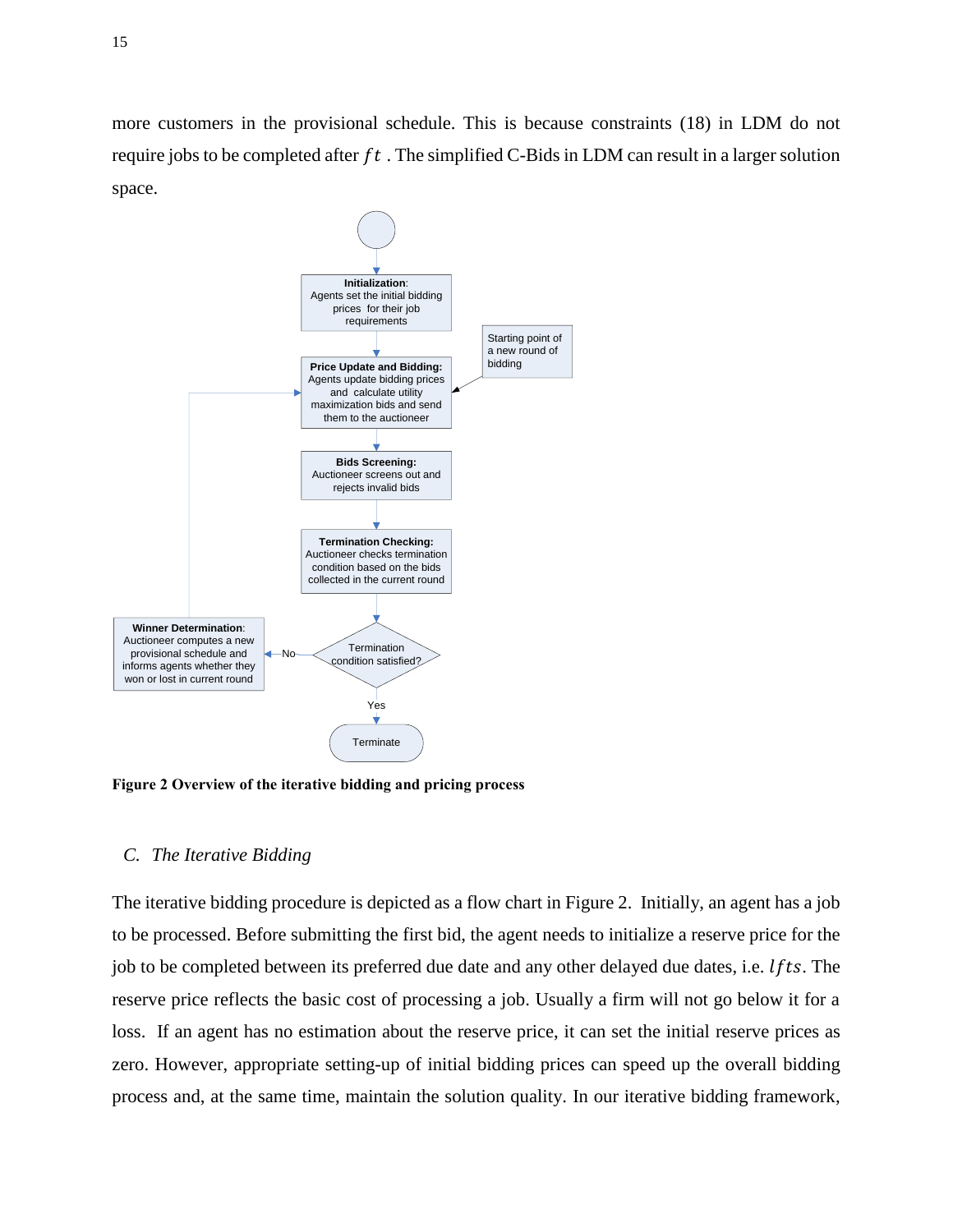more customers in the provisional schedule. This is because constraints (18) in LDM do not require jobs to be completed after  $ft$ . The simplified C-Bids in LDM can result in a larger solution space.



**Figure 2 Overview of the iterative bidding and pricing process** 

## *C. The Iterative Bidding*

The iterative bidding procedure is depicted as a flow chart in Figure 2. Initially, an agent has a job to be processed. Before submitting the first bid, the agent needs to initialize a reserve price for the job to be completed between its preferred due date and any other delayed due dates, i.e.  $lfts$ . The reserve price reflects the basic cost of processing a job. Usually a firm will not go below it for a loss. If an agent has no estimation about the reserve price, it can set the initial reserve prices as zero. However, appropriate setting-up of initial bidding prices can speed up the overall bidding process and, at the same time, maintain the solution quality. In our iterative bidding framework,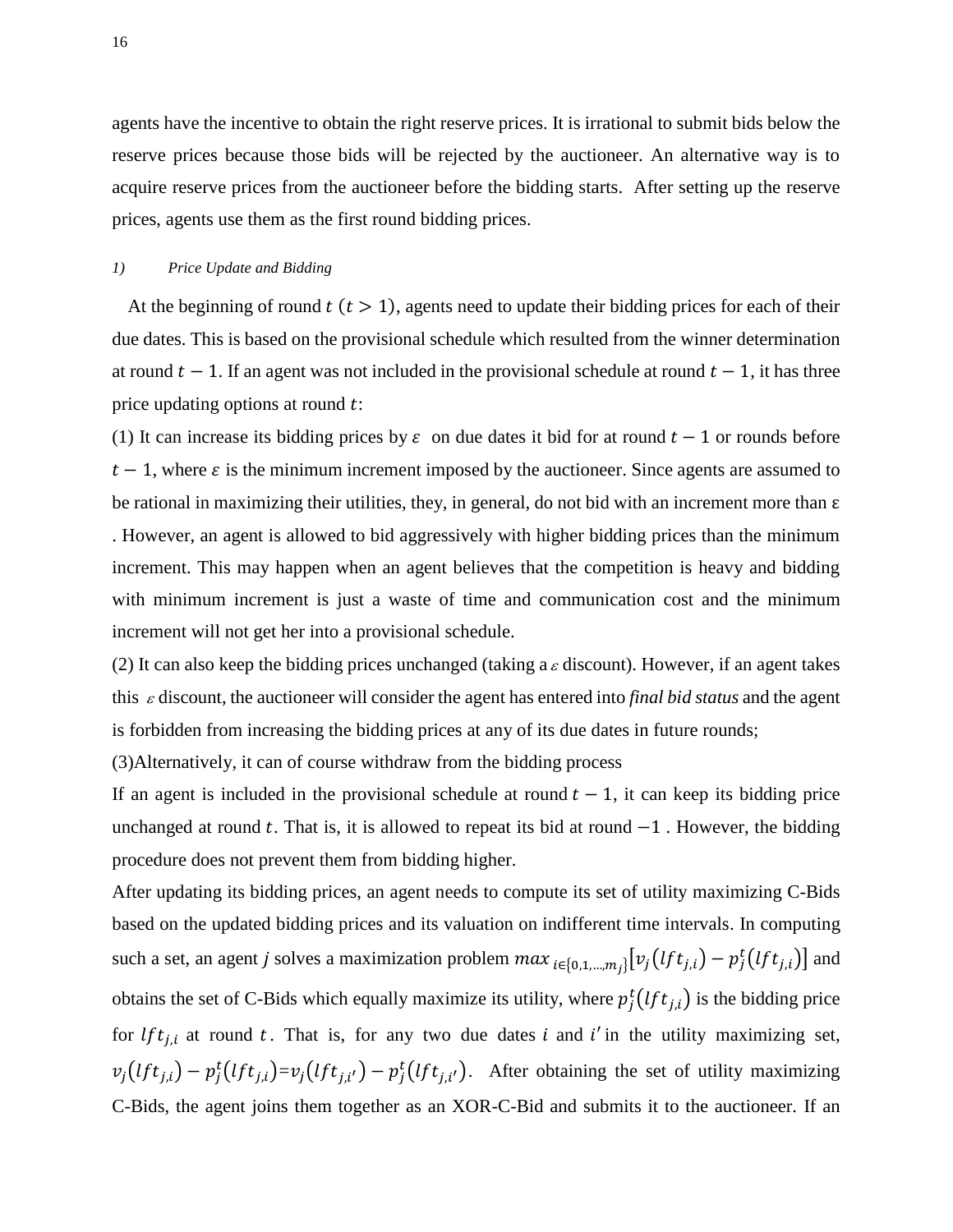agents have the incentive to obtain the right reserve prices. It is irrational to submit bids below the reserve prices because those bids will be rejected by the auctioneer. An alternative way is to acquire reserve prices from the auctioneer before the bidding starts. After setting up the reserve prices, agents use them as the first round bidding prices.

#### *1) Price Update and Bidding*

At the beginning of round  $t (t > 1)$ , agents need to update their bidding prices for each of their due dates. This is based on the provisional schedule which resulted from the winner determination at round  $t - 1$ . If an agent was not included in the provisional schedule at round  $t - 1$ , it has three price updating options at round  $t$ :

(1) It can increase its bidding prices by  $\varepsilon$  on due dates it bid for at round  $t-1$  or rounds before  $t-1$ , where  $\varepsilon$  is the minimum increment imposed by the auctioneer. Since agents are assumed to be rational in maximizing their utilities, they, in general, do not bid with an increment more than  $\varepsilon$ 

. However, an agent is allowed to bid aggressively with higher bidding prices than the minimum increment. This may happen when an agent believes that the competition is heavy and bidding with minimum increment is just a waste of time and communication cost and the minimum increment will not get her into a provisional schedule.

(2) It can also keep the bidding prices unchanged (taking a  $\varepsilon$  discount). However, if an agent takes this  $\varepsilon$  discount, the auctioneer will consider the agent has entered into *final bid status* and the agent is forbidden from increasing the bidding prices at any of its due dates in future rounds;

(3)Alternatively, it can of course withdraw from the bidding process

If an agent is included in the provisional schedule at round  $t - 1$ , it can keep its bidding price unchanged at round t. That is, it is allowed to repeat its bid at round  $-1$ . However, the bidding procedure does not prevent them from bidding higher.

After updating its bidding prices, an agent needs to compute its set of utility maximizing C-Bids based on the updated bidding prices and its valuation on indifferent time intervals. In computing such a set, an agent j solves a maximization problem  $max_{i \in \{0,1,\dots,m_i\}} [v_j(lft_{j,i}) - p_j^t(lft_{j,i})]$  and obtains the set of C-Bids which equally maximize its utility, where  $p_i^t(lft_{i,i})$  is the bidding price for *lft<sub>i,i</sub>* at round t. That is, for any two due dates i and i' in the utility maximizing set,  $v_i(lft_{i,i}) - p_i^t(lft_{i,i}) = v_i(lft_{i,i'}) - p_i^t(lft_{i,i'})$ . After obtaining the set of utility maximizing C-Bids, the agent joins them together as an XOR-C-Bid and submits it to the auctioneer. If an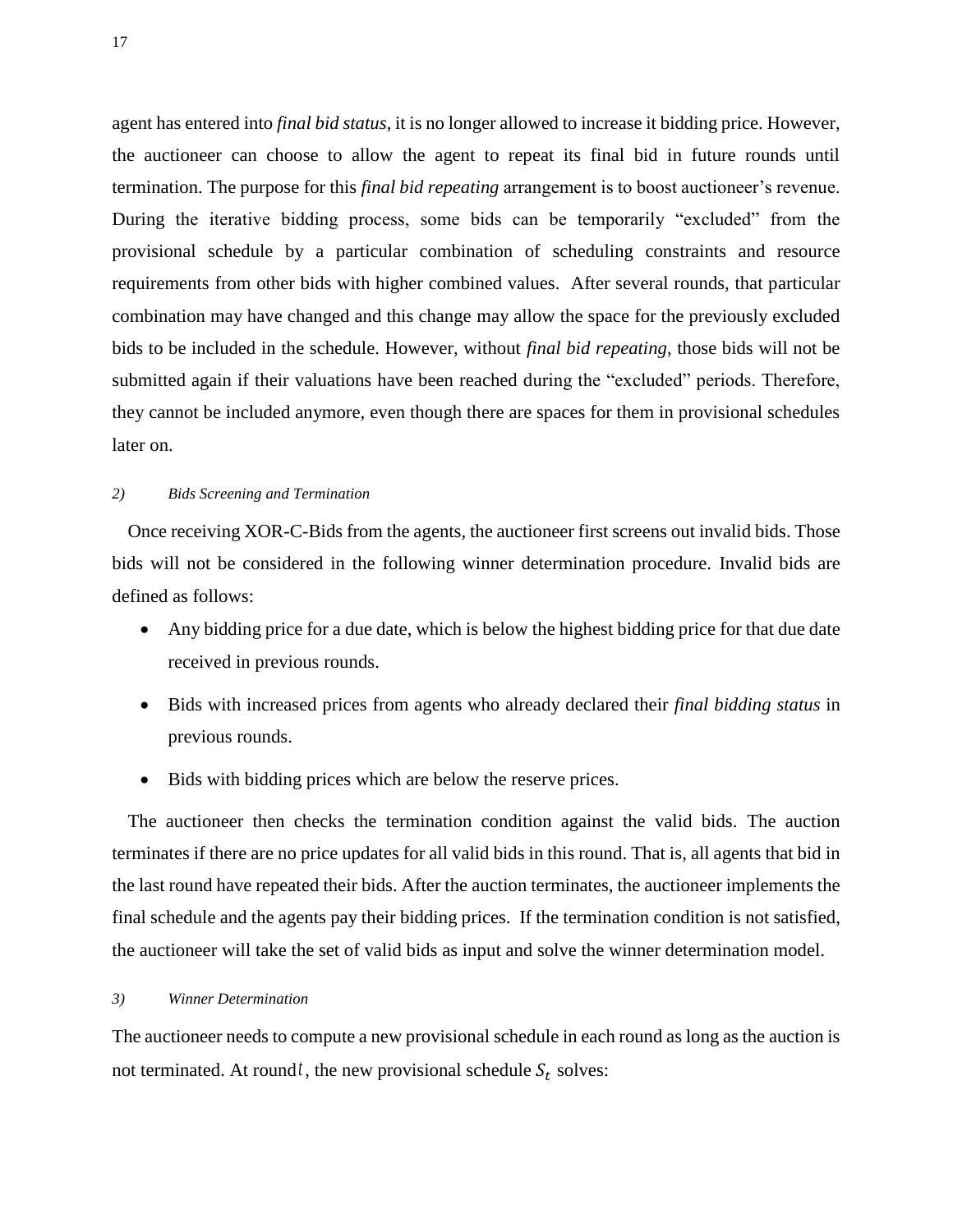agent has entered into *final bid status*, it is no longer allowed to increase it bidding price. However, the auctioneer can choose to allow the agent to repeat its final bid in future rounds until termination. The purpose for this *final bid repeating* arrangement is to boost auctioneer's revenue. During the iterative bidding process, some bids can be temporarily "excluded" from the provisional schedule by a particular combination of scheduling constraints and resource requirements from other bids with higher combined values. After several rounds, that particular combination may have changed and this change may allow the space for the previously excluded bids to be included in the schedule. However, without *final bid repeating*, those bids will not be submitted again if their valuations have been reached during the "excluded" periods. Therefore, they cannot be included anymore, even though there are spaces for them in provisional schedules later on.

#### *2) Bids Screening and Termination*

Once receiving XOR-C-Bids from the agents, the auctioneer first screens out invalid bids. Those bids will not be considered in the following winner determination procedure. Invalid bids are defined as follows:

- Any bidding price for a due date, which is below the highest bidding price for that due date received in previous rounds.
- Bids with increased prices from agents who already declared their *final bidding status* in previous rounds.
- Bids with bidding prices which are below the reserve prices.

The auctioneer then checks the termination condition against the valid bids. The auction terminates if there are no price updates for all valid bids in this round. That is, all agents that bid in the last round have repeated their bids. After the auction terminates, the auctioneer implements the final schedule and the agents pay their bidding prices. If the termination condition is not satisfied, the auctioneer will take the set of valid bids as input and solve the winner determination model.

#### *3) Winner Determination*

The auctioneer needs to compute a new provisional schedule in each round as long as the auction is not terminated. At round<sup>t</sup>, the new provisional schedule  $S_t$  solves: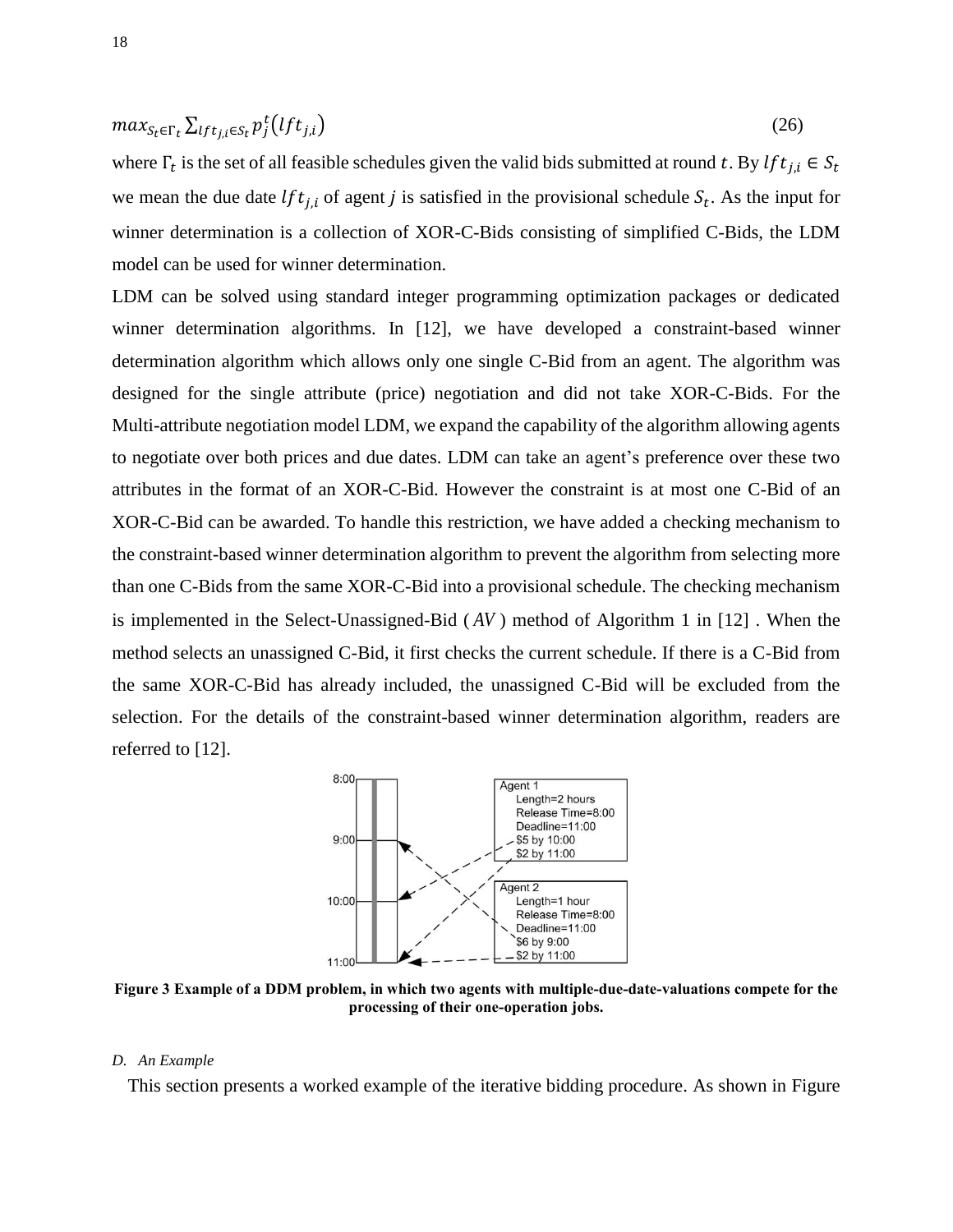$$
max_{S_t \in \Gamma_t} \sum_{lft_{j,i} \in S_t} p_j^t(lft_{j,i})
$$
\n(26)

where  $\Gamma_t$  is the set of all feasible schedules given the valid bids submitted at round t. By we mean the due date *lft*<sub>ii</sub> of agent j is satisfied in the provisional schedule  $S_t$ . As the input for winner determination is a collection of XOR-C-Bids consisting of simplified C-Bids, the LDM model can be used for winner determination.

LDM can be solved using standard integer programming optimization packages or dedicated winner determination algorithms. In [12], we have developed a constraint-based winner determination algorithm which allows only one single C-Bid from an agent. The algorithm was designed for the single attribute (price) negotiation and did not take XOR-C-Bids. For the Multi-attribute negotiation model LDM, we expand the capability of the algorithm allowing agents to negotiate over both prices and due dates. LDM can take an agent's preference over these two attributes in the format of an XOR-C-Bid. However the constraint is at most one C-Bid of an XOR-C-Bid can be awarded. To handle this restriction, we have added a checking mechanism to the constraint-based winner determination algorithm to prevent the algorithm from selecting more than one C-Bids from the same XOR-C-Bid into a provisional schedule. The checking mechanism is implemented in the Select-Unassigned-Bid ( *AV* ) method of Algorithm 1 in [12] . When the method selects an unassigned C-Bid, it first checks the current schedule. If there is a C-Bid from the same XOR-C-Bid has already included, the unassigned C-Bid will be excluded from the selection. For the details of the constraint-based winner determination algorithm, readers are referred to [12].



**Figure 3 Example of a DDM problem, in which two agents with multiple-due-date-valuations compete for the processing of their one-operation jobs.**

#### *D. An Example*

This section presents a worked example of the iterative bidding procedure. As shown in Figure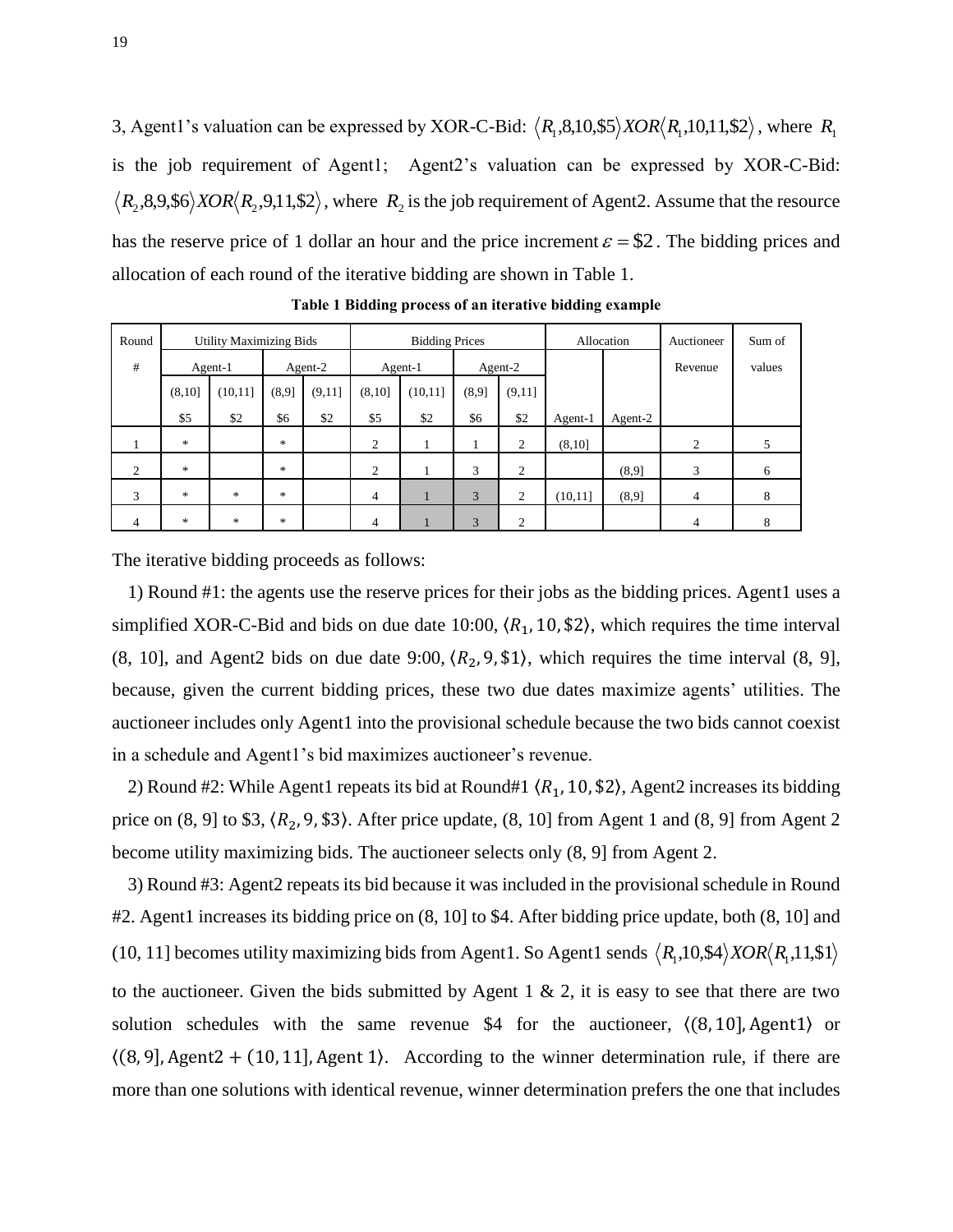3, Agent1's valuation can be expressed by XOR-C-Bid:  $\langle R_1, 8, 10, \$5 \rangle XOR \langle R_1, 10, 11, \$2 \rangle$ , where  $R_1$ is the job requirement of Agent1; Agent2's valuation can be expressed by XOR-C-Bid:  $R_2$ ,8,9,\$6 $\rangle$ *XOR* $\langle R_2$ ,9,11,\$2 $\rangle$ , where  $R_2$  is the job requirement of Agent2. Assume that the resource has the reserve price of 1 dollar an hour and the price increment  $\varepsilon = $2$ . The bidding prices and allocation of each round of the iterative bidding are shown in Table 1.

| Round          | <b>Utility Maximizing Bids</b> |          |       |         | <b>Bidding Prices</b> |         |         | Allocation     |          | Auctioneer | Sum of  |        |
|----------------|--------------------------------|----------|-------|---------|-----------------------|---------|---------|----------------|----------|------------|---------|--------|
| #              |                                | Agent-1  |       | Agent-2 |                       | Agent-1 | Agent-2 |                |          |            | Revenue | values |
|                | (8,10]                         | (10, 11] | (8,9) | (9,11]  | (8, 10]               | (10,11] | (8,9]   | (9,11]         |          |            |         |        |
|                | \$5                            | \$2      | \$6   | \$2     | \$5                   | \$2     | \$6     | \$2            | Agent-1  | Agent-2    |         |        |
|                | $\ast$                         |          | *     |         | 2                     |         |         | $\overline{2}$ | (8,10]   |            | 2       | 5      |
| 2              | $\ast$                         |          | *     |         | $\overline{2}$        |         | 3       | $\overline{2}$ |          | (8,9)      | 3       | 6      |
| 3              | $\ast$                         | $\ast$   | *     |         | 4                     | п       | 3       | $\overline{2}$ | (10, 11] | (8,9)      | 4       | 8      |
| $\overline{4}$ | $\ast$                         | ∗        | *     |         | 4                     |         | 3       | $\overline{2}$ |          |            | 4       | 8      |

**Table 1 Bidding process of an iterative bidding example**

The iterative bidding proceeds as follows:

1) Round #1: the agents use the reserve prices for their jobs as the bidding prices. Agent1 uses a simplified XOR-C-Bid and bids on due date 10:00,  $(R_1, 10, \$2)$ , which requires the time interval (8, 10], and Agent2 bids on due date 9:00,  $(R_2, 9, \$1)$ , which requires the time interval (8, 9], because, given the current bidding prices, these two due dates maximize agents' utilities. The auctioneer includes only Agent1 into the provisional schedule because the two bids cannot coexist in a schedule and Agent1's bid maximizes auctioneer's revenue.

2) Round #2: While Agent1 repeats its bid at Round#1  $(R<sub>1</sub>, 10, $2)$ , Agent2 increases its bidding price on  $(8, 9]$  to \$3,  $(R_2, 9, \$3)$ . After price update,  $(8, 10]$  from Agent 1 and  $(8, 9]$  from Agent 2 become utility maximizing bids. The auctioneer selects only (8, 9] from Agent 2.

3) Round #3: Agent2 repeats its bid because it was included in the provisional schedule in Round #2. Agent1 increases its bidding price on (8, 10] to \$4. After bidding price update, both (8, 10] and (10, 11] becomes utility maximizing bids from Agent1. So Agent1 sends  $\langle R_1, 10, 14 \rangle XOR \langle R_1, 11, 11 \rangle$ to the auctioneer. Given the bids submitted by Agent 1  $\&$  2, it is easy to see that there are two solution schedules with the same revenue  $$4$  for the auctioneer,  $(8, 10]$ , Agent1) or  $(8, 9)$ , Agent 2 + (10, 11), Agent 1). According to the winner determination rule, if there are more than one solutions with identical revenue, winner determination prefers the one that includes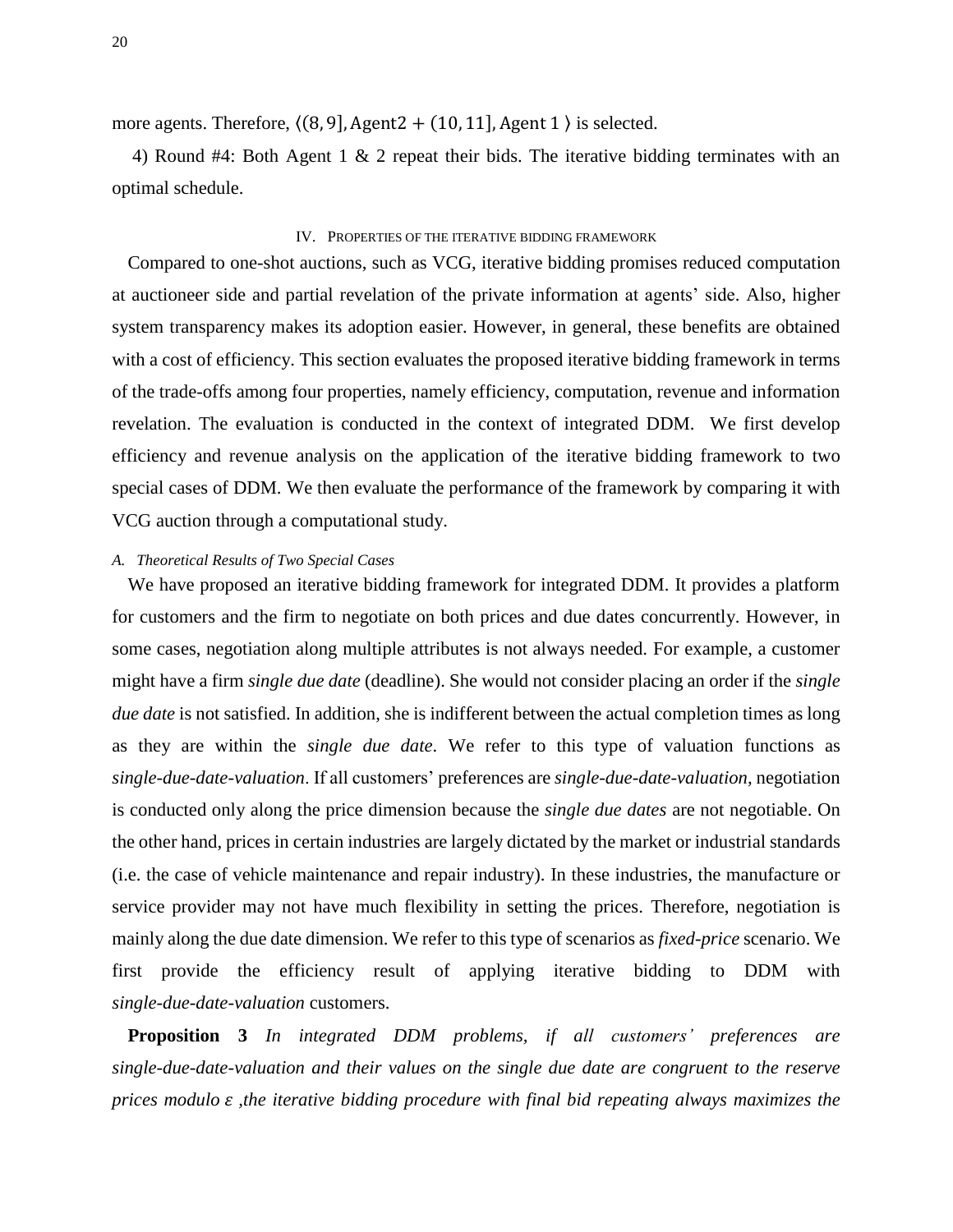more agents. Therefore,  $(8, 9)$ , Agent2 +  $(10, 11)$ , Agent 1  $)$  is selected.

4) Round #4: Both Agent 1 & 2 repeat their bids. The iterative bidding terminates with an optimal schedule.

### IV. PROPERTIES OF THE ITERATIVE BIDDING FRAMEWORK

Compared to one-shot auctions, such as VCG, iterative bidding promises reduced computation at auctioneer side and partial revelation of the private information at agents' side. Also, higher system transparency makes its adoption easier. However, in general, these benefits are obtained with a cost of efficiency. This section evaluates the proposed iterative bidding framework in terms of the trade-offs among four properties, namely efficiency, computation, revenue and information revelation. The evaluation is conducted in the context of integrated DDM. We first develop efficiency and revenue analysis on the application of the iterative bidding framework to two special cases of DDM. We then evaluate the performance of the framework by comparing it with VCG auction through a computational study.

#### *A. Theoretical Results of Two Special Cases*

We have proposed an iterative bidding framework for integrated DDM. It provides a platform for customers and the firm to negotiate on both prices and due dates concurrently. However, in some cases, negotiation along multiple attributes is not always needed. For example, a customer might have a firm *single due date* (deadline). She would not consider placing an order if the *single due date* is not satisfied. In addition, she is indifferent between the actual completion times as long as they are within the *single due date*. We refer to this type of valuation functions as *single-due-date-valuation*. If all customers' preferences are *single-due-date-valuation,* negotiation is conducted only along the price dimension because the *single due dates* are not negotiable. On the other hand, prices in certain industries are largely dictated by the market or industrial standards (i.e. the case of vehicle maintenance and repair industry). In these industries, the manufacture or service provider may not have much flexibility in setting the prices. Therefore, negotiation is mainly along the due date dimension. We refer to this type of scenarios as *fixed-price* scenario. We first provide the efficiency result of applying iterative bidding to DDM with *single-due-date-valuation* customers.

**Proposition 3** *In integrated DDM problems, if all customers' preferences are single-due-date-valuation and their values on the single due date are congruent to the reserve prices modulo ,the iterative bidding procedure with final bid repeating always maximizes the*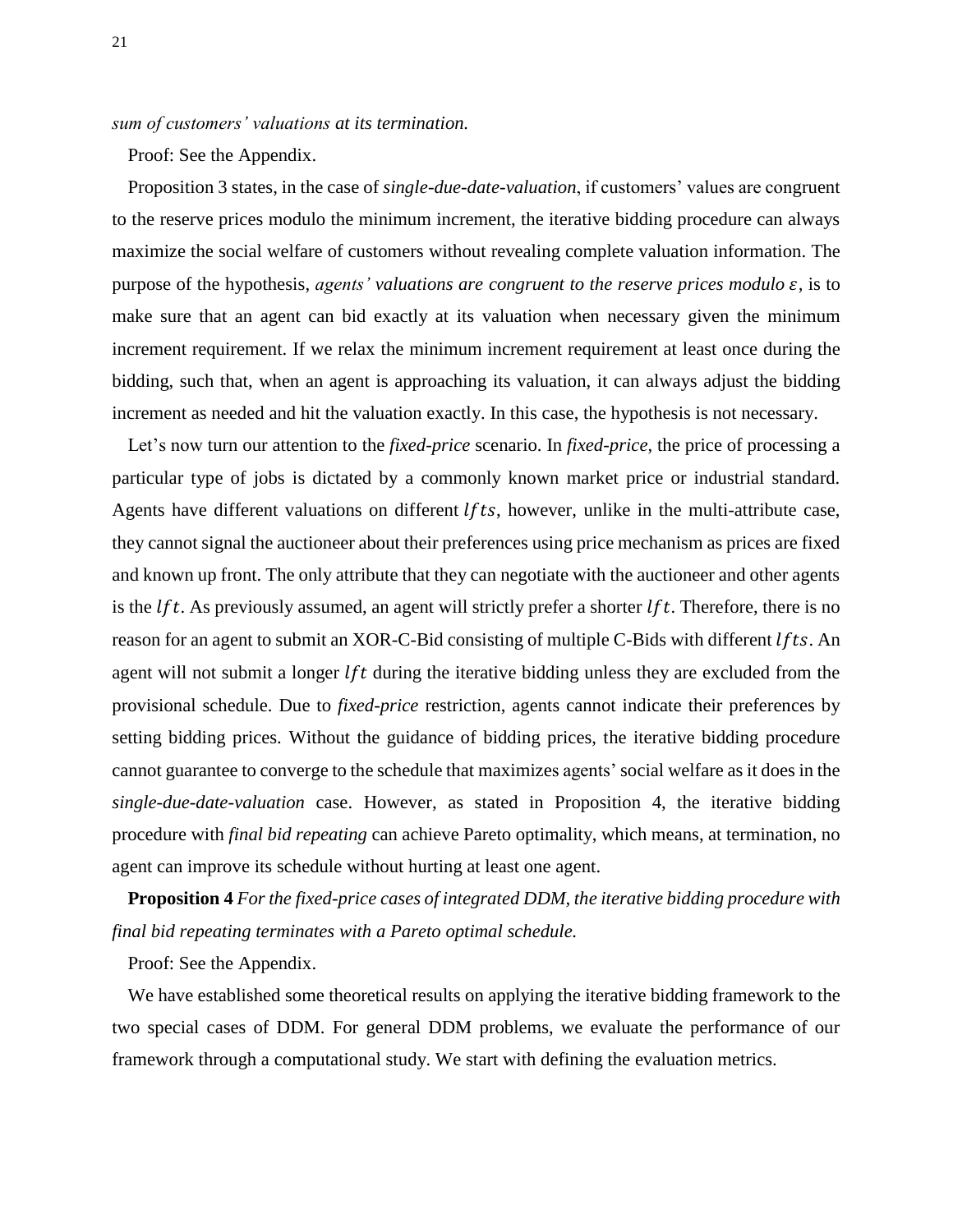*sum of customers' valuations at its termination.* 

Proof: See the Appendix.

Proposition 3 states, in the case of *single-due-date-valuation*, if customers' values are congruent to the reserve prices modulo the minimum increment, the iterative bidding procedure can always maximize the social welfare of customers without revealing complete valuation information. The purpose of the hypothesis, *agents' valuations are congruent to the reserve prices modulo*  $\varepsilon$ , is to make sure that an agent can bid exactly at its valuation when necessary given the minimum increment requirement. If we relax the minimum increment requirement at least once during the bidding, such that, when an agent is approaching its valuation, it can always adjust the bidding increment as needed and hit the valuation exactly. In this case, the hypothesis is not necessary.

Let's now turn our attention to the *fixed-price* scenario. In *fixed-price*, the price of processing a particular type of jobs is dictated by a commonly known market price or industrial standard. Agents have different valuations on different  $lfts$ , however, unlike in the multi-attribute case, they cannot signal the auctioneer about their preferences using price mechanism as prices are fixed and known up front. The only attribute that they can negotiate with the auctioneer and other agents is the *lft*. As previously assumed, an agent will strictly prefer a shorter *lft*. Therefore, there is no reason for an agent to submit an XOR-C-Bid consisting of multiple C-Bids with different  $lfts$ . An agent will not submit a longer  $lft$  during the iterative bidding unless they are excluded from the provisional schedule. Due to *fixed-price* restriction, agents cannot indicate their preferences by setting bidding prices. Without the guidance of bidding prices, the iterative bidding procedure cannot guarantee to converge to the schedule that maximizes agents' social welfare as it does in the *single-due-date-valuation* case. However, as stated in Proposition 4, the iterative bidding procedure with *final bid repeating* can achieve Pareto optimality, which means, at termination, no agent can improve its schedule without hurting at least one agent.

**Proposition 4** *For the fixed-price cases of integrated DDM, the iterative bidding procedure with final bid repeating terminates with a Pareto optimal schedule.*

Proof: See the Appendix.

We have established some theoretical results on applying the iterative bidding framework to the two special cases of DDM. For general DDM problems, we evaluate the performance of our framework through a computational study. We start with defining the evaluation metrics.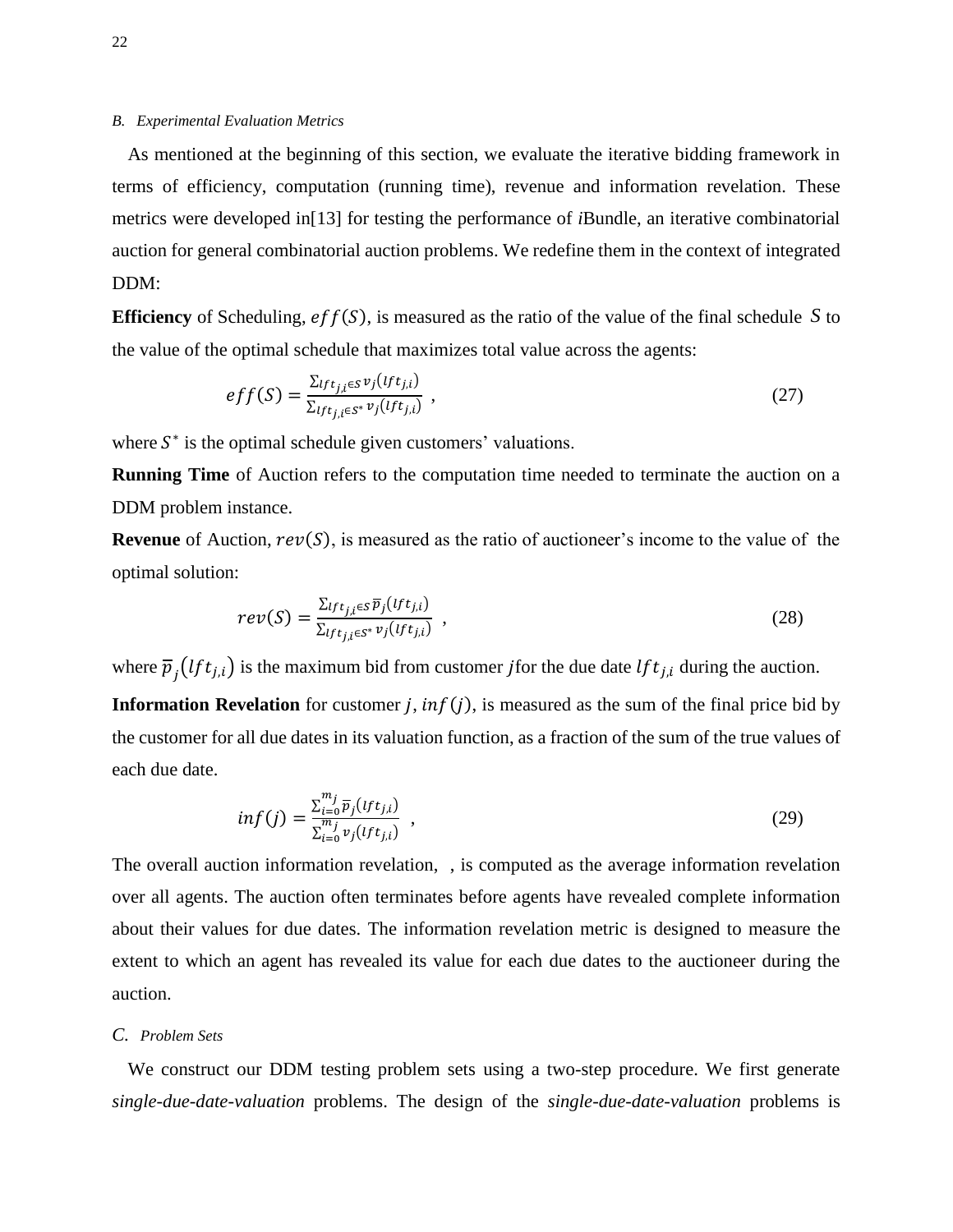#### *B. Experimental Evaluation Metrics*

As mentioned at the beginning of this section, we evaluate the iterative bidding framework in terms of efficiency, computation (running time), revenue and information revelation. These metrics were developed in[13] for testing the performance of *i*Bundle, an iterative combinatorial auction for general combinatorial auction problems. We redefine them in the context of integrated DDM:

**Efficiency** of Scheduling,  $eff(S)$ , is measured as the ratio of the value of the final schedule S to the value of the optimal schedule that maximizes total value across the agents:

$$
eff(S) = \frac{\sum_{If t_{j,i} \in S} v_j (If t_{j,i})}{\sum_{If t_{j,i} \in S^*} v_j (If t_{j,i})},
$$
\n(27)

where  $S^*$  is the optimal schedule given customers' valuations.

**Running Time** of Auction refers to the computation time needed to terminate the auction on a DDM problem instance.

**Revenue** of Auction,  $rev(S)$ , is measured as the ratio of auctioneer's income to the value of the optimal solution:

$$
rev(S) = \frac{\sum_{lft_{j,i} \in S} \overline{p}_j(lft_{j,i})}{\sum_{lft_{j,i} \in S^*} v_j(lft_{j,i})},
$$
\n(28)

where  $\overline{p}_i(lft_{i,i})$  is the maximum bid from customer *j* for the due date  $lft_{i,i}$  during the auction.

**Information Revelation** for customer *j*,  $inf(j)$ , is measured as the sum of the final price bid by the customer for all due dates in its valuation function, as a fraction of the sum of the true values of each due date.

$$
inf(j) = \frac{\sum_{i=0}^{m_j} \overline{p}_j(lft_{j,i})}{\sum_{i=0}^{m_j} v_j(lft_{j,i})} , \qquad (29)
$$

The overall auction information revelation, , is computed as the average information revelation over all agents. The auction often terminates before agents have revealed complete information about their values for due dates. The information revelation metric is designed to measure the extent to which an agent has revealed its value for each due dates to the auctioneer during the auction.

#### *C. Problem Sets*

We construct our DDM testing problem sets using a two-step procedure. We first generate *single-due-date-valuation* problems. The design of the *single-due-date-valuation* problems is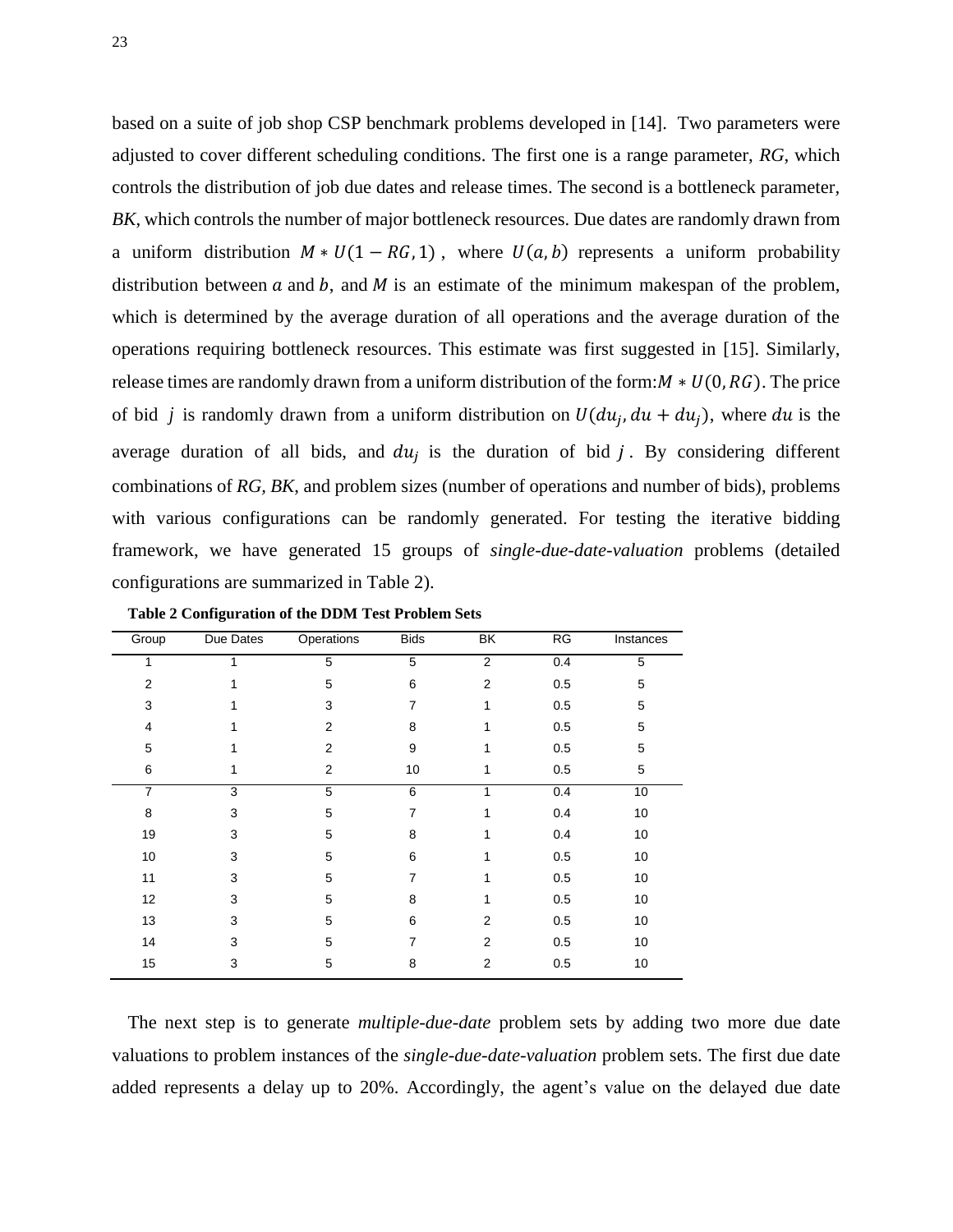based on a suite of job shop CSP benchmark problems developed in [14]. Two parameters were adjusted to cover different scheduling conditions. The first one is a range parameter, *RG*, which controls the distribution of job due dates and release times. The second is a bottleneck parameter, *BK*, which controls the number of major bottleneck resources. Due dates are randomly drawn from a uniform distribution  $M * U(1 - RG, 1)$ , where  $U(a, b)$  represents a uniform probability distribution between  $a$  and  $b$ , and  $M$  is an estimate of the minimum makespan of the problem, which is determined by the average duration of all operations and the average duration of the operations requiring bottleneck resources. This estimate was first suggested in [15]. Similarly, release times are randomly drawn from a uniform distribution of the form:  $M * U(0, RG)$ . The price of bid *j* is randomly drawn from a uniform distribution on  $U(du_i, du + du_i)$ , where du is the average duration of all bids, and  $du_i$  is the duration of bid j. By considering different combinations of *RG, BK*, and problem sizes (number of operations and number of bids), problems with various configurations can be randomly generated. For testing the iterative bidding framework, we have generated 15 groups of *single-due-date-valuation* problems (detailed configurations are summarized in Table 2).

| Group          | Due Dates | Operations     | <b>Bids</b> | $\overline{\mathsf{BK}}$ | RG  | Instances   |
|----------------|-----------|----------------|-------------|--------------------------|-----|-------------|
| 1              | 1         | 5              | 5           | $\overline{2}$           | 0.4 | 5           |
| $\overline{2}$ |           | 5              | 6           | $\overline{2}$           | 0.5 | 5           |
| 3              | 1         | 3              | 7           | 1                        | 0.5 | $\mathbf 5$ |
| $\overline{4}$ | 1         | $\overline{2}$ | 8           | 1                        | 0.5 | 5           |
| 5              | 1         | $\overline{2}$ | 9           | 1                        | 0.5 | 5           |
| 6              | 1         | $\overline{2}$ | 10          | 1                        | 0.5 | 5           |
| $\overline{7}$ | 3         | 5              | 6           | 1                        | 0.4 | 10          |
| 8              | 3         | 5              | 7           | 1                        | 0.4 | 10          |
| 19             | 3         | 5              | 8           | 1                        | 0.4 | 10          |
| 10             | 3         | 5              | 6           | 1                        | 0.5 | 10          |
| 11             | 3         | 5              | 7           | 1                        | 0.5 | 10          |
| 12             | 3         | 5              | 8           | 1                        | 0.5 | 10          |
| 13             | 3         | 5              | 6           | $\overline{2}$           | 0.5 | 10          |
| 14             | 3         | 5              | 7           | $\overline{2}$           | 0.5 | 10          |
| 15             | 3         | 5              | 8           | $\overline{2}$           | 0.5 | 10          |
|                |           |                |             |                          |     |             |

**Table 2 Configuration of the DDM Test Problem Sets**

The next step is to generate *multiple-due-date* problem sets by adding two more due date valuations to problem instances of the *single-due-date-valuation* problem sets. The first due date added represents a delay up to 20%. Accordingly, the agent's value on the delayed due date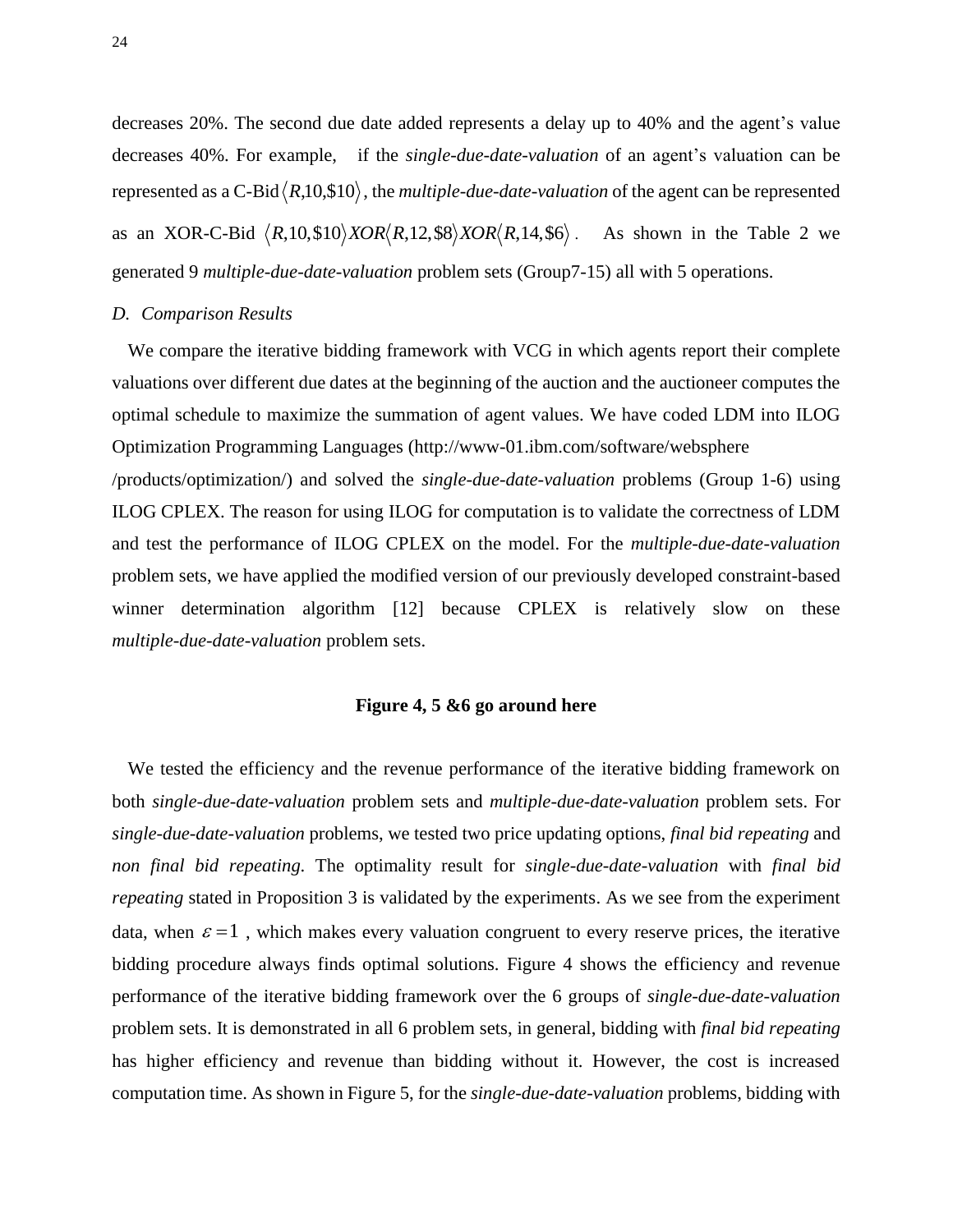decreases 20%. The second due date added represents a delay up to 40% and the agent's value decreases 40%. For example, if the *single-due-date-valuation* of an agent's valuation can be represented as a C-Bid $\langle R, 10, \$10 \rangle$ , the *multiple-due-date-valuation* of the agent can be represented as an XOR-C-Bid  $\langle R, 10, \$10 \rangle$ *XOR* $\langle R, 12, \$8 \rangle$ *XOR* $\langle R, 14, \$6 \rangle$ . As shown in the Table 2 we generated 9 *multiple-due-date-valuation* problem sets (Group7-15) all with 5 operations.

### *D. Comparison Results*

We compare the iterative bidding framework with VCG in which agents report their complete valuations over different due dates at the beginning of the auction and the auctioneer computes the optimal schedule to maximize the summation of agent values. We have coded LDM into ILOG Optimization Programming Languages (http://www-01.ibm.com/software/websphere /products/optimization/) and solved the *single-due-date-valuation* problems (Group 1-6) using ILOG CPLEX. The reason for using ILOG for computation is to validate the correctness of LDM and test the performance of ILOG CPLEX on the model. For the *multiple-due-date-valuation* problem sets, we have applied the modified version of our previously developed constraint-based winner determination algorithm [12] because CPLEX is relatively slow on these *multiple-due-date-valuation* problem sets.

### **Figure 4, 5 &6 go around here**

We tested the efficiency and the revenue performance of the iterative bidding framework on both *single-due-date-valuation* problem sets and *multiple-due-date-valuation* problem sets. For *single-due-date-valuation* problems, we tested two price updating options, *final bid repeating* and *non final bid repeating*. The optimality result for *single-due-date-valuation* with *final bid repeating* stated in Proposition 3 is validated by the experiments. As we see from the experiment data, when  $\varepsilon = 1$ , which makes every valuation congruent to every reserve prices, the iterative bidding procedure always finds optimal solutions. Figure 4 shows the efficiency and revenue performance of the iterative bidding framework over the 6 groups of *single-due-date-valuation* problem sets. It is demonstrated in all 6 problem sets, in general, bidding with *final bid repeating* has higher efficiency and revenue than bidding without it. However, the cost is increased computation time. As shown in Figure 5, for the *single-due-date-valuation* problems, bidding with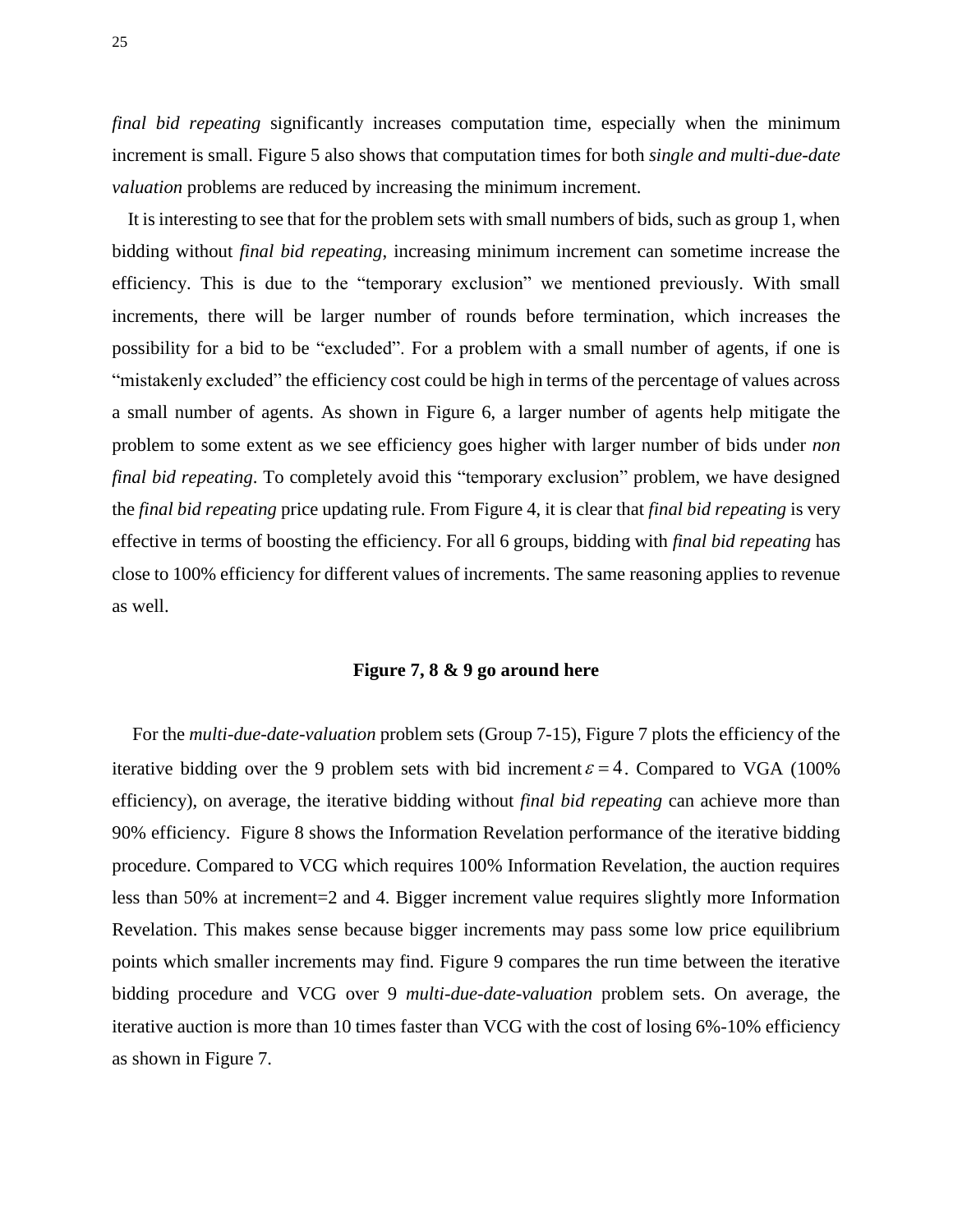*final bid repeating* significantly increases computation time, especially when the minimum increment is small. Figure 5 also shows that computation times for both *single and multi-due-date valuation* problems are reduced by increasing the minimum increment.

It is interesting to see that for the problem sets with small numbers of bids, such as group 1, when bidding without *final bid repeating*, increasing minimum increment can sometime increase the efficiency. This is due to the "temporary exclusion" we mentioned previously. With small increments, there will be larger number of rounds before termination, which increases the possibility for a bid to be "excluded". For a problem with a small number of agents, if one is "mistakenly excluded" the efficiency cost could be high in terms of the percentage of values across a small number of agents. As shown in Figure 6, a larger number of agents help mitigate the problem to some extent as we see efficiency goes higher with larger number of bids under *non final bid repeating*. To completely avoid this "temporary exclusion" problem, we have designed the *final bid repeating* price updating rule. From Figure 4, it is clear that *final bid repeating* is very effective in terms of boosting the efficiency. For all 6 groups, bidding with *final bid repeating* has close to 100% efficiency for different values of increments. The same reasoning applies to revenue as well.

# **Figure 7, 8 & 9 go around here**

For the *multi-due-date-valuation* problem sets (Group 7-15), Figure 7 plots the efficiency of the iterative bidding over the 9 problem sets with bid increment  $\varepsilon = 4$ . Compared to VGA (100%) efficiency), on average, the iterative bidding without *final bid repeating* can achieve more than 90% efficiency. Figure 8 shows the Information Revelation performance of the iterative bidding procedure. Compared to VCG which requires 100% Information Revelation, the auction requires less than 50% at increment=2 and 4. Bigger increment value requires slightly more Information Revelation. This makes sense because bigger increments may pass some low price equilibrium points which smaller increments may find. Figure 9 compares the run time between the iterative bidding procedure and VCG over 9 *multi-due-date-valuation* problem sets. On average, the iterative auction is more than 10 times faster than VCG with the cost of losing 6%-10% efficiency as shown in Figure 7.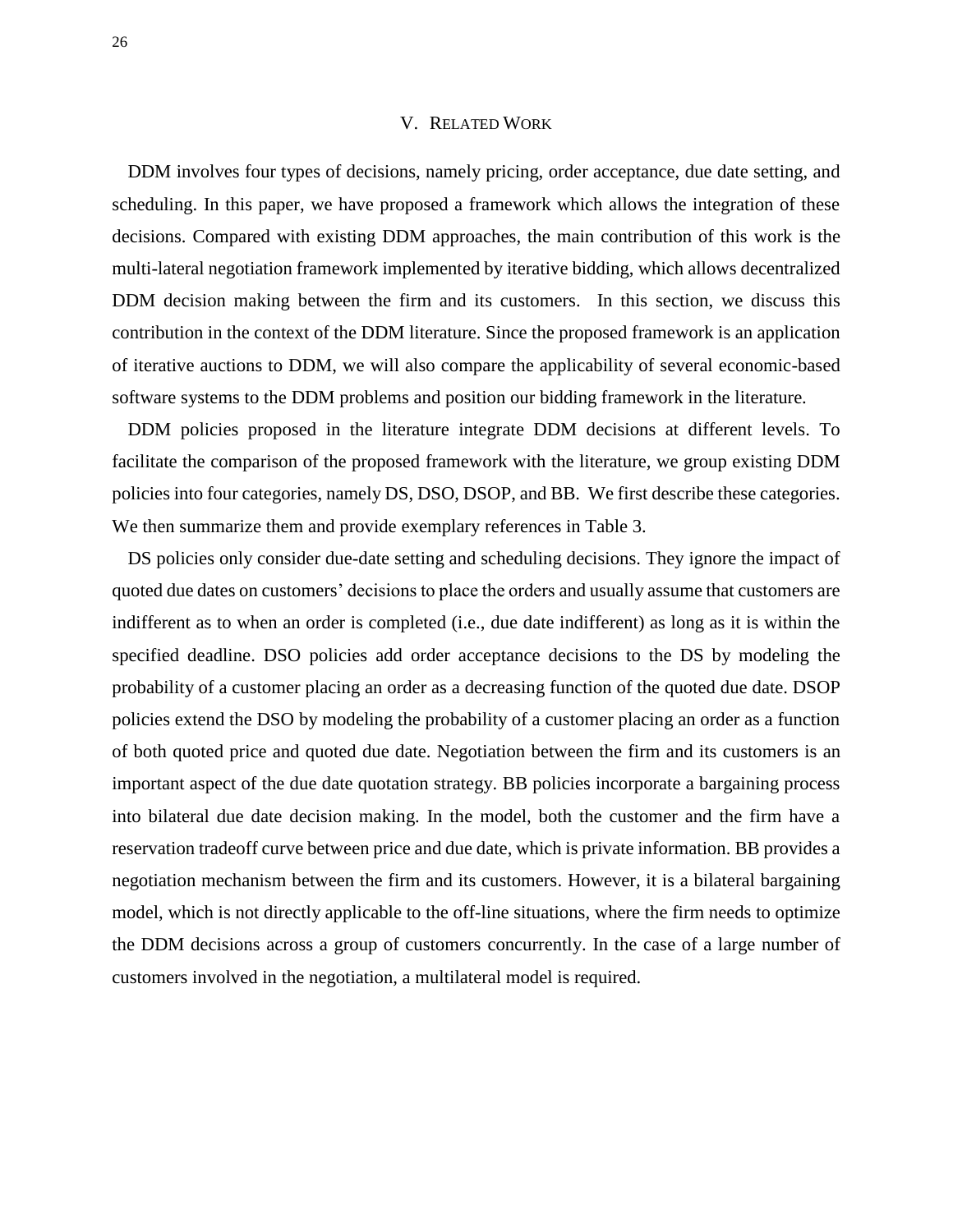#### V. RELATED WORK

DDM involves four types of decisions, namely pricing, order acceptance, due date setting, and scheduling. In this paper, we have proposed a framework which allows the integration of these decisions. Compared with existing DDM approaches, the main contribution of this work is the multi-lateral negotiation framework implemented by iterative bidding, which allows decentralized DDM decision making between the firm and its customers. In this section, we discuss this contribution in the context of the DDM literature. Since the proposed framework is an application of iterative auctions to DDM, we will also compare the applicability of several economic-based software systems to the DDM problems and position our bidding framework in the literature.

DDM policies proposed in the literature integrate DDM decisions at different levels. To facilitate the comparison of the proposed framework with the literature, we group existing DDM policies into four categories, namely DS, DSO, DSOP, and BB. We first describe these categories. We then summarize them and provide exemplary references in Table 3.

DS policies only consider due-date setting and scheduling decisions. They ignore the impact of quoted due dates on customers' decisions to place the orders and usually assume that customers are indifferent as to when an order is completed (i.e., due date indifferent) as long as it is within the specified deadline. DSO policies add order acceptance decisions to the DS by modeling the probability of a customer placing an order as a decreasing function of the quoted due date. DSOP policies extend the DSO by modeling the probability of a customer placing an order as a function of both quoted price and quoted due date. Negotiation between the firm and its customers is an important aspect of the due date quotation strategy. BB policies incorporate a bargaining process into bilateral due date decision making. In the model, both the customer and the firm have a reservation tradeoff curve between price and due date, which is private information. BB provides a negotiation mechanism between the firm and its customers. However, it is a bilateral bargaining model, which is not directly applicable to the off-line situations, where the firm needs to optimize the DDM decisions across a group of customers concurrently. In the case of a large number of customers involved in the negotiation, a multilateral model is required.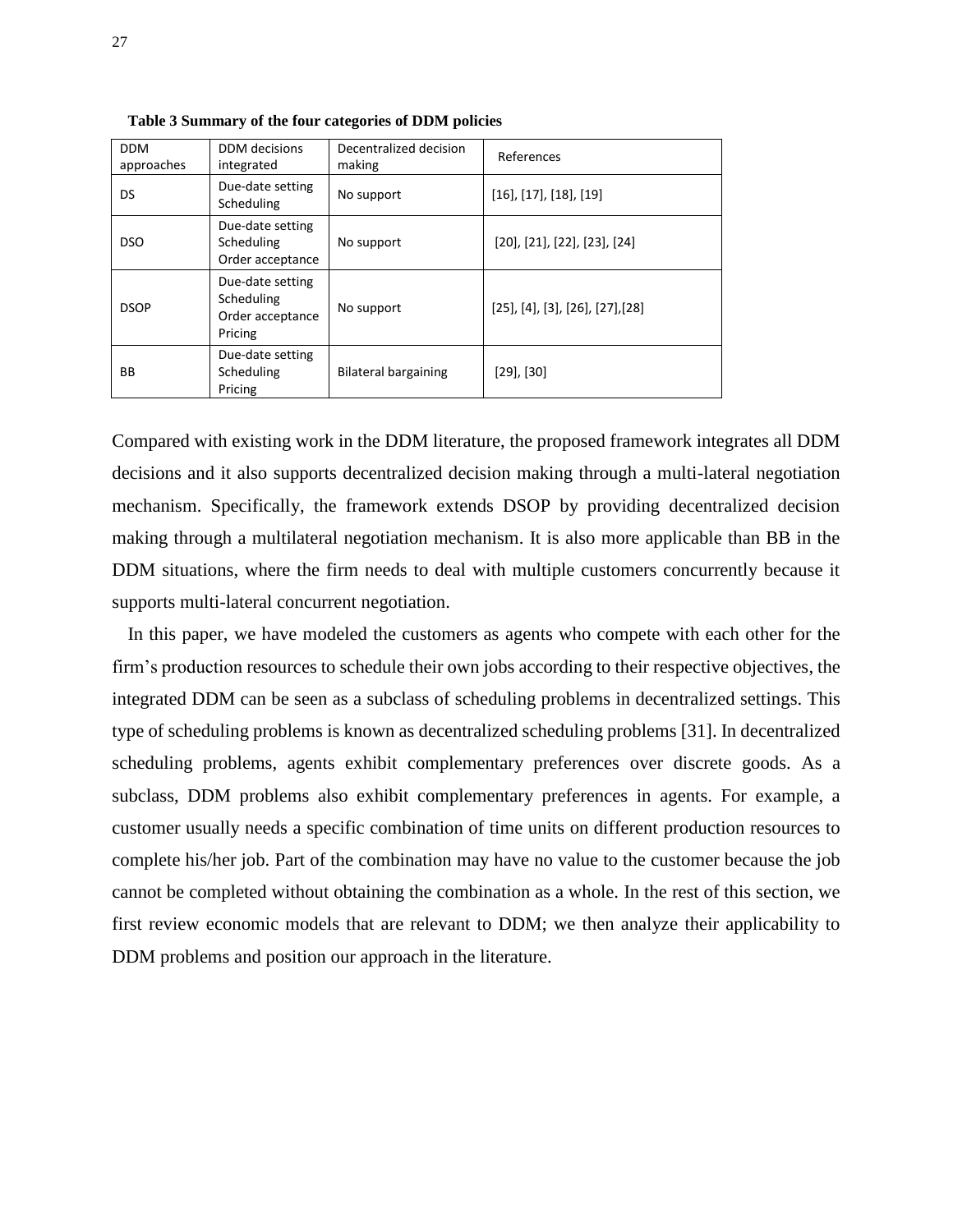| <b>DDM</b><br>approaches | DDM decisions<br>integrated                                   | Decentralized decision<br>making | References                                        |
|--------------------------|---------------------------------------------------------------|----------------------------------|---------------------------------------------------|
| DS.                      | Due-date setting<br>Scheduling                                | No support                       | $[16]$ , $[17]$ , $[18]$ , $[19]$                 |
| <b>DSO</b>               | Due-date setting<br>Scheduling<br>Order acceptance            | No support                       | $[20]$ , $[21]$ , $[22]$ , $[23]$ , $[24]$        |
| <b>DSOP</b>              | Due-date setting<br>Scheduling<br>Order acceptance<br>Pricing | No support                       | $[25]$ , $[4]$ , $[3]$ , $[26]$ , $[27]$ , $[28]$ |
| BB                       | Due-date setting<br>Scheduling<br>Pricing                     | Bilateral bargaining             | $[29]$ , $[30]$                                   |

**Table 3 Summary of the four categories of DDM policies**

Compared with existing work in the DDM literature, the proposed framework integrates all DDM decisions and it also supports decentralized decision making through a multi-lateral negotiation mechanism. Specifically, the framework extends DSOP by providing decentralized decision making through a multilateral negotiation mechanism. It is also more applicable than BB in the DDM situations, where the firm needs to deal with multiple customers concurrently because it supports multi-lateral concurrent negotiation.

In this paper, we have modeled the customers as agents who compete with each other for the firm's production resources to schedule their own jobs according to their respective objectives, the integrated DDM can be seen as a subclass of scheduling problems in decentralized settings. This type of scheduling problems is known as decentralized scheduling problems [31]. In decentralized scheduling problems, agents exhibit complementary preferences over discrete goods. As a subclass, DDM problems also exhibit complementary preferences in agents. For example, a customer usually needs a specific combination of time units on different production resources to complete his/her job. Part of the combination may have no value to the customer because the job cannot be completed without obtaining the combination as a whole. In the rest of this section, we first review economic models that are relevant to DDM; we then analyze their applicability to DDM problems and position our approach in the literature.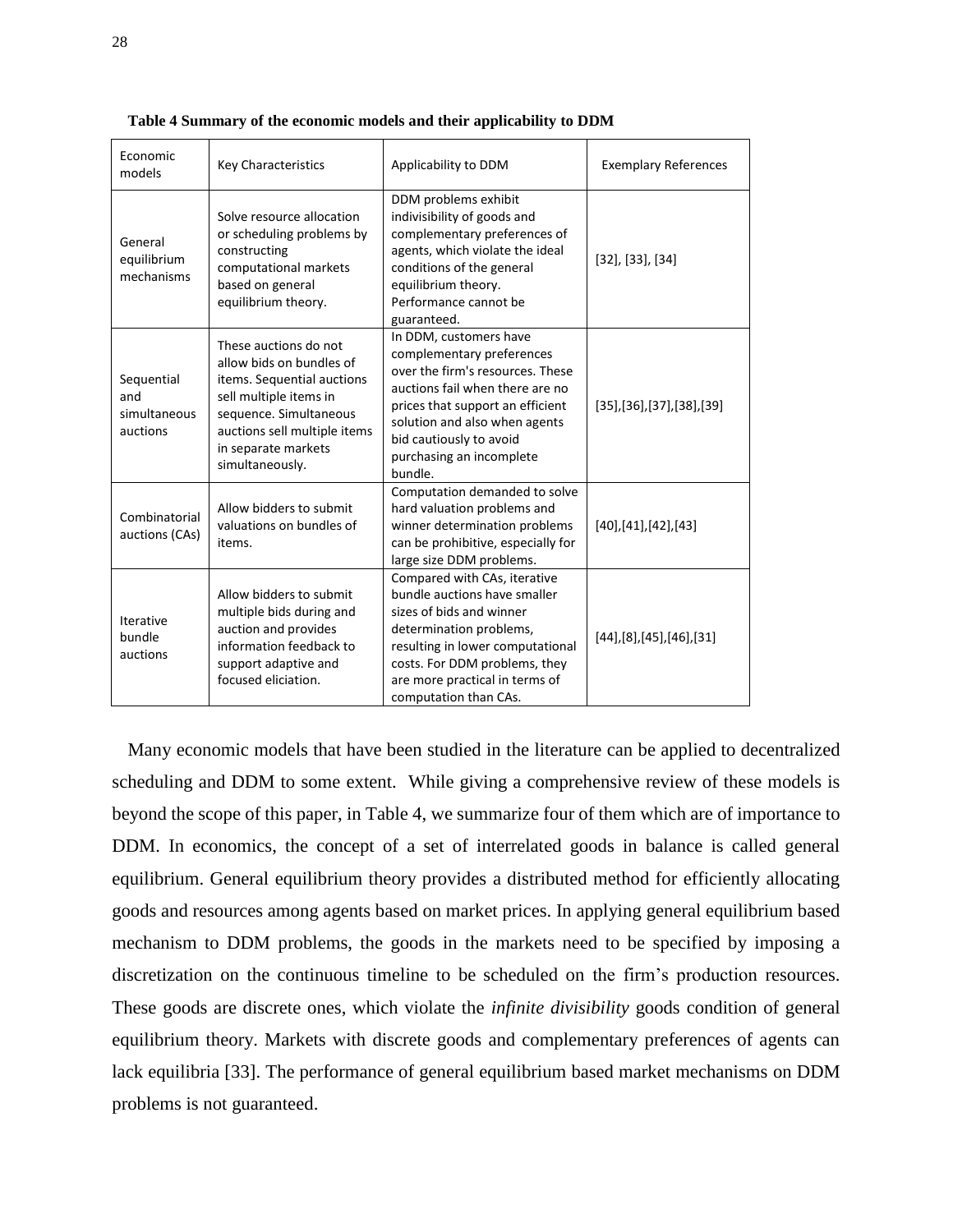| Economic<br>models                            | <b>Key Characteristics</b>                                                                                                                                                                                    | Applicability to DDM                                                                                                                                                                                                                                              | <b>Exemplary References</b> |  |
|-----------------------------------------------|---------------------------------------------------------------------------------------------------------------------------------------------------------------------------------------------------------------|-------------------------------------------------------------------------------------------------------------------------------------------------------------------------------------------------------------------------------------------------------------------|-----------------------------|--|
| General<br>equilibrium<br>mechanisms          | Solve resource allocation<br>or scheduling problems by<br>constructing<br>computational markets<br>based on general<br>equilibrium theory.                                                                    | DDM problems exhibit<br>indivisibility of goods and<br>complementary preferences of<br>agents, which violate the ideal<br>conditions of the general<br>equilibrium theory.<br>Performance cannot be<br>guaranteed.                                                | $[32]$ , $[33]$ , $[34]$    |  |
| Sequential<br>and<br>simultaneous<br>auctions | These auctions do not<br>allow bids on bundles of<br>items. Sequential auctions<br>sell multiple items in<br>sequence. Simultaneous<br>auctions sell multiple items<br>in separate markets<br>simultaneously. | In DDM, customers have<br>complementary preferences<br>over the firm's resources. These<br>auctions fail when there are no<br>prices that support an efficient<br>solution and also when agents<br>bid cautiously to avoid<br>purchasing an incomplete<br>bundle. | [35],[36],[37],[38],[39]    |  |
| Combinatorial<br>auctions (CAs)               | Allow bidders to submit<br>valuations on bundles of<br>items.                                                                                                                                                 | Computation demanded to solve<br>hard valuation problems and<br>winner determination problems<br>can be prohibitive, especially for<br>large size DDM problems.                                                                                                   | [40],[41],[42],[43]         |  |
| Iterative<br>bundle<br>auctions               | Allow bidders to submit<br>multiple bids during and<br>auction and provides<br>information feedback to<br>support adaptive and<br>focused eliciation.                                                         | Compared with CAs, iterative<br>bundle auctions have smaller<br>sizes of bids and winner<br>determination problems,<br>resulting in lower computational<br>costs. For DDM problems, they<br>are more practical in terms of<br>computation than CAs.               | [44],[8],[45],[46],[31]     |  |

**Table 4 Summary of the economic models and their applicability to DDM**

Many economic models that have been studied in the literature can be applied to decentralized scheduling and DDM to some extent. While giving a comprehensive review of these models is beyond the scope of this paper, in Table 4, we summarize four of them which are of importance to DDM. In economics, the concept of a set of interrelated goods in balance is called general equilibrium. General equilibrium theory provides a distributed method for efficiently allocating goods and resources among agents based on market prices. In applying general equilibrium based mechanism to DDM problems, the goods in the markets need to be specified by imposing a discretization on the continuous timeline to be scheduled on the firm's production resources. These goods are discrete ones, which violate the *infinite divisibility* goods condition of general equilibrium theory. Markets with discrete goods and complementary preferences of agents can lack equilibria [33]. The performance of general equilibrium based market mechanisms on DDM problems is not guaranteed.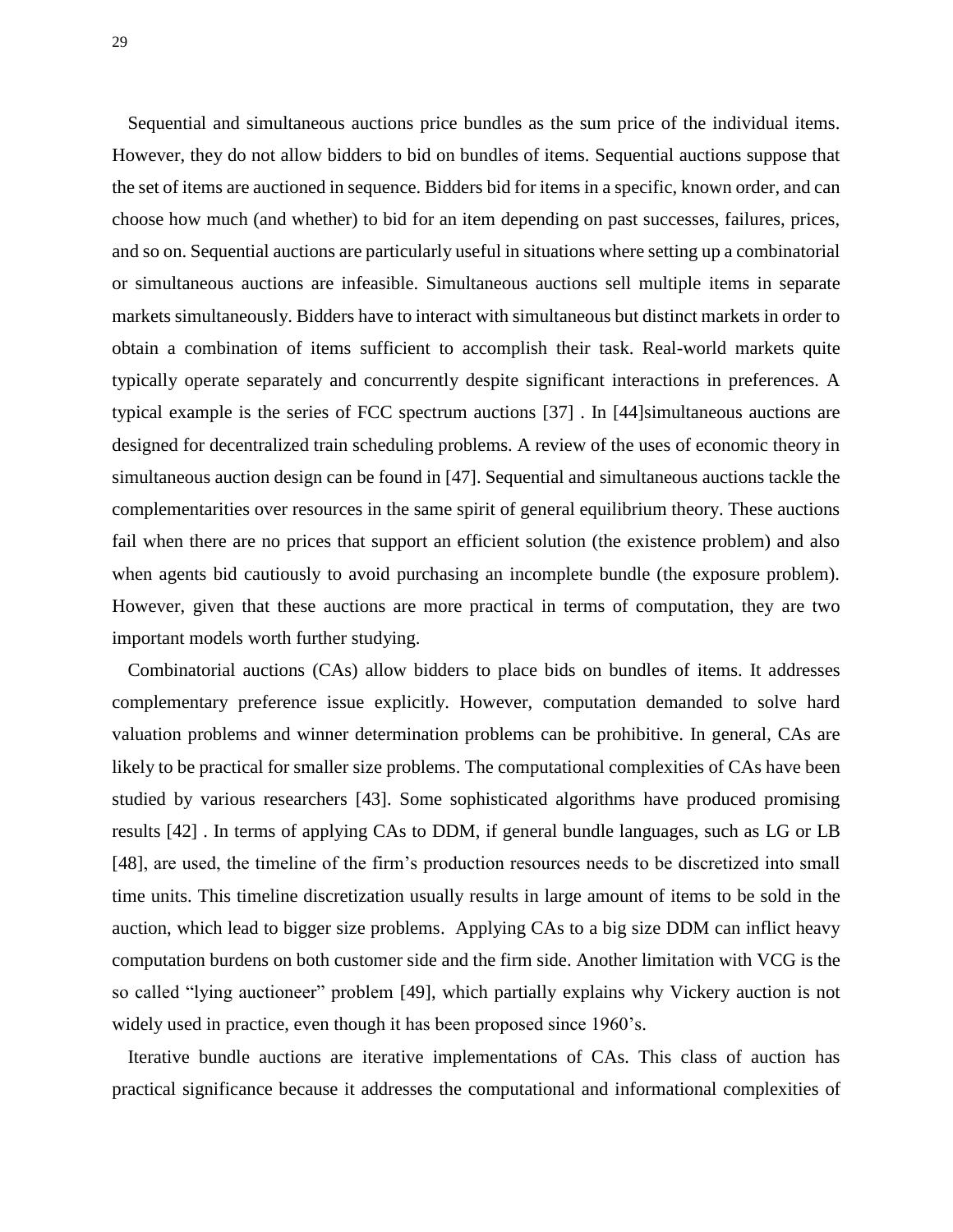Sequential and simultaneous auctions price bundles as the sum price of the individual items. However, they do not allow bidders to bid on bundles of items. Sequential auctions suppose that the set of items are auctioned in sequence. Bidders bid for items in a specific, known order, and can choose how much (and whether) to bid for an item depending on past successes, failures, prices, and so on. Sequential auctions are particularly useful in situations where setting up a combinatorial or simultaneous auctions are infeasible. Simultaneous auctions sell multiple items in separate markets simultaneously. Bidders have to interact with simultaneous but distinct markets in order to obtain a combination of items sufficient to accomplish their task. Real-world markets quite typically operate separately and concurrently despite significant interactions in preferences. A typical example is the series of FCC spectrum auctions [37] . In [44]simultaneous auctions are designed for decentralized train scheduling problems. A review of the uses of economic theory in simultaneous auction design can be found in [47]. Sequential and simultaneous auctions tackle the complementarities over resources in the same spirit of general equilibrium theory. These auctions fail when there are no prices that support an efficient solution (the existence problem) and also when agents bid cautiously to avoid purchasing an incomplete bundle (the exposure problem). However, given that these auctions are more practical in terms of computation, they are two important models worth further studying.

Combinatorial auctions (CAs) allow bidders to place bids on bundles of items. It addresses complementary preference issue explicitly. However, computation demanded to solve hard valuation problems and winner determination problems can be prohibitive. In general, CAs are likely to be practical for smaller size problems. The computational complexities of CAs have been studied by various researchers [43]. Some sophisticated algorithms have produced promising results [42] . In terms of applying CAs to DDM, if general bundle languages, such as LG or LB [48], are used, the timeline of the firm's production resources needs to be discretized into small time units. This timeline discretization usually results in large amount of items to be sold in the auction, which lead to bigger size problems. Applying CAs to a big size DDM can inflict heavy computation burdens on both customer side and the firm side. Another limitation with VCG is the so called "lying auctioneer" problem [49], which partially explains why Vickery auction is not widely used in practice, even though it has been proposed since 1960's.

Iterative bundle auctions are iterative implementations of CAs. This class of auction has practical significance because it addresses the computational and informational complexities of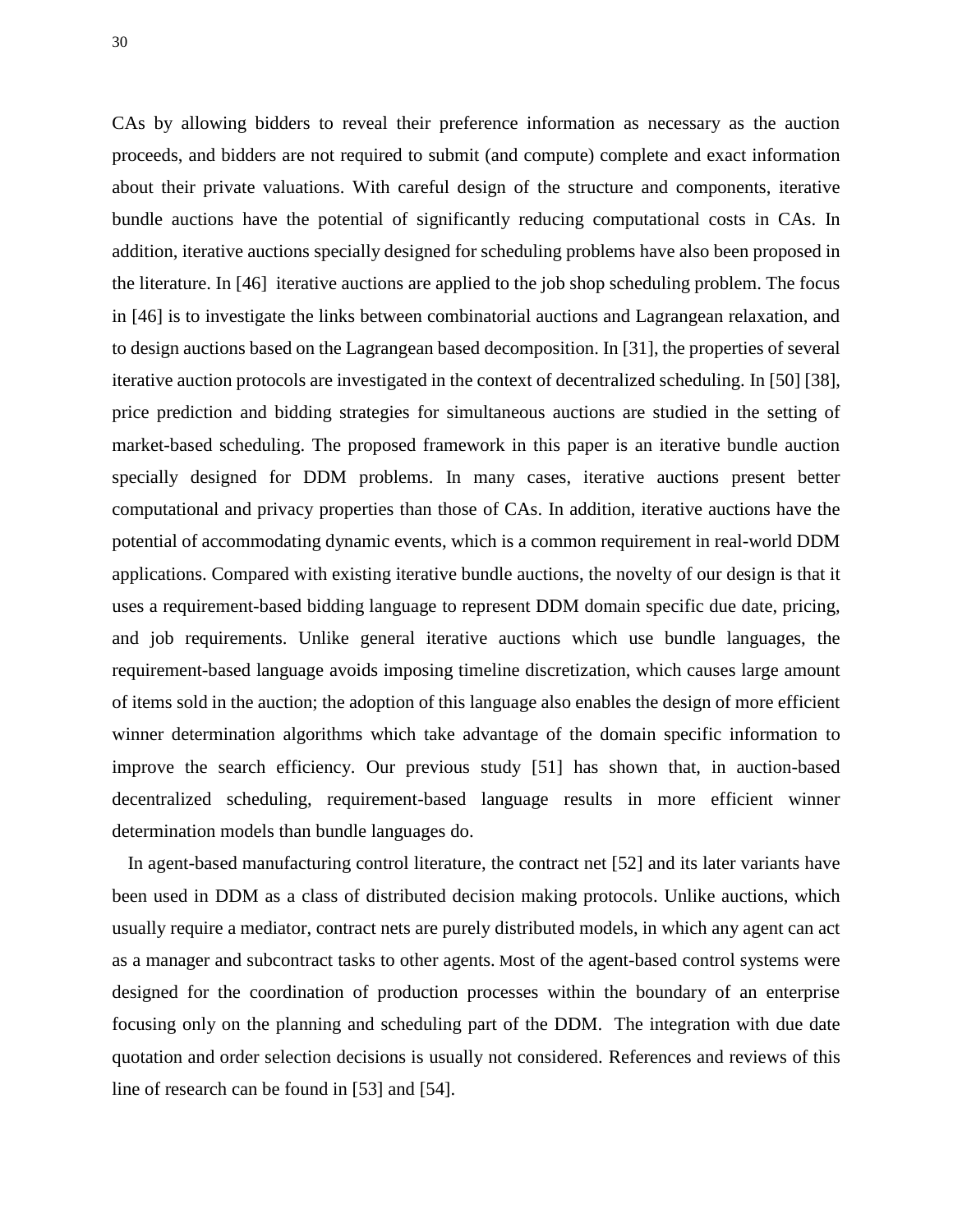CAs by allowing bidders to reveal their preference information as necessary as the auction proceeds, and bidders are not required to submit (and compute) complete and exact information about their private valuations. With careful design of the structure and components, iterative bundle auctions have the potential of significantly reducing computational costs in CAs. In addition, iterative auctions specially designed for scheduling problems have also been proposed in the literature. In [46] iterative auctions are applied to the job shop scheduling problem. The focus in [46] is to investigate the links between combinatorial auctions and Lagrangean relaxation, and to design auctions based on the Lagrangean based decomposition. In [31], the properties of several iterative auction protocols are investigated in the context of decentralized scheduling. In [50] [38], price prediction and bidding strategies for simultaneous auctions are studied in the setting of market-based scheduling. The proposed framework in this paper is an iterative bundle auction specially designed for DDM problems. In many cases, iterative auctions present better computational and privacy properties than those of CAs. In addition, iterative auctions have the potential of accommodating dynamic events, which is a common requirement in real-world DDM applications. Compared with existing iterative bundle auctions, the novelty of our design is that it uses a requirement-based bidding language to represent DDM domain specific due date, pricing, and job requirements. Unlike general iterative auctions which use bundle languages, the requirement-based language avoids imposing timeline discretization, which causes large amount of items sold in the auction; the adoption of this language also enables the design of more efficient winner determination algorithms which take advantage of the domain specific information to improve the search efficiency. Our previous study [51] has shown that, in auction-based decentralized scheduling, requirement-based language results in more efficient winner determination models than bundle languages do.

In agent-based manufacturing control literature, the contract net [52] and its later variants have been used in DDM as a class of distributed decision making protocols. Unlike auctions, which usually require a mediator, contract nets are purely distributed models, in which any agent can act as a manager and subcontract tasks to other agents. Most of the agent-based control systems were designed for the coordination of production processes within the boundary of an enterprise focusing only on the planning and scheduling part of the DDM. The integration with due date quotation and order selection decisions is usually not considered. References and reviews of this line of research can be found in [53] and [54].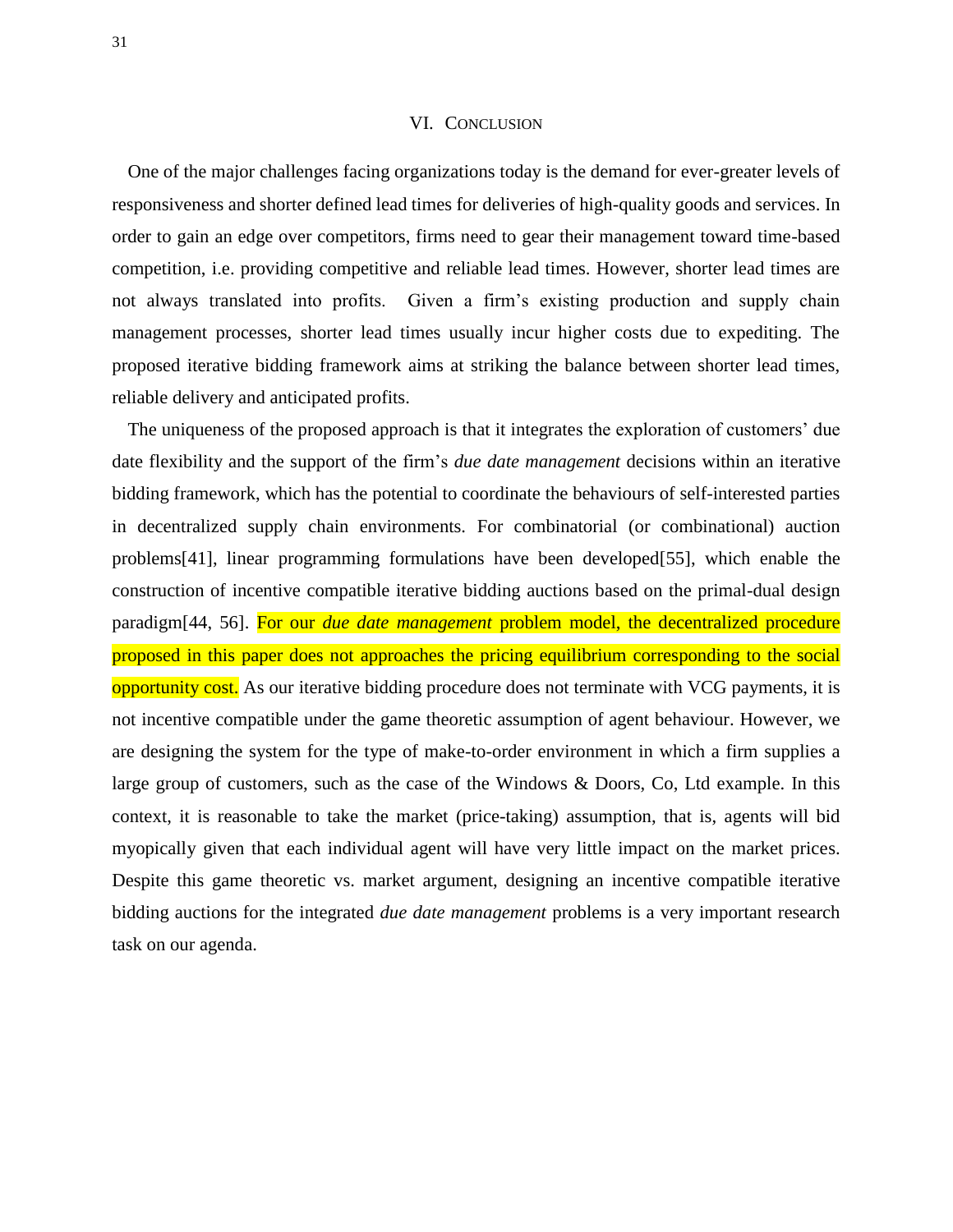#### VI. CONCLUSION

One of the major challenges facing organizations today is the demand for ever-greater levels of responsiveness and shorter defined lead times for deliveries of high-quality goods and services. In order to gain an edge over competitors, firms need to gear their management toward time-based competition, i.e. providing competitive and reliable lead times. However, shorter lead times are not always translated into profits. Given a firm's existing production and supply chain management processes, shorter lead times usually incur higher costs due to expediting. The proposed iterative bidding framework aims at striking the balance between shorter lead times, reliable delivery and anticipated profits.

The uniqueness of the proposed approach is that it integrates the exploration of customers' due date flexibility and the support of the firm's *due date management* decisions within an iterative bidding framework, which has the potential to coordinate the behaviours of self-interested parties in decentralized supply chain environments. For combinatorial (or combinational) auction problems[41], linear programming formulations have been developed[55], which enable the construction of incentive compatible iterative bidding auctions based on the primal-dual design paradigm[44, 56]. For our *due date management* problem model, the decentralized procedure proposed in this paper does not approaches the pricing equilibrium corresponding to the social opportunity cost. As our iterative bidding procedure does not terminate with VCG payments, it is not incentive compatible under the game theoretic assumption of agent behaviour. However, we are designing the system for the type of make-to-order environment in which a firm supplies a large group of customers, such as the case of the Windows & Doors, Co, Ltd example. In this context, it is reasonable to take the market (price-taking) assumption, that is, agents will bid myopically given that each individual agent will have very little impact on the market prices. Despite this game theoretic vs. market argument, designing an incentive compatible iterative bidding auctions for the integrated *due date management* problems is a very important research task on our agenda.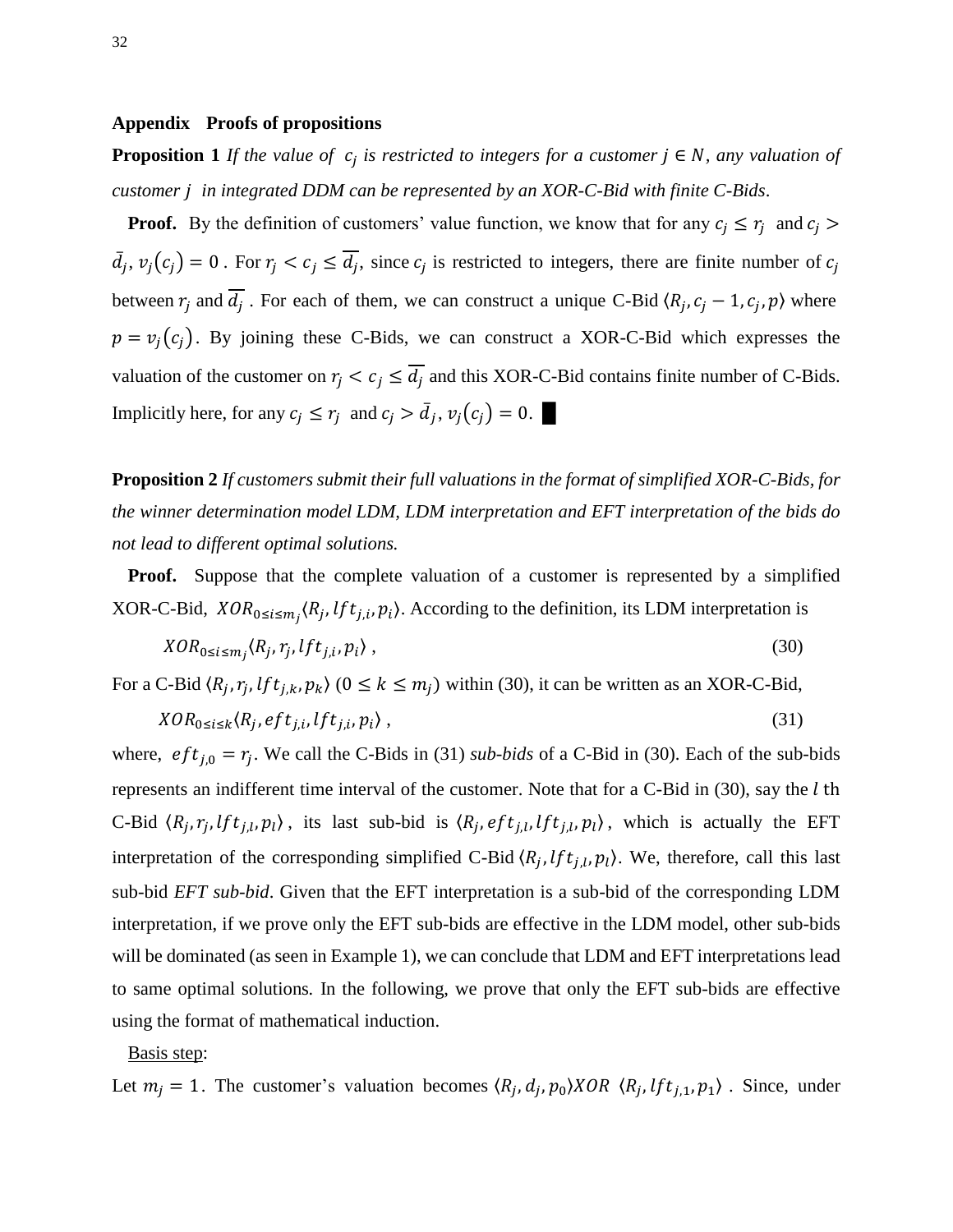#### **Appendix Proofs of propositions**

**Proposition 1** If the value of  $c_i$  is restricted to integers for a customer  $j \in N$ , any valuation of *customer in integrated DDM can be represented by an XOR-C-Bid with finite C-Bids*.

**Proof.** By the definition of customers' value function, we know that for any  $c_i \leq r_i$  and c  $\bar{d}_j$ ,  $v_j(c_j) = 0$ . For  $r_j < c_j \le \overline{d_j}$ , since  $c_j$  is restricted to integers, there are finite number of between  $r_i$  and  $\overline{d_i}$ . For each of them, we can construct a unique C-Bid  $(R_i, c_i - 1, c_i, p)$  where  $p = v_j(c_j)$ . By joining these C-Bids, we can construct a XOR-C-Bid which expresses the valuation of the customer on  $r_j < c_j \le \overline{d_j}$  and this XOR-C-Bid contains finite number of C-Bids. Implicitly here, for any  $c_j \leq r_j$  and  $c_j > \bar{d}_j$ ,  $v_j(c_j) = 0$ .

**Proposition 2** *If customers submit their full valuations in the format of simplified XOR-C-Bids, for the winner determination model LDM, LDM interpretation and EFT interpretation of the bids do not lead to different optimal solutions.* 

**Proof.** Suppose that the complete valuation of a customer is represented by a simplified XOR-C-Bid,  $XOR_{0 \le i \le m}$ ,  $\langle R_i, lft_{i,i}, p_i \rangle$ . According to the definition, its LDM interpretation is

$$
XOR_{0\leq i\leq m_i}\langle R_j, r_j, lft_{j,i}, p_i\rangle\,,\tag{30}
$$

For a C-Bid  $\langle R_i, r_i, lft_{i,k}, p_k \rangle$   $(0 \le k \le m_i)$  within (30), it can be written as an XOR-C-Bid,

$$
XOR_{0\leq i\leq k} \langle R_i, eft_{i,i}, lft_{i,i}, p_i \rangle, \qquad (31)
$$

where,  $eft_{i,0} = r_i$ . We call the C-Bids in (31) *sub-bids* of a C-Bid in (30). Each of the sub-bids represents an indifferent time interval of the customer. Note that for a C-Bid in  $(30)$ , say the l th C-Bid  $\langle R_i, r_i, lft_{i,l}, p_l \rangle$ , its last sub-bid is  $\langle R_i, eft_{i,l}, lft_{i,l}, p_l \rangle$ , which is actually the EFT interpretation of the corresponding simplified C-Bid  $(R_i, lft_{i,l}, p_l)$ . We, therefore, call this last sub-bid *EFT sub-bid*. Given that the EFT interpretation is a sub-bid of the corresponding LDM interpretation, if we prove only the EFT sub-bids are effective in the LDM model, other sub-bids will be dominated (as seen in Example 1), we can conclude that LDM and EFT interpretations lead to same optimal solutions*.* In the following, we prove that only the EFT sub-bids are effective using the format of mathematical induction.

Basis step:

Let  $m_i = 1$ . The customer's valuation becomes  $\langle R_i, d_i, p_0 \rangle XOR \langle R_i, lft_{i,1}, p_1 \rangle$ . Since, under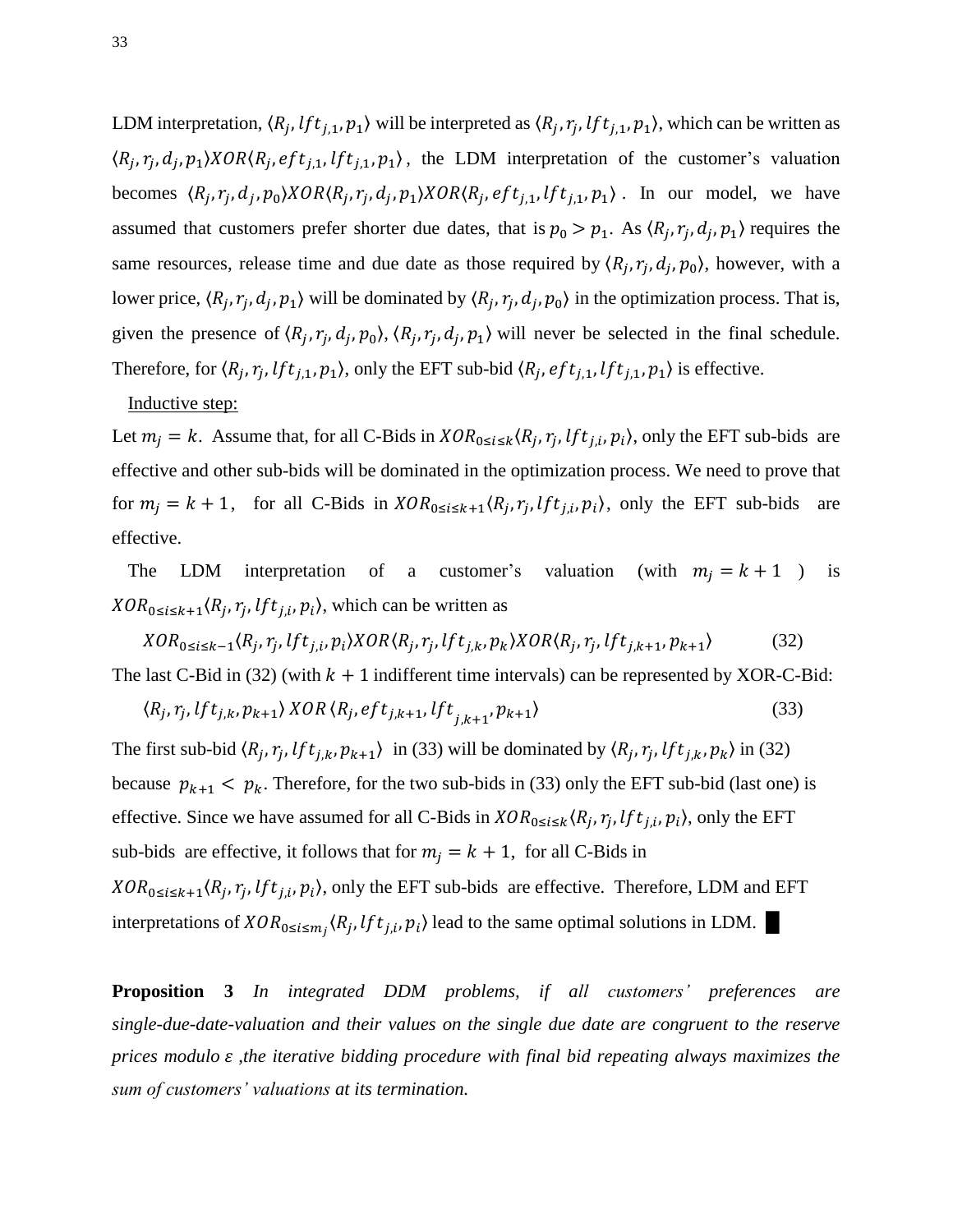LDM interpretation,  $\langle R_i, lft_{i,1}, p_1 \rangle$  will be interpreted as  $\langle R_i, r_i, lft_{i,1}, p_1 \rangle$ , which can be written as  $\langle R_i, r_i, d_i, p_1 \rangle XOR \langle R_i, eft_{i,1}, lft_{i,1}, p_1 \rangle$ , the LDM interpretation of the customer's valuation becomes  $\langle R_i, r_i, d_i, p_0 \rangle XOR \langle R_i, r_i, d_i, p_1 \rangle XOR \langle R_i, eft_{i,1}, lft_{i,1}, p_1 \rangle$ . In our model, we have assumed that customers prefer shorter due dates, that is  $p_0 > p_1$ . As  $(R_i, r_i, d_i, p_1)$  requires the same resources, release time and due date as those required by  $(R_i, r_i, d_i, p_0)$ , however, with a lower price,  $\langle R_i, r_i, d_i, p_1 \rangle$  will be dominated by  $\langle R_i, r_i, d_i, p_0 \rangle$  in the optimization process. That is, given the presence of  $(R_i, r_i, d_i, p_0)$ ,  $(R_i, r_i, d_i, p_1)$  will never be selected in the final schedule. Therefore, for  $\langle R_i, r_i, lft_{i,1}, p_1 \rangle$ , only the EFT sub-bid  $\langle R_i, eft_{i,1}, lft_{i,1}, p_1 \rangle$  is effective.

#### Inductive step:

Let  $m_i = k$ . Assume that, for all C-Bids in  $XOR_{0 \le i \le k}$   $(R_i, r_i, lft_{i,i}, p_i)$ , only the EFT sub-bids are effective and other sub-bids will be dominated in the optimization process. We need to prove that for  $m_i = k + 1$ , for all C-Bids in  $XOR_{0 \le i \le k+1}$   $\langle R_i, r_i, lft_{i,i}, p_i \rangle$ , only the EFT sub-bids are effective.

The LDM interpretation of a customer's valuation (with  $m_j = k + 1$ ) is  $XOR_{0 \le i \le k+1}$   $\langle R_i, r_i, lft_{i,i}, p_i \rangle$ , which can be written as

 $XOR_{0 \le i \le k-1}$  $\langle R_i, r_i, lft_{i,i}, p_i \rangle XOR \langle R_i, r_i, lft_{i,k}, p_k \rangle XOR \langle R_i, r_i,$  $(32)$ The last C-Bid in (32) (with  $k + 1$  indifferent time intervals) can be represented by XOR-C-Bid:

$$
\langle R_j, r_j, lft_{j,k}, p_{k+1} \rangle XOR \langle R_j, eft_{j,k+1}, lft_{j,k+1}, p_{k+1} \rangle \tag{33}
$$

The first sub-bid  $\langle R_i, r_i, lft_{i,k}, p_{k+1} \rangle$  in (33) will be dominated by  $\langle R_i, r_i, lft_{i,k}, p_k \rangle$  in (32) because  $p_{k+1} < p_k$ . Therefore, for the two sub-bids in (33) only the EFT sub-bid (last one) is effective. Since we have assumed for all C-Bids in  $XOR_{0 \le i \le k}$   $(R_i, r_i, lft_{i,i}, p_i)$ , only the EFT sub-bids are effective, it follows that for  $m_j = k + 1$ , for all C-Bids in  $XOR_{0 \le i \le k+1}$   $\langle R_i, r_i, lft_{i,i}, p_i \rangle$ , only the EFT sub-bids are effective. Therefore, LDM and EFT interpretations of  $XOR_{0 \le i \le m_i}$ ,  $\langle R_i, lft_{i,i}, p_i \rangle$  lead to the same optimal solutions in LDM.

**Proposition 3** *In integrated DDM problems, if all customers' preferences are single-due-date-valuation and their values on the single due date are congruent to the reserve prices modulo*  $\varepsilon$ *, the iterative bidding procedure with final bid repeating always maximizes the sum of customers' valuations at its termination.*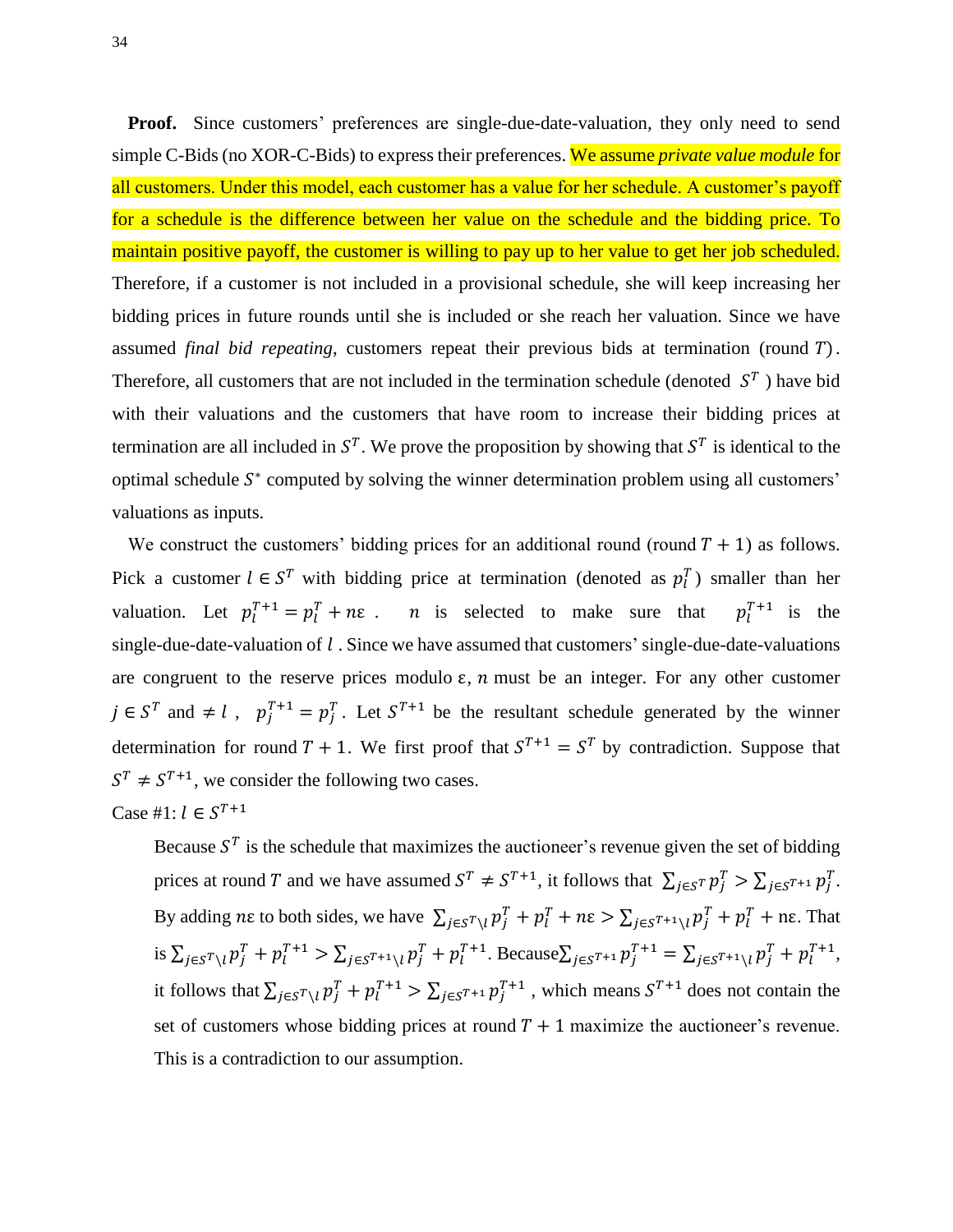**Proof.** Since customers' preferences are single-due-date-valuation, they only need to send simple C-Bids (no XOR-C-Bids) to express their preferences. We assume *private value module* for all customers. Under this model, each customer has a value for her schedule. A customer's payoff for a schedule is the difference between her value on the schedule and the bidding price. To maintain positive payoff, the customer is willing to pay up to her value to get her job scheduled. Therefore, if a customer is not included in a provisional schedule, she will keep increasing her bidding prices in future rounds until she is included or she reach her valuation. Since we have assumed *final bid repeating*, customers repeat their previous bids at termination (round T). Therefore, all customers that are not included in the termination schedule (denoted  $S<sup>T</sup>$ ) have bid with their valuations and the customers that have room to increase their bidding prices at termination are all included in  $S<sup>T</sup>$ . We prove the proposition by showing that  $S<sup>T</sup>$  is identical to the optimal schedule  $S^*$  computed by solving the winner determination problem using all customers' valuations as inputs.

We construct the customers' bidding prices for an additional round (round  $T + 1$ ) as follows. Pick a customer  $l \in S^T$  with bidding price at termination (denoted as  $p_l^T$ ) smaller than her valuation. Let  $p_l^{T+1} = p_l^T + n\varepsilon$ . *n* is selected to make sure that  $p_l^{T+1}$  is the single-due-date-valuation of  $l$ . Since we have assumed that customers' single-due-date-valuations are congruent to the reserve prices modulo  $\varepsilon$ , n must be an integer. For any other customer  $j \in S^T$  and  $\neq l$ ,  $p_i^{T+1} = p_i^T$ . Let  $S^{T+1}$  be the resultant schedule generated by the winner determination for round  $T + 1$ . We first proof that  $S^{T+1} = S^{T}$  by contradiction. Suppose that  $S^T \neq S^{T+1}$ , we consider the following two cases.

Case #1: 
$$
l \in S^{T+1}
$$

Because  $S<sup>T</sup>$  is the schedule that maximizes the auctioneer's revenue given the set of bidding prices at round T and we have assumed  $S^T \neq S^{T+1}$ , it follows that  $\sum_{j \in S^T} p_j^T > \sum_{j \in S^{T+1}} p_j^T$ . By adding ne to both sides, we have  $\sum_{j \in S} \sum_{i} p_i^T + p_i^T + n \varepsilon > \sum_{j \in S} \sum_{i} p_i^T + p_i^T + n \varepsilon$ . That is  $\sum_{j \in S^{T} \setminus l} p_j^T + p_l^{T+1} > \sum_{j \in S^{T+1} \setminus l} p_j^T + p_l^{T+1}$ . Because  $\sum_{j \in S^{T+1}} p_j^{T+1} = \sum_{j \in S^{T+1} \setminus l} p_j^T + p_l^{T+1}$ , it follows that  $\sum_{j \in S} T_{\setminus l} p_j^T + p_l^{T+1} > \sum_{j \in S} T_{+1} p_j^{T+1}$ , which means  $S^{T+1}$  does not contain the set of customers whose bidding prices at round  $T + 1$  maximize the auctioneer's revenue. This is a contradiction to our assumption.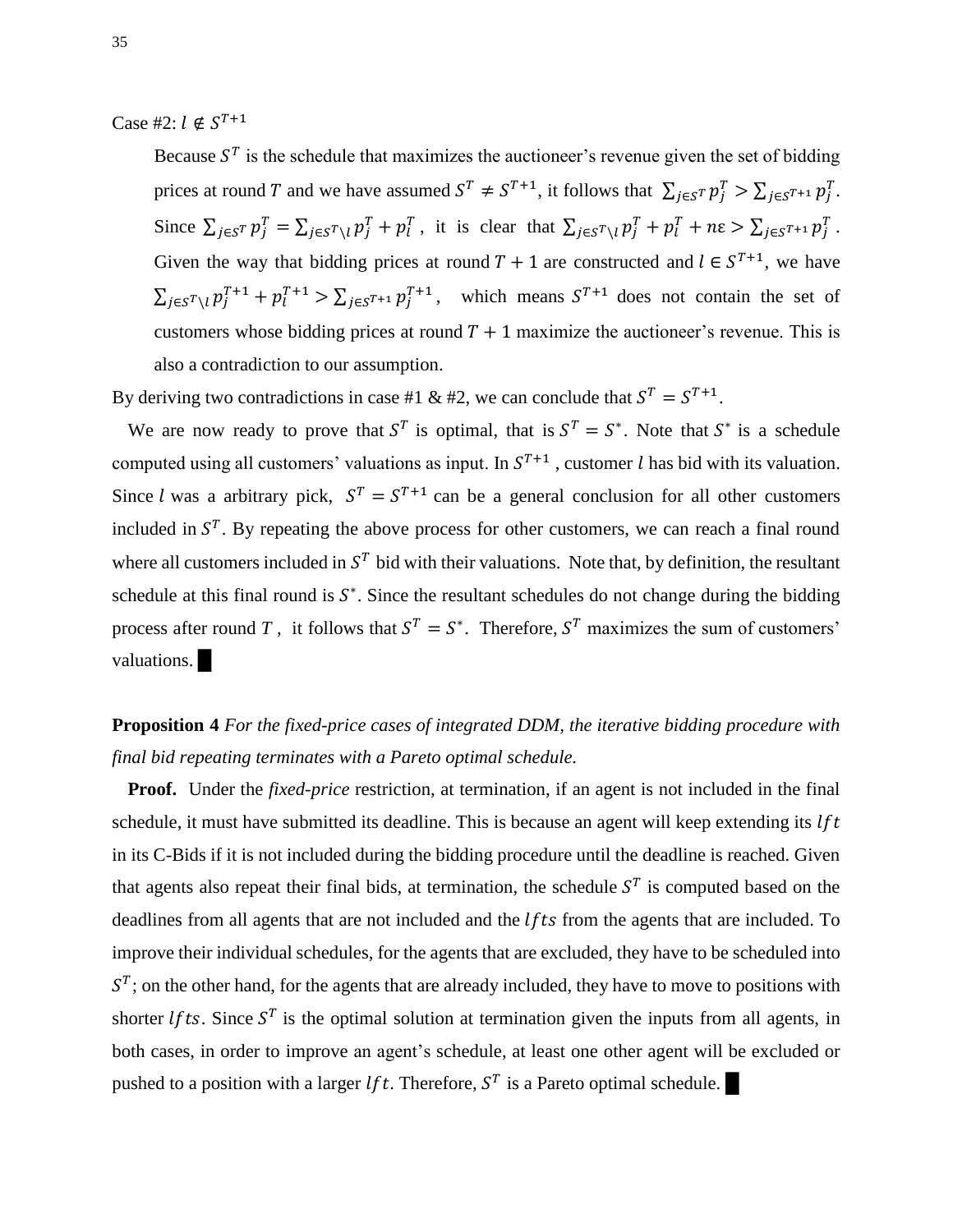Case #2:  $l \notin S^T$ 

Because  $S<sup>T</sup>$  is the schedule that maximizes the auctioneer's revenue given the set of bidding prices at round T and we have assumed  $S^T \neq S^{T+1}$ , it follows that  $\sum_{j \in S^T} p_j^T > \sum_{j \in S^{T+1}} p_j^T$ . Since  $\sum_{j \in S} p_j^T = \sum_{j \in S} r_{\setminus l} p_j^T + p_l^T$ , it is clear that  $\sum_{j \in S} r_{\setminus l} p_j^T + p_l^T + n \varepsilon > \sum_{j \in S} r + n \varepsilon$ Given the way that bidding prices at round  $T + 1$  are constructed and  $l \in S^{T+1}$ , we have  $\sum_{j \in S} \sum_{i} p_i^{T+1} + p_i^{T+1} > \sum_{j \in S} \sum_{i} p_j^{T+1}$ , which means  $S^{T+1}$  does not contain the set of customers whose bidding prices at round  $T + 1$  maximize the auctioneer's revenue. This is also a contradiction to our assumption.

By deriving two contradictions in case #1 & #2, we can conclude that  $S^T = S^{T+1}$ .

We are now ready to prove that  $S<sup>T</sup>$  is optimal, that is  $S<sup>T</sup> = S<sup>*</sup>$ . Note that  $S<sup>*</sup>$  is a schedule computed using all customers' valuations as input. In  $S^{T+1}$ , customer l has bid with its valuation. Since *l* was a arbitrary pick,  $S^T = S^{T+1}$  can be a general conclusion for all other customers included in  $S<sup>T</sup>$ . By repeating the above process for other customers, we can reach a final round where all customers included in  $S<sup>T</sup>$  bid with their valuations. Note that, by definition, the resultant schedule at this final round is  $S^*$ . Since the resultant schedules do not change during the bidding process after round *T*, it follows that  $S^T = S^*$ . Therefore,  $S^T$  maximizes the sum of customers' valuations.

# **Proposition 4** *For the fixed-price cases of integrated DDM, the iterative bidding procedure with final bid repeating terminates with a Pareto optimal schedule.*

**Proof.** Under the *fixed-price* restriction, at termination, if an agent is not included in the final schedule, it must have submitted its deadline. This is because an agent will keep extending its  $If t$ in its C-Bids if it is not included during the bidding procedure until the deadline is reached. Given that agents also repeat their final bids, at termination, the schedule  $S<sup>T</sup>$  is computed based on the deadlines from all agents that are not included and the  $lfts$  from the agents that are included. To improve their individual schedules, for the agents that are excluded, they have to be scheduled into  $S<sup>T</sup>$ ; on the other hand, for the agents that are already included, they have to move to positions with shorter *lfts*. Since  $S<sup>T</sup>$  is the optimal solution at termination given the inputs from all agents, in both cases, in order to improve an agent's schedule, at least one other agent will be excluded or pushed to a position with a larger *lft*. Therefore,  $S<sup>T</sup>$  is a Pareto optimal schedule.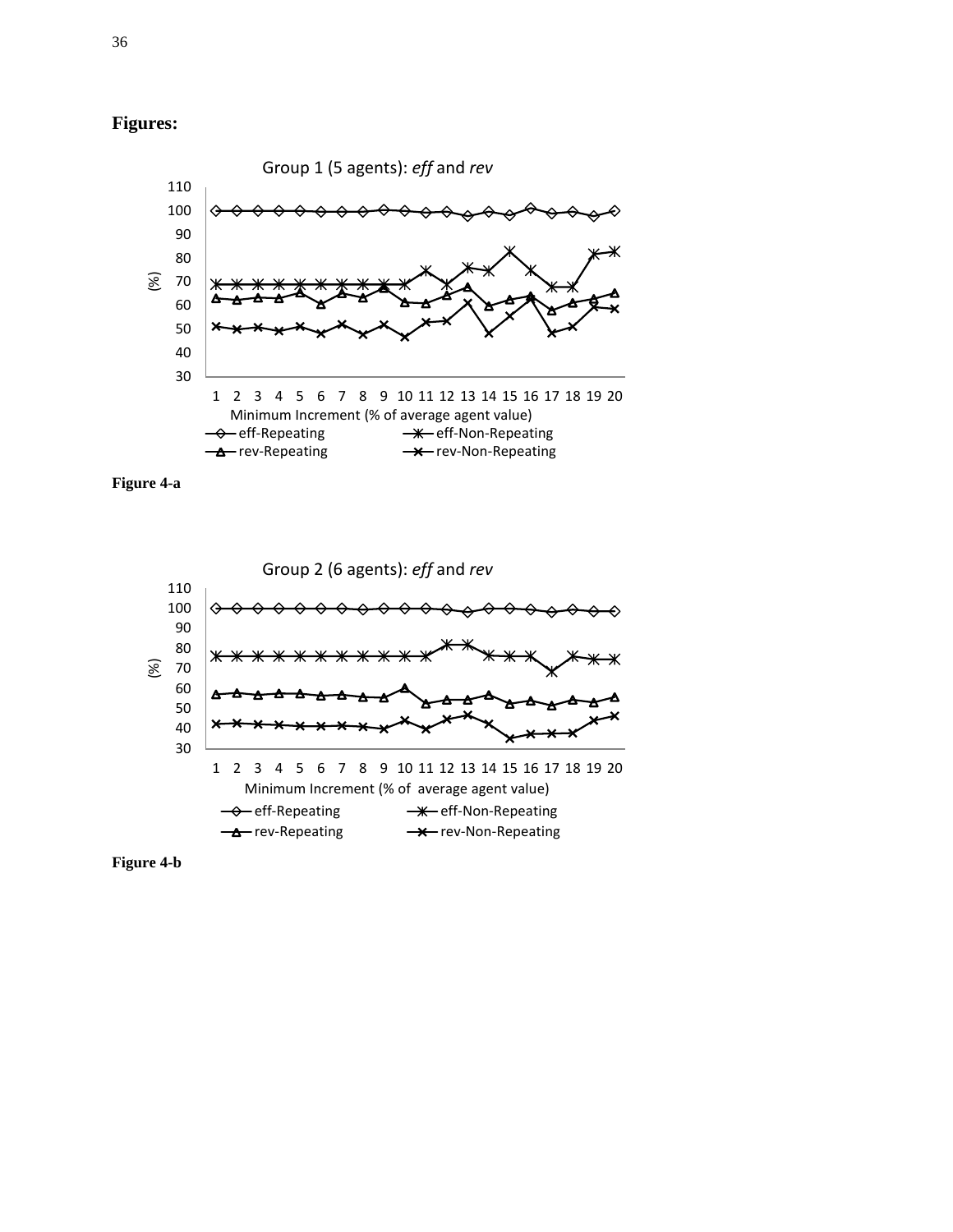







**Figure 4-b**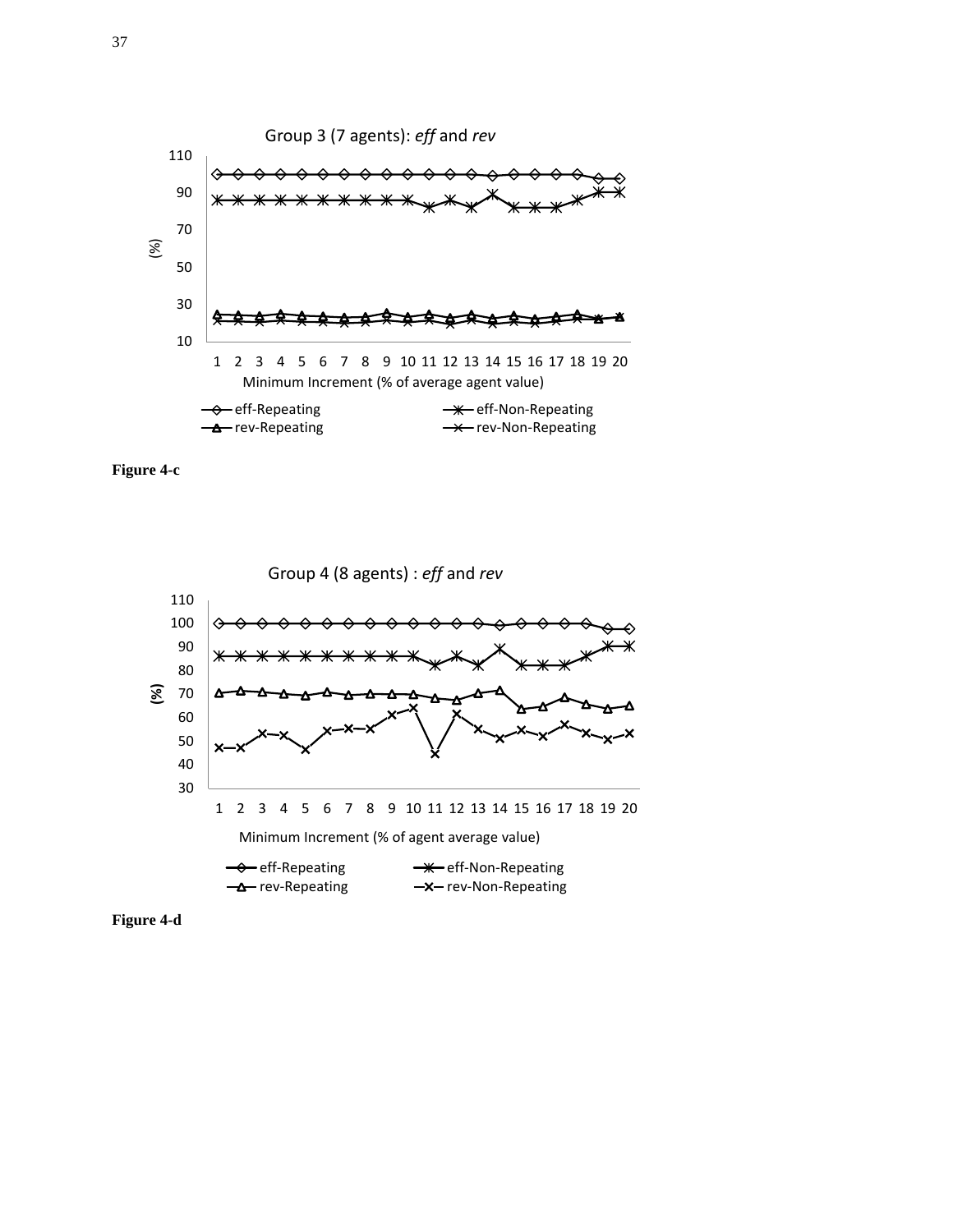





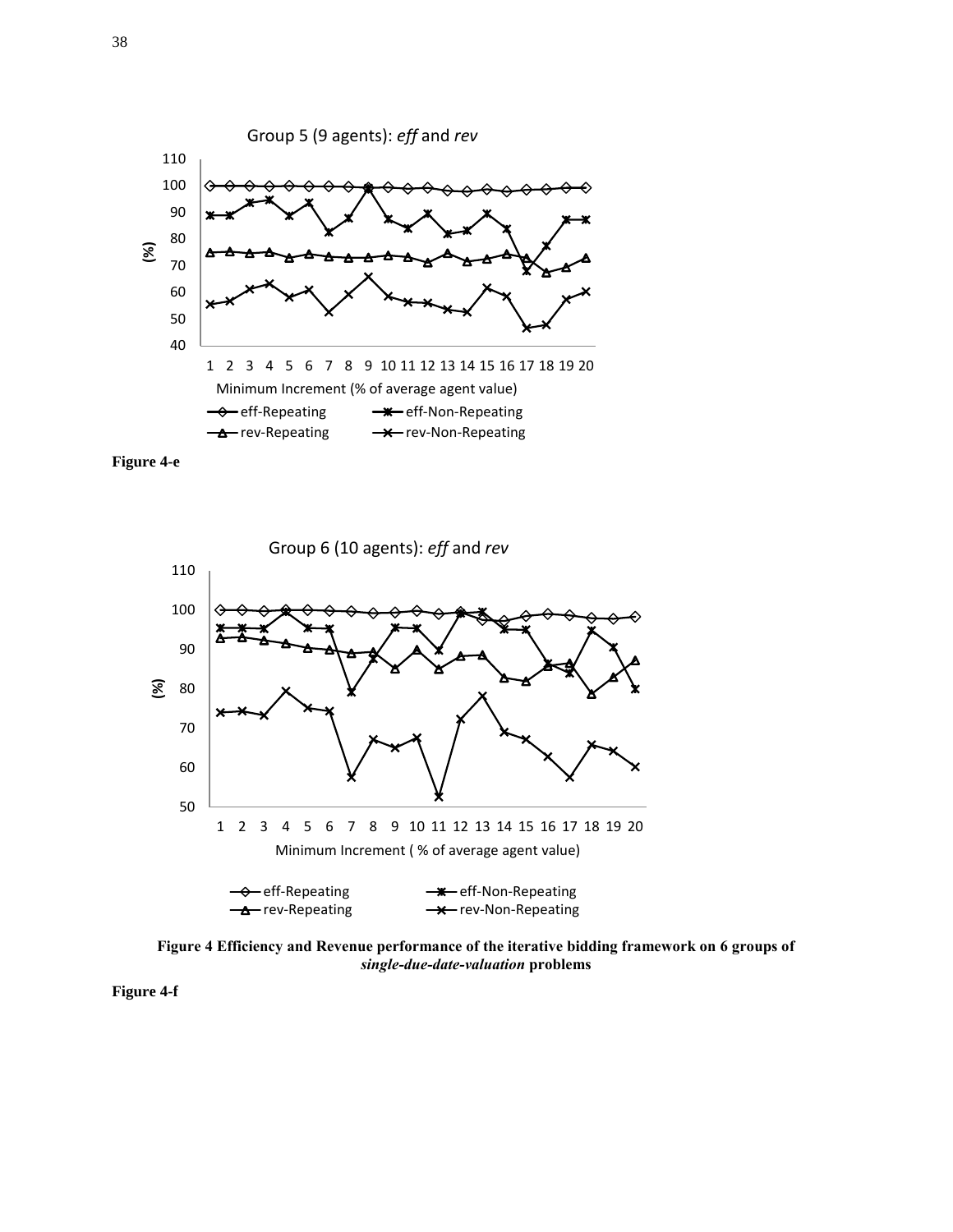





**Figure 4 Efficiency and Revenue performance of the iterative bidding framework on 6 groups of**  *single-due-date-valuation* **problems**

**Figure 4-f**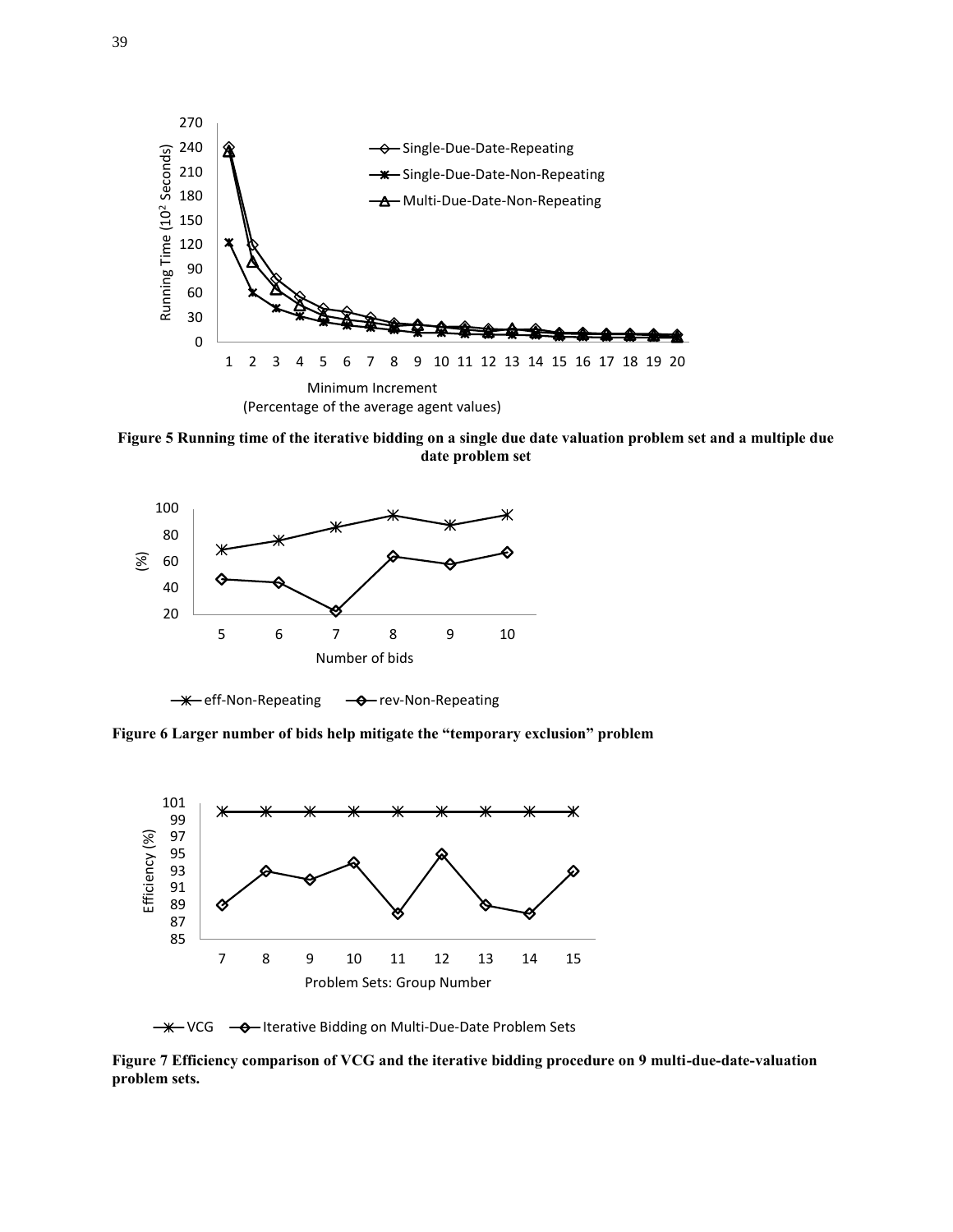

**Figure 5 Running time of the iterative bidding on a single due date valuation problem set and a multiple due date problem set**



 $\rightarrow$  eff-Non-Repeating  $\rightarrow$  rev-Non-Repeating

**Figure 6 Larger number of bids help mitigate the "temporary exclusion" problem**



- <del>₩</del> VCG - O Iterative Bidding on Multi-Due-Date Problem Sets

**Figure 7 Efficiency comparison of VCG and the iterative bidding procedure on 9 multi-due-date-valuation problem sets.**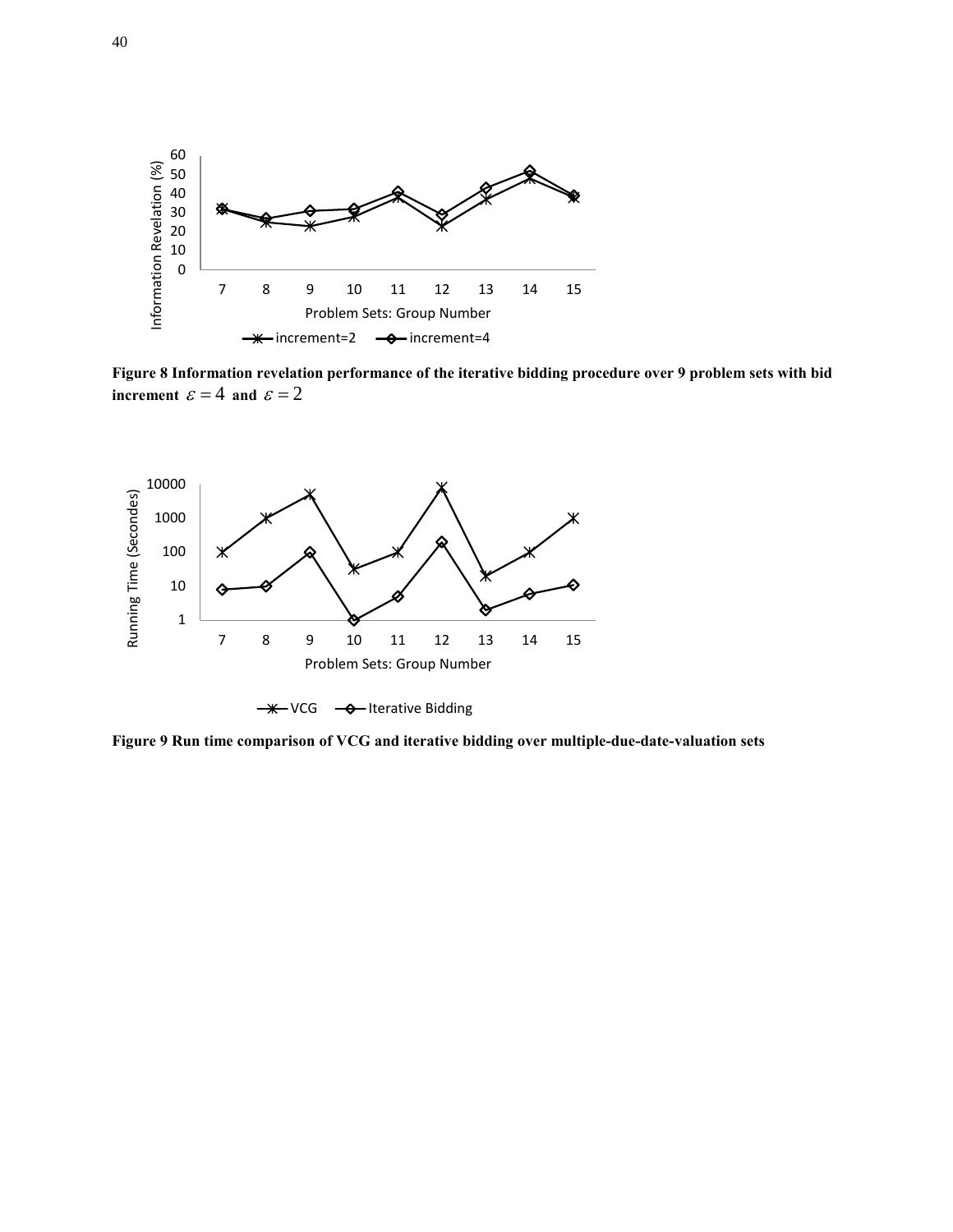

**Figure 8 Information revelation performance of the iterative bidding procedure over 9 problem sets with bid increment**  $\varepsilon = 4$  and  $\varepsilon = 2$ 



**Figure 9 Run time comparison of VCG and iterative bidding over multiple-due-date-valuation sets**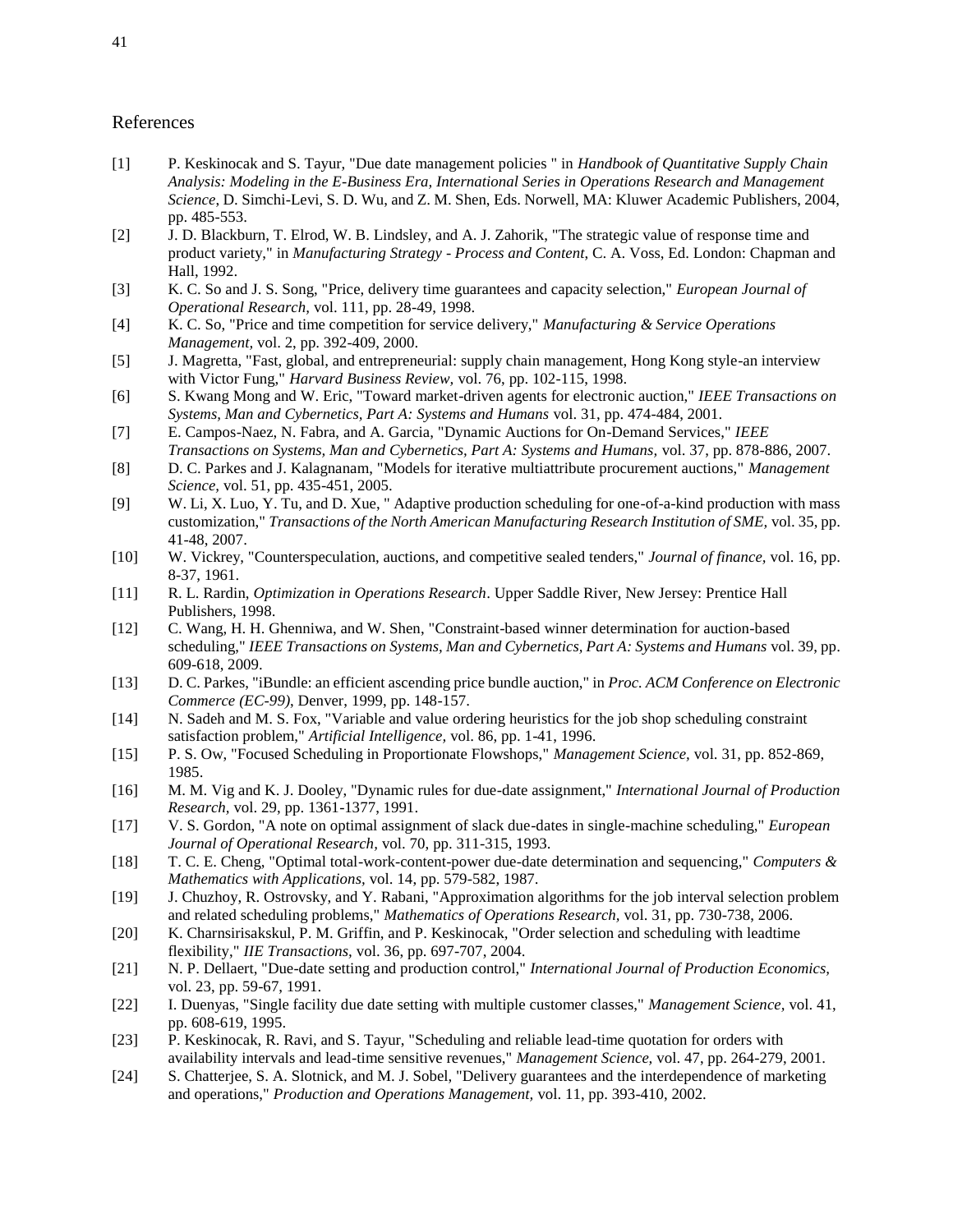#### References

- [1] P. Keskinocak and S. Tayur, "Due date management policies " in *Handbook of Quantitative Supply Chain Analysis: Modeling in the E-Business Era, International Series in Operations Research and Management Science*, D. Simchi-Levi, S. D. Wu, and Z. M. Shen, Eds. Norwell, MA: Kluwer Academic Publishers, 2004, pp. 485-553.
- [2] J. D. Blackburn, T. Elrod, W. B. Lindsley, and A. J. Zahorik, "The strategic value of response time and product variety," in *Manufacturing Strategy - Process and Content*, C. A. Voss, Ed. London: Chapman and Hall, 1992.
- [3] K. C. So and J. S. Song, "Price, delivery time guarantees and capacity selection," *European Journal of Operational Research,* vol. 111, pp. 28-49, 1998.
- [4] K. C. So, "Price and time competition for service delivery," *Manufacturing & Service Operations Management,* vol. 2, pp. 392-409, 2000.
- [5] J. Magretta, "Fast, global, and entrepreneurial: supply chain management, Hong Kong style-an interview with Victor Fung," *Harvard Business Review,* vol. 76, pp. 102-115, 1998.
- [6] S. Kwang Mong and W. Eric, "Toward market-driven agents for electronic auction," *IEEE Transactions on Systems, Man and Cybernetics, Part A: Systems and Humans* vol. 31, pp. 474-484, 2001.
- [7] E. Campos-Naez, N. Fabra, and A. Garcia, "Dynamic Auctions for On-Demand Services," *IEEE Transactions on Systems, Man and Cybernetics, Part A: Systems and Humans,* vol. 37, pp. 878-886, 2007.
- [8] D. C. Parkes and J. Kalagnanam, "Models for iterative multiattribute procurement auctions," *Management Science,* vol. 51, pp. 435-451, 2005.
- [9] W. Li, X. Luo, Y. Tu, and D. Xue, " Adaptive production scheduling for one-of-a-kind production with mass customization," *Transactions of the North American Manufacturing Research Institution of SME,* vol. 35, pp. 41-48, 2007.
- [10] W. Vickrey, "Counterspeculation, auctions, and competitive sealed tenders," *Journal of finance,* vol. 16, pp. 8-37, 1961.
- [11] R. L. Rardin, *Optimization in Operations Research*. Upper Saddle River, New Jersey: Prentice Hall Publishers, 1998.
- [12] C. Wang, H. H. Ghenniwa, and W. Shen, "Constraint-based winner determination for auction-based scheduling," *IEEE Transactions on Systems, Man and Cybernetics, Part A: Systems and Humans* vol. 39, pp. 609-618, 2009.
- [13] D. C. Parkes, "iBundle: an efficient ascending price bundle auction," in *Proc. ACM Conference on Electronic Commerce (EC-99)*, Denver, 1999, pp. 148-157.
- [14] N. Sadeh and M. S. Fox, "Variable and value ordering heuristics for the job shop scheduling constraint satisfaction problem," *Artificial Intelligence,* vol. 86, pp. 1-41, 1996.
- [15] P. S. Ow, "Focused Scheduling in Proportionate Flowshops," *Management Science,* vol. 31, pp. 852-869, 1985.
- [16] M. M. Vig and K. J. Dooley, "Dynamic rules for due-date assignment," *International Journal of Production Research,* vol. 29, pp. 1361-1377, 1991.
- [17] V. S. Gordon, "A note on optimal assignment of slack due-dates in single-machine scheduling," *European Journal of Operational Research,* vol. 70, pp. 311-315, 1993.
- [18] T. C. E. Cheng, "Optimal total-work-content-power due-date determination and sequencing," *Computers & Mathematics with Applications,* vol. 14, pp. 579-582, 1987.
- [19] J. Chuzhoy, R. Ostrovsky, and Y. Rabani, "Approximation algorithms for the job interval selection problem and related scheduling problems," *Mathematics of Operations Research,* vol. 31, pp. 730-738, 2006.
- [20] K. Charnsirisakskul, P. M. Griffin, and P. Keskinocak, "Order selection and scheduling with leadtime flexibility," *IIE Transactions,* vol. 36, pp. 697-707, 2004.
- [21] N. P. Dellaert, "Due-date setting and production control," *International Journal of Production Economics,*  vol. 23, pp. 59-67, 1991.
- [22] I. Duenyas, "Single facility due date setting with multiple customer classes," *Management Science,* vol. 41, pp. 608-619, 1995.
- [23] P. Keskinocak, R. Ravi, and S. Tayur, "Scheduling and reliable lead-time quotation for orders with availability intervals and lead-time sensitive revenues," *Management Science,* vol. 47, pp. 264-279, 2001.
- [24] S. Chatterjee, S. A. Slotnick, and M. J. Sobel, "Delivery guarantees and the interdependence of marketing and operations," *Production and Operations Management,* vol. 11, pp. 393-410, 2002.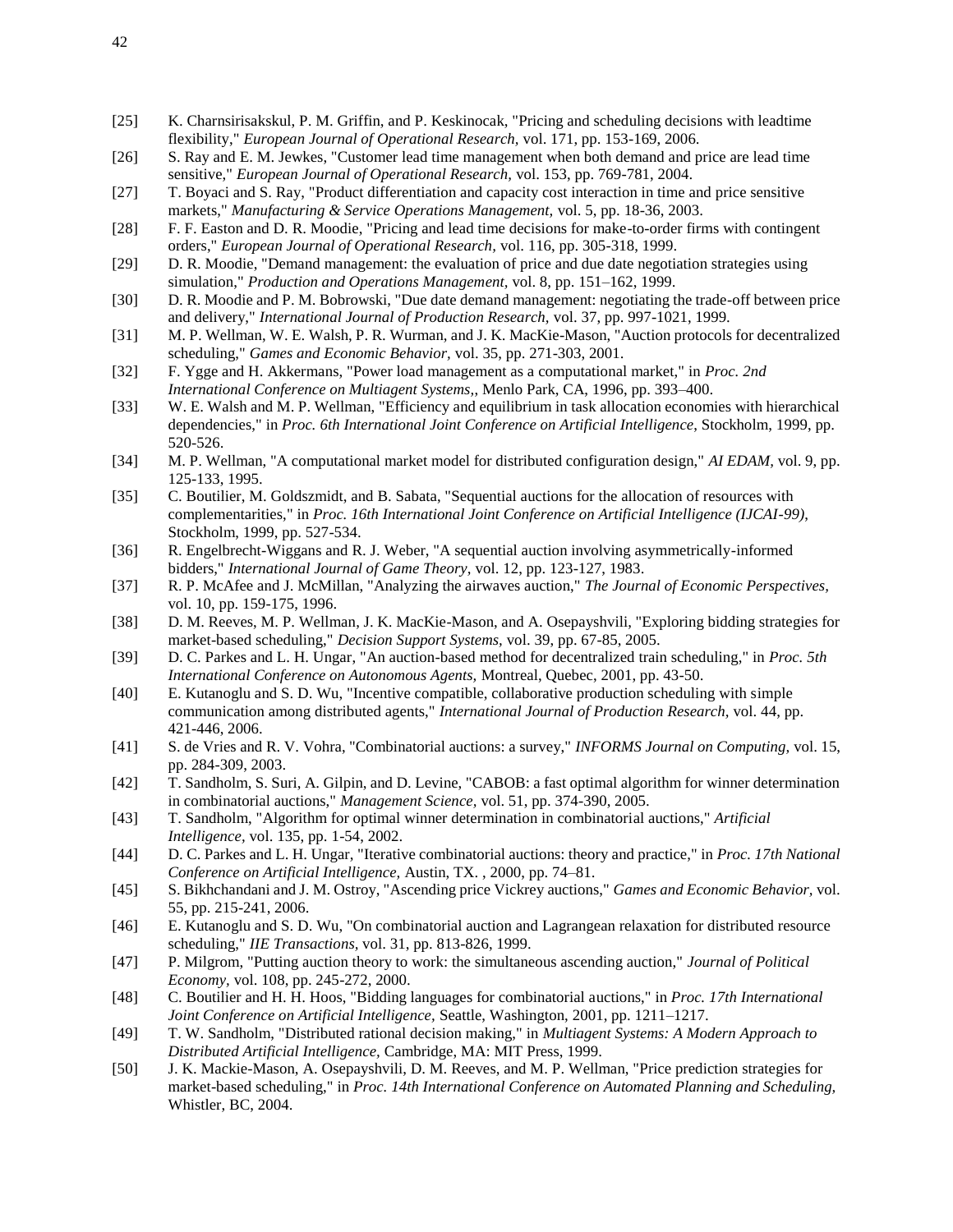- [25] K. Charnsirisakskul, P. M. Griffin, and P. Keskinocak, "Pricing and scheduling decisions with leadtime flexibility," *European Journal of Operational Research,* vol. 171, pp. 153-169, 2006.
- [26] S. Ray and E. M. Jewkes, "Customer lead time management when both demand and price are lead time sensitive," *European Journal of Operational Research,* vol. 153, pp. 769-781, 2004.
- [27] T. Boyaci and S. Ray, "Product differentiation and capacity cost interaction in time and price sensitive markets," *Manufacturing & Service Operations Management,* vol. 5, pp. 18-36, 2003.
- [28] F. F. Easton and D. R. Moodie, "Pricing and lead time decisions for make-to-order firms with contingent orders," *European Journal of Operational Research,* vol. 116, pp. 305-318, 1999.
- [29] D. R. Moodie, "Demand management: the evaluation of price and due date negotiation strategies using simulation," *Production and Operations Management,* vol. 8, pp. 151–162, 1999.
- [30] D. R. Moodie and P. M. Bobrowski, "Due date demand management: negotiating the trade-off between price and delivery," *International Journal of Production Research,* vol. 37, pp. 997-1021, 1999.
- [31] M. P. Wellman, W. E. Walsh, P. R. Wurman, and J. K. MacKie-Mason, "Auction protocols for decentralized scheduling," *Games and Economic Behavior,* vol. 35, pp. 271-303, 2001.
- [32] F. Ygge and H. Akkermans, "Power load management as a computational market," in *Proc. 2nd International Conference on Multiagent Systems,*, Menlo Park, CA, 1996, pp. 393–400.
- [33] W. E. Walsh and M. P. Wellman, "Efficiency and equilibrium in task allocation economies with hierarchical dependencies," in *Proc. 6th International Joint Conference on Artificial Intelligence*, Stockholm, 1999, pp. 520-526.
- [34] M. P. Wellman, "A computational market model for distributed configuration design," *AI EDAM,* vol. 9, pp. 125-133, 1995.
- [35] C. Boutilier, M. Goldszmidt, and B. Sabata, "Sequential auctions for the allocation of resources with complementarities," in *Proc. 16th International Joint Conference on Artificial Intelligence (IJCAI-99)*, Stockholm, 1999, pp. 527-534.
- [36] R. Engelbrecht-Wiggans and R. J. Weber, "A sequential auction involving asymmetrically-informed bidders," *International Journal of Game Theory,* vol. 12, pp. 123-127, 1983.
- [37] R. P. McAfee and J. McMillan, "Analyzing the airwaves auction," *The Journal of Economic Perspectives,*  vol. 10, pp. 159-175, 1996.
- [38] D. M. Reeves, M. P. Wellman, J. K. MacKie-Mason, and A. Osepayshvili, "Exploring bidding strategies for market-based scheduling," *Decision Support Systems,* vol. 39, pp. 67-85, 2005.
- [39] D. C. Parkes and L. H. Ungar, "An auction-based method for decentralized train scheduling," in *Proc. 5th International Conference on Autonomous Agents,* Montreal, Quebec, 2001, pp. 43-50.
- [40] E. Kutanoglu and S. D. Wu, "Incentive compatible, collaborative production scheduling with simple communication among distributed agents," *International Journal of Production Research,* vol. 44, pp. 421-446, 2006.
- [41] S. de Vries and R. V. Vohra, "Combinatorial auctions: a survey," *INFORMS Journal on Computing,* vol. 15, pp. 284-309, 2003.
- [42] T. Sandholm, S. Suri, A. Gilpin, and D. Levine, "CABOB: a fast optimal algorithm for winner determination in combinatorial auctions," *Management Science,* vol. 51, pp. 374-390, 2005.
- [43] T. Sandholm, "Algorithm for optimal winner determination in combinatorial auctions," *Artificial Intelligence,* vol. 135, pp. 1-54, 2002.
- [44] D. C. Parkes and L. H. Ungar, "Iterative combinatorial auctions: theory and practice," in *Proc. 17th National Conference on Artificial Intelligence,* Austin, TX. , 2000, pp. 74–81.
- [45] S. Bikhchandani and J. M. Ostroy, "Ascending price Vickrey auctions," *Games and Economic Behavior,* vol. 55, pp. 215-241, 2006.
- [46] E. Kutanoglu and S. D. Wu, "On combinatorial auction and Lagrangean relaxation for distributed resource scheduling," *IIE Transactions,* vol. 31, pp. 813-826, 1999.
- [47] P. Milgrom, "Putting auction theory to work: the simultaneous ascending auction," *Journal of Political Economy,* vol. 108, pp. 245-272, 2000.
- [48] C. Boutilier and H. H. Hoos, "Bidding languages for combinatorial auctions," in *Proc. 17th International Joint Conference on Artificial Intelligence,* Seattle, Washington, 2001, pp. 1211–1217.
- [49] T. W. Sandholm, "Distributed rational decision making," in *Multiagent Systems: A Modern Approach to Distributed Artificial Intelligence,* Cambridge, MA: MIT Press, 1999.
- [50] J. K. Mackie-Mason, A. Osepayshvili, D. M. Reeves, and M. P. Wellman, "Price prediction strategies for market-based scheduling," in *Proc. 14th International Conference on Automated Planning and Scheduling,* Whistler, BC, 2004.